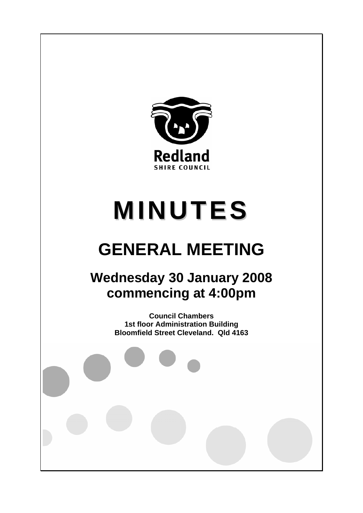

# **MINUTES**

# **GENERAL MEETING**

# **Wednesday 30 January 2008 commencing at 4:00pm**

**Council Chambers 1st floor Administration Building Bloomfield Street Cleveland. Qld 4163**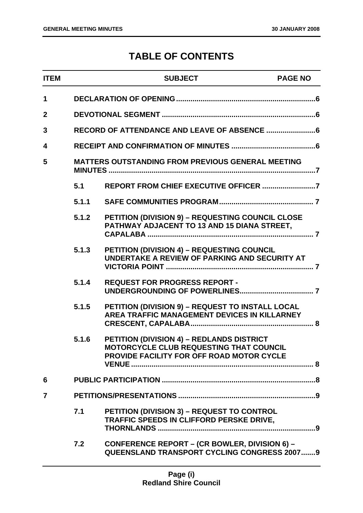# **TABLE OF CONTENTS**

| <b>ITEM</b>    |                                                   | <b>SUBJECT</b>                                                                                                                                  | <b>PAGE NO</b> |
|----------------|---------------------------------------------------|-------------------------------------------------------------------------------------------------------------------------------------------------|----------------|
| 1              |                                                   |                                                                                                                                                 |                |
| $\mathbf{2}$   |                                                   |                                                                                                                                                 |                |
| 3              |                                                   |                                                                                                                                                 |                |
| 4              |                                                   |                                                                                                                                                 |                |
| 5              | MATTERS OUTSTANDING FROM PREVIOUS GENERAL MEETING |                                                                                                                                                 |                |
|                | 5.1                                               |                                                                                                                                                 |                |
|                | 5.1.1                                             |                                                                                                                                                 |                |
|                | 5.1.2                                             | PETITION (DIVISION 9) - REQUESTING COUNCIL CLOSE<br>PATHWAY ADJACENT TO 13 AND 15 DIANA STREET,                                                 |                |
|                | 5.1.3                                             | <b>PETITION (DIVISION 4) - REQUESTING COUNCIL</b><br>UNDERTAKE A REVIEW OF PARKING AND SECURITY AT                                              |                |
|                | 5.1.4                                             | <b>REQUEST FOR PROGRESS REPORT -</b>                                                                                                            |                |
|                | 5.1.5                                             | PETITION (DIVISION 9) - REQUEST TO INSTALL LOCAL<br>AREA TRAFFIC MANAGEMENT DEVICES IN KILLARNEY                                                |                |
|                | 5.1.6                                             | <b>PETITION (DIVISION 4) - REDLANDS DISTRICT</b><br>MOTORCYCLE CLUB REQUESTING THAT COUNCIL<br><b>PROVIDE FACILITY FOR OFF ROAD MOTOR CYCLE</b> |                |
| 6              |                                                   |                                                                                                                                                 |                |
| $\overline{7}$ |                                                   |                                                                                                                                                 |                |
|                | 7.1                                               | <b>PETITION (DIVISION 3) - REQUEST TO CONTROL</b><br>TRAFFIC SPEEDS IN CLIFFORD PERSKE DRIVE,                                                   |                |
|                | 7.2                                               | <b>CONFERENCE REPORT - (CR BOWLER, DIVISION 6) -</b><br><b>QUEENSLAND TRANSPORT CYCLING CONGRESS 20079</b>                                      |                |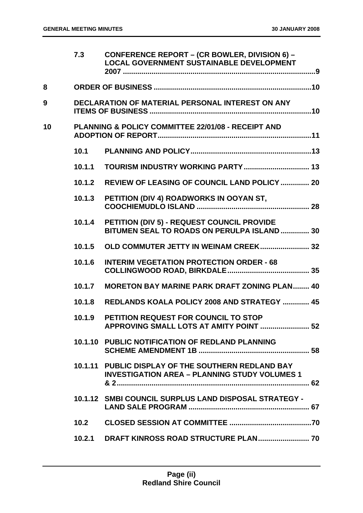|    | 7.3    | <b>CONFERENCE REPORT - (CR BOWLER, DIVISION 6) -</b><br><b>LOCAL GOVERNMENT SUSTAINABLE DEVELOPMENT</b>    |
|----|--------|------------------------------------------------------------------------------------------------------------|
| 8  |        |                                                                                                            |
| 9  |        | DECLARATION OF MATERIAL PERSONAL INTEREST ON ANY                                                           |
| 10 |        | PLANNING & POLICY COMMITTEE 22/01/08 - RECEIPT AND                                                         |
|    | 10.1   |                                                                                                            |
|    | 10.1.1 |                                                                                                            |
|    | 10.1.2 | <b>REVIEW OF LEASING OF COUNCIL LAND POLICY  20</b>                                                        |
|    | 10.1.3 | PETITION (DIV 4) ROADWORKS IN OOYAN ST,                                                                    |
|    | 10.1.4 | PETITION (DIV 5) - REQUEST COUNCIL PROVIDE<br>BITUMEN SEAL TO ROADS ON PERULPA ISLAND  30                  |
|    | 10.1.5 | OLD COMMUTER JETTY IN WEINAM CREEK 32                                                                      |
|    | 10.1.6 | <b>INTERIM VEGETATION PROTECTION ORDER - 68</b>                                                            |
|    | 10.1.7 | <b>MORETON BAY MARINE PARK DRAFT ZONING PLAN 40</b>                                                        |
|    | 10.1.8 | REDLANDS KOALA POLICY 2008 AND STRATEGY  45                                                                |
|    | 10.1.9 | PETITION REQUEST FOR COUNCIL TO STOP<br>APPROVING SMALL LOTS AT AMITY POINT  52                            |
|    |        | 10.1.10 PUBLIC NOTIFICATION OF REDLAND PLANNING                                                            |
|    |        | 10.1.11 PUBLIC DISPLAY OF THE SOUTHERN REDLAND BAY<br><b>INVESTIGATION AREA - PLANNING STUDY VOLUMES 1</b> |
|    |        | 10.1.12 SMBI COUNCIL SURPLUS LAND DISPOSAL STRATEGY -                                                      |
|    |        |                                                                                                            |
|    |        |                                                                                                            |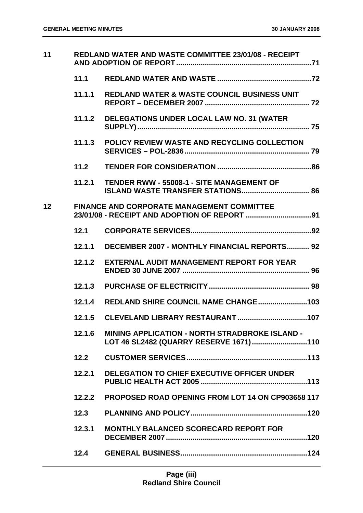| 11 |        | <b>REDLAND WATER AND WASTE COMMITTEE 23/01/08 - RECEIPT</b>                                     |
|----|--------|-------------------------------------------------------------------------------------------------|
|    | 11.1   |                                                                                                 |
|    | 11.1.1 | <b>REDLAND WATER &amp; WASTE COUNCIL BUSINESS UNIT</b>                                          |
|    | 11.1.2 | DELEGATIONS UNDER LOCAL LAW NO. 31 (WATER                                                       |
|    | 11.1.3 | POLICY REVIEW WASTE AND RECYCLING COLLECTION                                                    |
|    | 11.2   |                                                                                                 |
|    | 11.2.1 | <b>TENDER RWW - 55008-1 - SITE MANAGEMENT OF</b><br><b>ISLAND WASTE TRANSFER STATIONS 86</b>    |
| 12 |        | <b>FINANCE AND CORPORATE MANAGEMENT COMMITTEE</b>                                               |
|    | 12.1   |                                                                                                 |
|    | 12.1.1 | <b>DECEMBER 2007 - MONTHLY FINANCIAL REPORTS 92</b>                                             |
|    | 12.1.2 | <b>EXTERNAL AUDIT MANAGEMENT REPORT FOR YEAR</b>                                                |
|    | 12.1.3 |                                                                                                 |
|    | 12.1.4 |                                                                                                 |
|    | 12.1.5 |                                                                                                 |
|    | 12.1.6 | <b>MINING APPLICATION - NORTH STRADBROKE ISLAND -</b><br>LOT 46 SL2482 (QUARRY RESERVE 1671)110 |
|    | 12.2   |                                                                                                 |
|    | 12.2.1 | DELEGATION TO CHIEF EXECUTIVE OFFICER UNDER                                                     |
|    | 12.2.2 | <b>PROPOSED ROAD OPENING FROM LOT 14 ON CP903658 117</b>                                        |
|    | 12.3   |                                                                                                 |
|    | 12.3.1 | <b>MONTHLY BALANCED SCORECARD REPORT FOR</b>                                                    |
|    | 12.4   |                                                                                                 |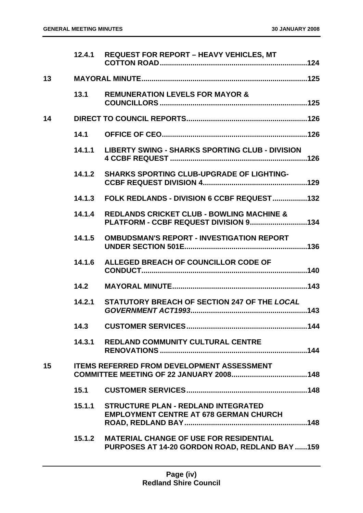|    | 12.4.1 | <b>REQUEST FOR REPORT - HEAVY VEHICLES, MT</b>                                                  |
|----|--------|-------------------------------------------------------------------------------------------------|
| 13 |        |                                                                                                 |
|    | 13.1   | <b>REMUNERATION LEVELS FOR MAYOR &amp;</b>                                                      |
| 14 |        |                                                                                                 |
|    | 14.1   |                                                                                                 |
|    | 14.1.1 | <b>LIBERTY SWING - SHARKS SPORTING CLUB - DIVISION</b>                                          |
|    | 14.1.2 | <b>SHARKS SPORTING CLUB-UPGRADE OF LIGHTING-</b>                                                |
|    | 14.1.3 | FOLK REDLANDS - DIVISION 6 CCBF REQUEST132                                                      |
|    | 14.1.4 | <b>REDLANDS CRICKET CLUB - BOWLING MACHINE &amp;</b><br>PLATFORM - CCBF REQUEST DIVISION 9134   |
|    | 14.1.5 | <b>OMBUDSMAN'S REPORT - INVESTIGATION REPORT</b>                                                |
|    | 14.1.6 | ALLEGED BREACH OF COUNCILLOR CODE OF                                                            |
|    | 14.2   |                                                                                                 |
|    | 14.2.1 | STATUTORY BREACH OF SECTION 247 OF THE LOCAL                                                    |
|    | 14.3   |                                                                                                 |
|    | 14.3.1 | REDLAND COMMUNITY CULTURAL CENTRE                                                               |
| 15 |        | <b>ITEMS REFERRED FROM DEVELOPMENT ASSESSMENT</b>                                               |
|    | 15.1   |                                                                                                 |
|    | 15.1.1 | <b>STRUCTURE PLAN - REDLAND INTEGRATED</b><br><b>EMPLOYMENT CENTRE AT 678 GERMAN CHURCH</b>     |
|    | 15.1.2 | <b>MATERIAL CHANGE OF USE FOR RESIDENTIAL</b><br>PURPOSES AT 14-20 GORDON ROAD, REDLAND BAY 159 |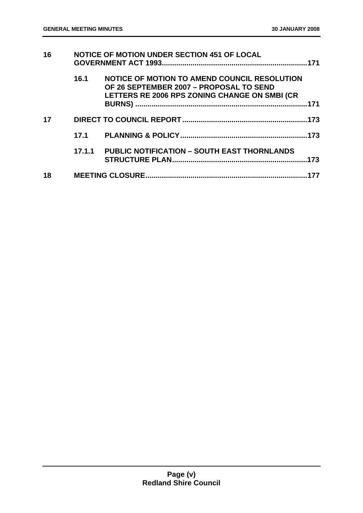| 16 |        | <b>NOTICE OF MOTION UNDER SECTION 451 OF LOCAL</b>                                                                                       | .171 |
|----|--------|------------------------------------------------------------------------------------------------------------------------------------------|------|
|    | 16.1   | NOTICE OF MOTION TO AMEND COUNCIL RESOLUTION<br>OF 26 SEPTEMBER 2007 - PROPOSAL TO SEND<br>LETTERS RE 2006 RPS ZONING CHANGE ON SMBI (CR | .171 |
| 17 |        |                                                                                                                                          |      |
|    |        |                                                                                                                                          |      |
|    | 17.1.1 | <b>PUBLIC NOTIFICATION - SOUTH EAST THORNLANDS</b>                                                                                       | .173 |
| 18 |        |                                                                                                                                          |      |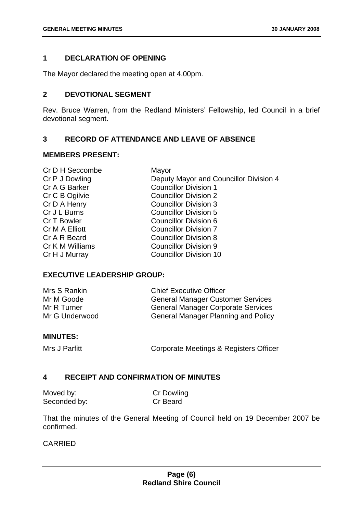# <span id="page-6-0"></span>**1 DECLARATION OF OPENING**

The Mayor declared the meeting open at 4.00pm.

# <span id="page-6-1"></span>**2 DEVOTIONAL SEGMENT**

Rev. Bruce Warren, from the Redland Ministers' Fellowship, led Council in a brief devotional segment.

# <span id="page-6-2"></span>**3 RECORD OF ATTENDANCE AND LEAVE OF ABSENCE**

#### **MEMBERS PRESENT:**

| Cr D H Seccombe | Mayor                                  |
|-----------------|----------------------------------------|
| Cr P J Dowling  | Deputy Mayor and Councillor Division 4 |
| Cr A G Barker   | <b>Councillor Division 1</b>           |
| Cr C B Ogilvie  | <b>Councillor Division 2</b>           |
| Cr D A Henry    | <b>Councillor Division 3</b>           |
| Cr J L Burns    | <b>Councillor Division 5</b>           |
| Cr T Bowler     | <b>Councillor Division 6</b>           |
| Cr M A Elliott  | <b>Councillor Division 7</b>           |
| Cr A R Beard    | <b>Councillor Division 8</b>           |
| Cr K M Williams | <b>Councillor Division 9</b>           |
| Cr H J Murray   | <b>Councillor Division 10</b>          |
|                 |                                        |

# **EXECUTIVE LEADERSHIP GROUP:**

| Mrs S Rankin   | <b>Chief Executive Officer</b>             |
|----------------|--------------------------------------------|
| Mr M Goode     | <b>General Manager Customer Services</b>   |
| Mr R Turner    | <b>General Manager Corporate Services</b>  |
| Mr G Underwood | <b>General Manager Planning and Policy</b> |

#### **MINUTES:**

Mrs J Parfitt **Corporate Meetings & Registers Officer** 

# <span id="page-6-3"></span>**4 RECEIPT AND CONFIRMATION OF MINUTES**

| Moved by:    | <b>Cr Dowling</b> |
|--------------|-------------------|
| Seconded by: | Cr Beard          |

That the minutes of the General Meeting of Council held on 19 December 2007 be confirmed.

# CARRIED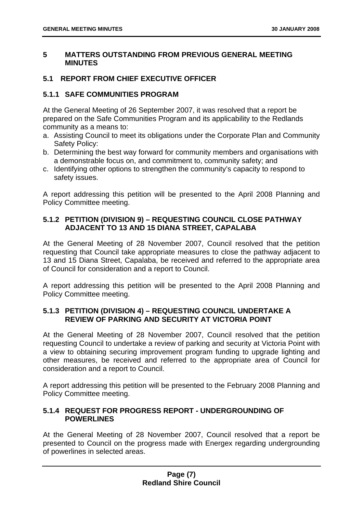# <span id="page-7-0"></span>**5 MATTERS OUTSTANDING FROM PREVIOUS GENERAL MEETING MINUTES**

# <span id="page-7-1"></span>**5.1 REPORT FROM CHIEF EXECUTIVE OFFICER**

## <span id="page-7-2"></span>**5.1.1 SAFE COMMUNITIES PROGRAM**

At the General Meeting of 26 September 2007, it was resolved that a report be prepared on the Safe Communities Program and its applicability to the Redlands community as a means to:

- a. Assisting Council to meet its obligations under the Corporate Plan and Community Safety Policy:
- b. Determining the best way forward for community members and organisations with a demonstrable focus on, and commitment to, community safety; and
- c. Identifying other options to strengthen the community's capacity to respond to safety issues.

A report addressing this petition will be presented to the April 2008 Planning and Policy Committee meeting.

# <span id="page-7-3"></span>**5.1.2 PETITION (DIVISION 9) – REQUESTING COUNCIL CLOSE PATHWAY ADJACENT TO 13 AND 15 DIANA STREET, CAPALABA**

At the General Meeting of 28 November 2007, Council resolved that the petition requesting that Council take appropriate measures to close the pathway adjacent to 13 and 15 Diana Street, Capalaba, be received and referred to the appropriate area of Council for consideration and a report to Council.

A report addressing this petition will be presented to the April 2008 Planning and Policy Committee meeting.

# <span id="page-7-4"></span>**5.1.3 PETITION (DIVISION 4) – REQUESTING COUNCIL UNDERTAKE A REVIEW OF PARKING AND SECURITY AT VICTORIA POINT**

At the General Meeting of 28 November 2007, Council resolved that the petition requesting Council to undertake a review of parking and security at Victoria Point with a view to obtaining securing improvement program funding to upgrade lighting and other measures, be received and referred to the appropriate area of Council for consideration and a report to Council.

A report addressing this petition will be presented to the February 2008 Planning and Policy Committee meeting.

# <span id="page-7-5"></span>**5.1.4 REQUEST FOR PROGRESS REPORT - UNDERGROUNDING OF POWERLINES**

At the General Meeting of 28 November 2007, Council resolved that a report be presented to Council on the progress made with Energex regarding undergrounding of powerlines in selected areas.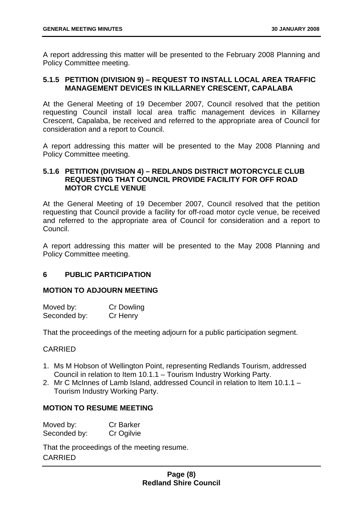A report addressing this matter will be presented to the February 2008 Planning and Policy Committee meeting.

# <span id="page-8-0"></span>**5.1.5 PETITION (DIVISION 9) – REQUEST TO INSTALL LOCAL AREA TRAFFIC MANAGEMENT DEVICES IN KILLARNEY CRESCENT, CAPALABA**

At the General Meeting of 19 December 2007, Council resolved that the petition requesting Council install local area traffic management devices in Killarney Crescent, Capalaba, be received and referred to the appropriate area of Council for consideration and a report to Council.

A report addressing this matter will be presented to the May 2008 Planning and Policy Committee meeting.

# <span id="page-8-1"></span>**5.1.6 PETITION (DIVISION 4) – REDLANDS DISTRICT MOTORCYCLE CLUB REQUESTING THAT COUNCIL PROVIDE FACILITY FOR OFF ROAD MOTOR CYCLE VENUE**

At the General Meeting of 19 December 2007, Council resolved that the petition requesting that Council provide a facility for off-road motor cycle venue, be received and referred to the appropriate area of Council for consideration and a report to Council.

A report addressing this matter will be presented to the May 2008 Planning and Policy Committee meeting.

#### <span id="page-8-2"></span>**6 PUBLIC PARTICIPATION**

#### **MOTION TO ADJOURN MEETING**

| Moved by:    | Cr Dowling |
|--------------|------------|
| Seconded by: | Cr Henry   |

That the proceedings of the meeting adjourn for a public participation segment.

# **CARRIED**

- 1. Ms M Hobson of Wellington Point, representing Redlands Tourism, addressed Council in relation to Item 10.1.1 – Tourism Industry Working Party.
- 2. Mr C McInnes of Lamb Island, addressed Council in relation to Item 10.1.1 Tourism Industry Working Party.

# **MOTION TO RESUME MEETING**

| Moved by:    | <b>Cr Barker</b> |
|--------------|------------------|
| Seconded by: | Cr Ogilvie       |

That the proceedings of the meeting resume. CARRIED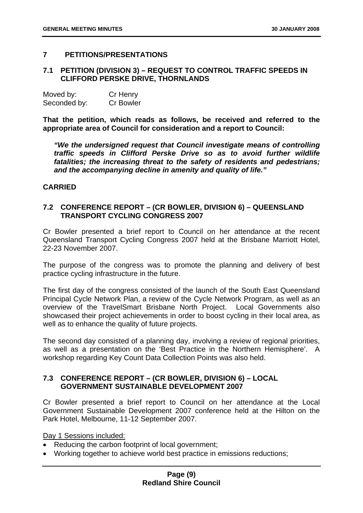# <span id="page-9-0"></span>**7 PETITIONS/PRESENTATIONS**

# <span id="page-9-1"></span>**7.1 PETITION (DIVISION 3) – REQUEST TO CONTROL TRAFFIC SPEEDS IN CLIFFORD PERSKE DRIVE, THORNLANDS**

| Moved by:    | Cr Henry         |
|--------------|------------------|
| Seconded by: | <b>Cr Bowler</b> |

**That the petition, which reads as follows, be received and referred to the appropriate area of Council for consideration and a report to Council:** 

*"We the undersigned request that Council investigate means of controlling traffic speeds in Clifford Perske Drive so as to avoid further wildlife fatalities; the increasing threat to the safety of residents and pedestrians; and the accompanying decline in amenity and quality of life."* 

#### **CARRIED**

# <span id="page-9-2"></span>**7.2 CONFERENCE REPORT – (CR BOWLER, DIVISION 6) – QUEENSLAND TRANSPORT CYCLING CONGRESS 2007**

Cr Bowler presented a brief report to Council on her attendance at the recent Queensland Transport Cycling Congress 2007 held at the Brisbane Marriott Hotel, 22-23 November 2007.

The purpose of the congress was to promote the planning and delivery of best practice cycling infrastructure in the future.

The first day of the congress consisted of the launch of the South East Queensland Principal Cycle Network Plan, a review of the Cycle Network Program, as well as an overview of the TravelSmart Brisbane North Project. Local Governments also showcased their project achievements in order to boost cycling in their local area, as well as to enhance the quality of future projects.

The second day consisted of a planning day, involving a review of regional priorities, as well as a presentation on the 'Best Practice in the Northern Hemisphere'. A workshop regarding Key Count Data Collection Points was also held.

# <span id="page-9-3"></span>**7.3 CONFERENCE REPORT – (CR BOWLER, DIVISION 6) – LOCAL GOVERNMENT SUSTAINABLE DEVELOPMENT 2007**

Cr Bowler presented a brief report to Council on her attendance at the Local Government Sustainable Development 2007 conference held at the Hilton on the Park Hotel, Melbourne, 11-12 September 2007.

Day 1 Sessions included:

- Reducing the carbon footprint of local government;
- Working together to achieve world best practice in emissions reductions;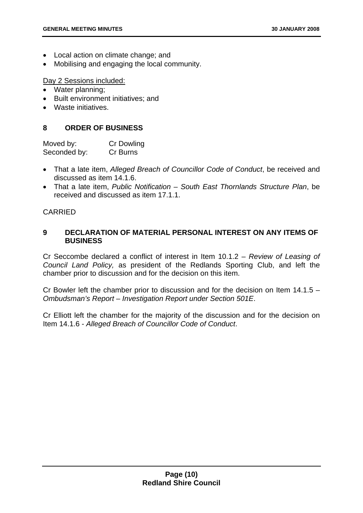- Local action on climate change; and
- Mobilising and engaging the local community.

Day 2 Sessions included:

- Water planning;
- Built environment initiatives; and
- Waste initiatives.

# <span id="page-10-0"></span>**8 ORDER OF BUSINESS**

Moved by: Cr Dowling Seconded by: Cr Burns

- That a late item, *Alleged Breach of Councillor Code of Conduct*, be received and discussed as item 14.1.6.
- That a late item, *Public Notification South East Thornlands Structure Plan*, be received and discussed as item 17.1.1.

# **CARRIED**

# <span id="page-10-1"></span>**9 DECLARATION OF MATERIAL PERSONAL INTEREST ON ANY ITEMS OF BUSINESS**

Cr Seccombe declared a conflict of interest in Item 10.1.2 – *Review of Leasing of Council Land Policy,* as president of the Redlands Sporting Club, and left the chamber prior to discussion and for the decision on this item.

Cr Bowler left the chamber prior to discussion and for the decision on Item 14.1.5 – *Ombudsman's Report – Investigation Report under Section 501E*.

Cr Elliott left the chamber for the majority of the discussion and for the decision on Item 14.1.6 - *Alleged Breach of Councillor Code of Conduct*.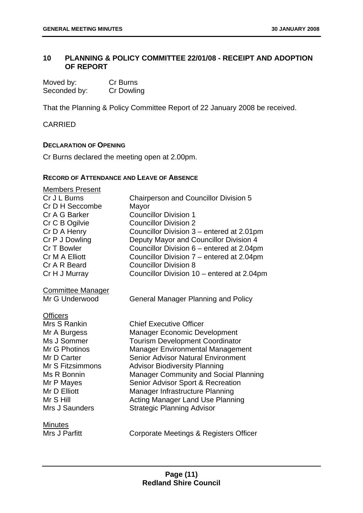# <span id="page-11-0"></span>**10 PLANNING & POLICY COMMITTEE 22/01/08 - RECEIPT AND ADOPTION OF REPORT**

| Moved by:    | Cr Burns   |
|--------------|------------|
| Seconded by: | Cr Dowling |

That the Planning & Policy Committee Report of 22 January 2008 be received.

CARRIED

#### **DECLARATION OF OPENING**

Cr Burns declared the meeting open at 2.00pm.

#### **RECORD OF ATTENDANCE AND LEAVE OF ABSENCE**

| <b>Members Present</b><br>Cr J L Burns<br>Cr D H Seccombe<br>Cr A G Barker<br>Cr C B Ogilvie<br>Cr D A Henry<br>Cr P J Dowling<br>Cr T Bowler<br>Cr M A Elliott<br>Cr A R Beard<br>Cr H J Murray | <b>Chairperson and Councillor Division 5</b><br>Mayor<br><b>Councillor Division 1</b><br><b>Councillor Division 2</b><br>Councillor Division 3 – entered at 2.01pm<br>Deputy Mayor and Councillor Division 4<br>Councillor Division 6 – entered at 2.04pm<br>Councillor Division 7 – entered at 2.04pm<br><b>Councillor Division 8</b><br>Councillor Division 10 - entered at 2.04pm                                                             |
|--------------------------------------------------------------------------------------------------------------------------------------------------------------------------------------------------|--------------------------------------------------------------------------------------------------------------------------------------------------------------------------------------------------------------------------------------------------------------------------------------------------------------------------------------------------------------------------------------------------------------------------------------------------|
| <b>Committee Manager</b><br>Mr G Underwood                                                                                                                                                       | <b>General Manager Planning and Policy</b>                                                                                                                                                                                                                                                                                                                                                                                                       |
| <b>Officers</b><br>Mrs S Rankin<br>Mr A Burgess<br>Ms J Sommer<br>Mr G Photinos<br>Mr D Carter<br>Mr S Fitzsimmons<br>Ms R Bonnin<br>Mr P Mayes<br>Mr D Elliott<br>Mr S Hill<br>Mrs J Saunders   | <b>Chief Executive Officer</b><br><b>Manager Economic Development</b><br><b>Tourism Development Coordinator</b><br><b>Manager Environmental Management</b><br><b>Senior Advisor Natural Environment</b><br><b>Advisor Biodiversity Planning</b><br>Manager Community and Social Planning<br>Senior Advisor Sport & Recreation<br>Manager Infrastructure Planning<br><b>Acting Manager Land Use Planning</b><br><b>Strategic Planning Advisor</b> |
| <b>Minutes</b><br>Mrs J Parfitt                                                                                                                                                                  | Corporate Meetings & Registers Officer                                                                                                                                                                                                                                                                                                                                                                                                           |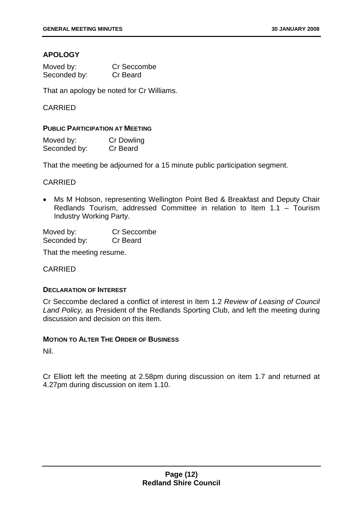# **APOLOGY**

| Moved by:    | Cr Seccombe |
|--------------|-------------|
| Seconded by: | Cr Beard    |

That an apology be noted for Cr Williams.

# CARRIED

#### **PUBLIC PARTICIPATION AT MEETING**

| Moved by:    | Cr Dowling |
|--------------|------------|
| Seconded by: | Cr Beard   |

That the meeting be adjourned for a 15 minute public participation segment.

#### CARRIED

• Ms M Hobson, representing Wellington Point Bed & Breakfast and Deputy Chair Redlands Tourism, addressed Committee in relation to Item 1.1 – Tourism Industry Working Party.

Moved by: Cr Seccombe Seconded by: Cr Beard

That the meeting resume.

#### CARRIED

#### **DECLARATION OF INTEREST**

Cr Seccombe declared a conflict of interest in Item 1.2 *Review of Leasing of Council Land Policy,* as President of the Redlands Sporting Club, and left the meeting during discussion and decision on this item.

#### **MOTION TO ALTER THE ORDER OF BUSINESS**

Nil.

Cr Elliott left the meeting at 2.58pm during discussion on item 1.7 and returned at 4.27pm during discussion on item 1.10.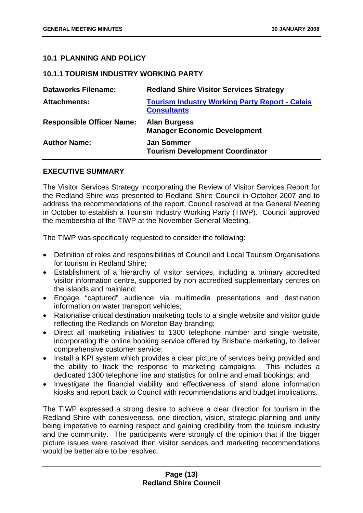# <span id="page-13-0"></span>**10.1 PLANNING AND POLICY**

#### <span id="page-13-1"></span>**10.1.1 TOURISM INDUSTRY WORKING PARTY**

| <b>Dataworks Filename:</b>       | <b>Redland Shire Visitor Services Strategy</b>                              |
|----------------------------------|-----------------------------------------------------------------------------|
| <b>Attachments:</b>              | <b>Tourism Industry Working Party Report - Calais</b><br><b>Consultants</b> |
| <b>Responsible Officer Name:</b> | <b>Alan Burgess</b><br><b>Manager Economic Development</b>                  |
| <b>Author Name:</b>              | <b>Jan Sommer</b><br><b>Tourism Development Coordinator</b>                 |

# **EXECUTIVE SUMMARY**

The Visitor Services Strategy incorporating the Review of Visitor Services Report for the Redland Shire was presented to Redland Shire Council in October 2007 and to address the recommendations of the report, Council resolved at the General Meeting in October to establish a Tourism Industry Working Party (TIWP). Council approved the membership of the TIWP at the November General Meeting.

The TIWP was specifically requested to consider the following:

- Definition of roles and responsibilities of Council and Local Tourism Organisations for tourism in Redland Shire;
- Establishment of a hierarchy of visitor services, including a primary accredited visitor information centre, supported by non accredited supplementary centres on the islands and mainland;
- Engage "captured" audience via multimedia presentations and destination information on water transport vehicles;
- Rationalise critical destination marketing tools to a single website and visitor guide reflecting the Redlands on Moreton Bay branding;
- Direct all marketing initiatives to 1300 telephone number and single website, incorporating the online booking service offered by Brisbane marketing, to deliver comprehensive customer service;
- Install a KPI system which provides a clear picture of services being provided and the ability to track the response to marketing campaigns. This includes a dedicated 1300 telephone line and statistics for online and email bookings; and
- Investigate the financial viability and effectiveness of stand alone information kiosks and report back to Council with recommendations and budget implications.

The TIWP expressed a strong desire to achieve a clear direction for tourism in the Redland Shire with cohesiveness, one direction, vision, strategic planning and unity being imperative to earning respect and gaining credibility from the tourism industry and the community. The participants were strongly of the opinion that if the bigger picture issues were resolved then visitor services and marketing recommendations would be better able to be resolved.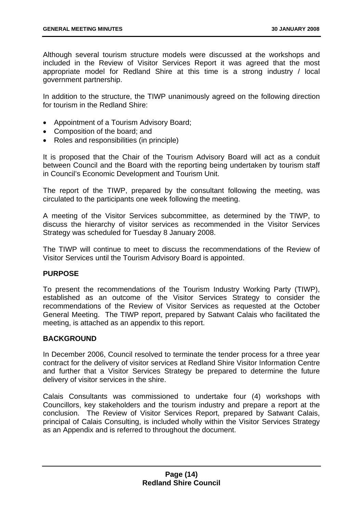Although several tourism structure models were discussed at the workshops and included in the Review of Visitor Services Report it was agreed that the most appropriate model for Redland Shire at this time is a strong industry / local government partnership.

In addition to the structure, the TIWP unanimously agreed on the following direction for tourism in the Redland Shire:

- Appointment of a Tourism Advisory Board;
- Composition of the board; and
- Roles and responsibilities (in principle)

It is proposed that the Chair of the Tourism Advisory Board will act as a conduit between Council and the Board with the reporting being undertaken by tourism staff in Council's Economic Development and Tourism Unit.

The report of the TIWP, prepared by the consultant following the meeting, was circulated to the participants one week following the meeting.

A meeting of the Visitor Services subcommittee, as determined by the TIWP, to discuss the hierarchy of visitor services as recommended in the Visitor Services Strategy was scheduled for Tuesday 8 January 2008.

The TIWP will continue to meet to discuss the recommendations of the Review of Visitor Services until the Tourism Advisory Board is appointed.

#### **PURPOSE**

To present the recommendations of the Tourism Industry Working Party (TIWP), established as an outcome of the Visitor Services Strategy to consider the recommendations of the Review of Visitor Services as requested at the October General Meeting. The TIWP report, prepared by Satwant Calais who facilitated the meeting, is attached as an appendix to this report.

#### **BACKGROUND**

In December 2006, Council resolved to terminate the tender process for a three year contract for the delivery of visitor services at Redland Shire Visitor Information Centre and further that a Visitor Services Strategy be prepared to determine the future delivery of visitor services in the shire.

Calais Consultants was commissioned to undertake four (4) workshops with Councillors, key stakeholders and the tourism industry and prepare a report at the conclusion. The Review of Visitor Services Report, prepared by Satwant Calais, principal of Calais Consulting, is included wholly within the Visitor Services Strategy as an Appendix and is referred to throughout the document.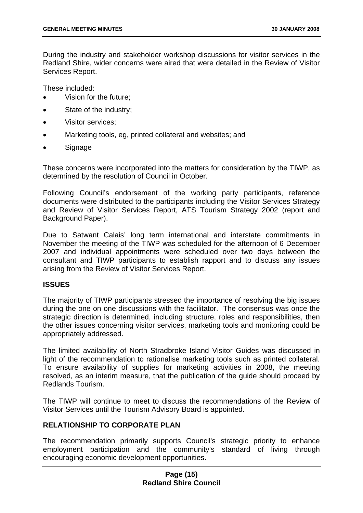During the industry and stakeholder workshop discussions for visitor services in the Redland Shire, wider concerns were aired that were detailed in the Review of Visitor Services Report.

These included:

- Vision for the future;
- State of the industry:
- **Visitor services**;
- Marketing tools, eg, printed collateral and websites; and
- Signage

These concerns were incorporated into the matters for consideration by the TIWP, as determined by the resolution of Council in October.

Following Council's endorsement of the working party participants, reference documents were distributed to the participants including the Visitor Services Strategy and Review of Visitor Services Report, ATS Tourism Strategy 2002 (report and Background Paper).

Due to Satwant Calais' long term international and interstate commitments in November the meeting of the TIWP was scheduled for the afternoon of 6 December 2007 and individual appointments were scheduled over two days between the consultant and TIWP participants to establish rapport and to discuss any issues arising from the Review of Visitor Services Report.

#### **ISSUES**

The majority of TIWP participants stressed the importance of resolving the big issues during the one on one discussions with the facilitator. The consensus was once the strategic direction is determined, including structure, roles and responsibilities, then the other issues concerning visitor services, marketing tools and monitoring could be appropriately addressed.

The limited availability of North Stradbroke Island Visitor Guides was discussed in light of the recommendation to rationalise marketing tools such as printed collateral. To ensure availability of supplies for marketing activities in 2008, the meeting resolved, as an interim measure, that the publication of the guide should proceed by Redlands Tourism.

The TIWP will continue to meet to discuss the recommendations of the Review of Visitor Services until the Tourism Advisory Board is appointed.

# **RELATIONSHIP TO CORPORATE PLAN**

The recommendation primarily supports Council's strategic priority to enhance employment participation and the community's standard of living through encouraging economic development opportunities.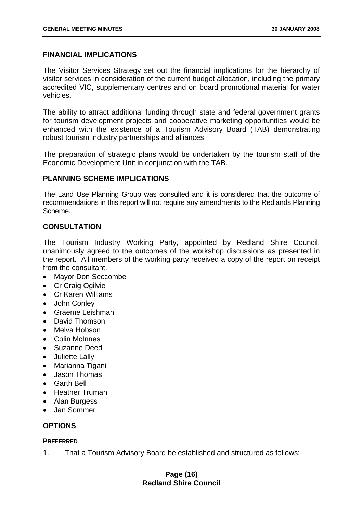# **FINANCIAL IMPLICATIONS**

The Visitor Services Strategy set out the financial implications for the hierarchy of visitor services in consideration of the current budget allocation, including the primary accredited VIC, supplementary centres and on board promotional material for water vehicles.

The ability to attract additional funding through state and federal government grants for tourism development projects and cooperative marketing opportunities would be enhanced with the existence of a Tourism Advisory Board (TAB) demonstrating robust tourism industry partnerships and alliances.

The preparation of strategic plans would be undertaken by the tourism staff of the Economic Development Unit in conjunction with the TAB.

#### **PLANNING SCHEME IMPLICATIONS**

The Land Use Planning Group was consulted and it is considered that the outcome of recommendations in this report will not require any amendments to the Redlands Planning Scheme.

# **CONSULTATION**

The Tourism Industry Working Party, appointed by Redland Shire Council, unanimously agreed to the outcomes of the workshop discussions as presented in the report. All members of the working party received a copy of the report on receipt from the consultant.

- Mayor Don Seccombe
- Cr Craig Ogilvie
- Cr Karen Williams
- John Conley
- Graeme Leishman
- David Thomson
- Melva Hobson
- Colin McInnes
- Suzanne Deed
- Juliette Lally
- Marianna Tigani
- Jason Thomas
- Garth Bell
- Heather Truman
- Alan Burgess
- Jan Sommer

# **OPTIONS**

#### **PREFERRED**

1. That a Tourism Advisory Board be established and structured as follows: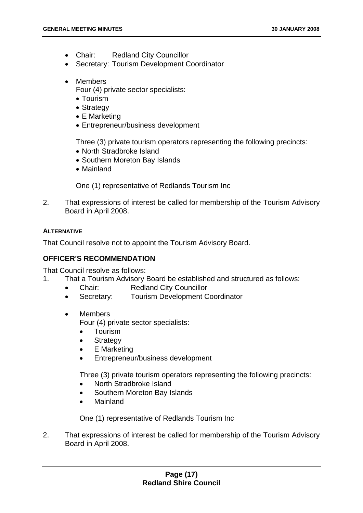- Chair: Redland City Councillor
- Secretary: Tourism Development Coordinator
- Members

Four (4) private sector specialists:

- Tourism
- Strategy
- E Marketing
- Entrepreneur/business development

Three (3) private tourism operators representing the following precincts:

- North Stradbroke Island
- Southern Moreton Bay Islands
- Mainland

One (1) representative of Redlands Tourism Inc

2. That expressions of interest be called for membership of the Tourism Advisory Board in April 2008.

# **ALTERNATIVE**

That Council resolve not to appoint the Tourism Advisory Board.

# **OFFICER'S RECOMMENDATION**

That Council resolve as follows:

1. That a Tourism Advisory Board be established and structured as follows:

- Chair: Redland City Councillor
- Secretary: Tourism Development Coordinator
- Members

Four (4) private sector specialists:

- Tourism
- **Strategy**
- **E** Marketing
- Entrepreneur/business development

Three (3) private tourism operators representing the following precincts:

- North Stradbroke Island
- Southern Moreton Bay Islands
- Mainland

One (1) representative of Redlands Tourism Inc

2. That expressions of interest be called for membership of the Tourism Advisory Board in April 2008.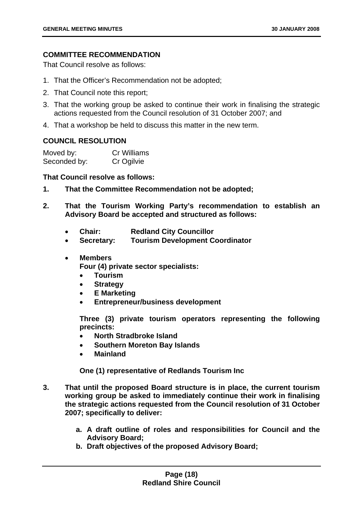# **COMMITTEE RECOMMENDATION**

That Council resolve as follows:

- 1. That the Officer's Recommendation not be adopted;
- 2. That Council note this report;
- 3. That the working group be asked to continue their work in finalising the strategic actions requested from the Council resolution of 31 October 2007; and
- 4. That a workshop be held to discuss this matter in the new term.

# **COUNCIL RESOLUTION**

| Moved by:    | <b>Cr Williams</b> |
|--------------|--------------------|
| Seconded by: | Cr Ogilvie         |

# **That Council resolve as follows:**

- **1. That the Committee Recommendation not be adopted;**
- **2. That the Tourism Working Party's recommendation to establish an Advisory Board be accepted and structured as follows:** 
	- **Chair: Redland City Councillor**
	- **Secretary: Tourism Development Coordinator**
	- **Members**

**Four (4) private sector specialists:** 

- **Tourism**
- **Strategy**
- **E Marketing**
- **Entrepreneur/business development**

**Three (3) private tourism operators representing the following precincts:** 

- **North Stradbroke Island**
- **Southern Moreton Bay Islands**
- **Mainland**

**One (1) representative of Redlands Tourism Inc** 

- **3. That until the proposed Board structure is in place, the current tourism working group be asked to immediately continue their work in finalising the strategic actions requested from the Council resolution of 31 October 2007; specifically to deliver:** 
	- **a. A draft outline of roles and responsibilities for Council and the Advisory Board;**
	- **b. Draft objectives of the proposed Advisory Board;**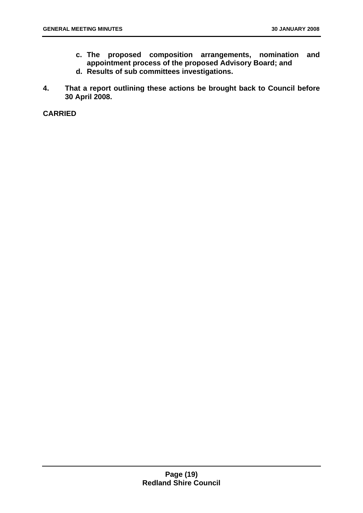- **c. The proposed composition arrangements, nomination and appointment process of the proposed Advisory Board; and**
- **d. Results of sub committees investigations.**
- **4. That a report outlining these actions be brought back to Council before 30 April 2008.**

**CARRIED**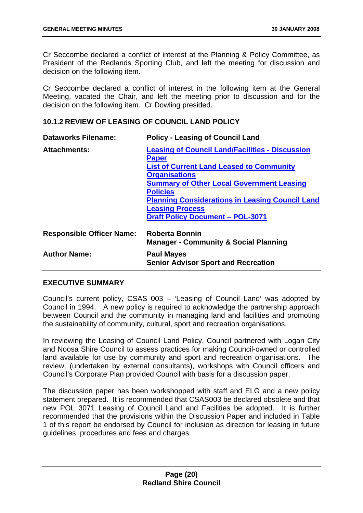Cr Seccombe declared a conflict of interest at the Planning & Policy Committee, as President of the Redlands Sporting Club, and left the meeting for discussion and decision on the following item.

Cr Seccombe declared a conflict of interest in the following item at the General Meeting, vacated the Chair, and left the meeting prior to discussion and for the decision on the following item. Cr Dowling presided.

# <span id="page-20-0"></span>**10.1.2 REVIEW OF LEASING OF COUNCIL LAND POLICY**

| <b>Dataworks Filename:</b>       | <b>Policy - Leasing of Council Land</b>                                                                                                                                                                                                                                                                                                                 |
|----------------------------------|---------------------------------------------------------------------------------------------------------------------------------------------------------------------------------------------------------------------------------------------------------------------------------------------------------------------------------------------------------|
| <b>Attachments:</b>              | <b>Leasing of Council Land/Facilities - Discussion</b><br><b>Paper</b><br><b>List of Current Land Leased to Community</b><br><b>Organisations</b><br><b>Summary of Other Local Government Leasing</b><br><b>Policies</b><br><b>Planning Considerations in Leasing Council Land</b><br><b>Leasing Process</b><br><b>Draft Policy Document - POL-3071</b> |
| <b>Responsible Officer Name:</b> | <b>Roberta Bonnin</b><br><b>Manager - Community &amp; Social Planning</b>                                                                                                                                                                                                                                                                               |
| <b>Author Name:</b>              | <b>Paul Mayes</b><br><b>Senior Advisor Sport and Recreation</b>                                                                                                                                                                                                                                                                                         |

# **EXECUTIVE SUMMARY**

Council's current policy, CSAS 003 – 'Leasing of Council Land' was adopted by Council in 1994. A new policy is required to acknowledge the partnership approach between Council and the community in managing land and facilities and promoting the sustainability of community, cultural, sport and recreation organisations.

In reviewing the Leasing of Council Land Policy, Council partnered with Logan City and Noosa Shire Council to assess practices for making Council-owned or controlled land available for use by community and sport and recreation organisations. The review, (undertaken by external consultants), workshops with Council officers and Council's Corporate Plan provided Council with basis for a discussion paper.

The discussion paper has been workshopped with staff and ELG and a new policy statement prepared. It is recommended that CSAS003 be declared obsolete and that new POL 3071 Leasing of Council Land and Facilities be adopted. It is further recommended that the provisions within the Discussion Paper and included in Table 1 of this report be endorsed by Council for inclusion as direction for leasing in future guidelines, procedures and fees and charges.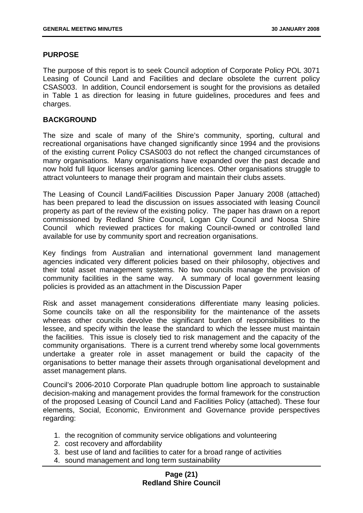# **PURPOSE**

The purpose of this report is to seek Council adoption of Corporate Policy POL 3071 Leasing of Council Land and Facilities and declare obsolete the current policy CSAS003. In addition, Council endorsement is sought for the provisions as detailed in Table 1 as direction for leasing in future guidelines, procedures and fees and charges.

## **BACKGROUND**

The size and scale of many of the Shire's community, sporting, cultural and recreational organisations have changed significantly since 1994 and the provisions of the existing current Policy CSAS003 do not reflect the changed circumstances of many organisations. Many organisations have expanded over the past decade and now hold full liquor licenses and/or gaming licences. Other organisations struggle to attract volunteers to manage their program and maintain their clubs assets.

The Leasing of Council Land/Facilities Discussion Paper January 2008 (attached) has been prepared to lead the discussion on issues associated with leasing Council property as part of the review of the existing policy. The paper has drawn on a report commissioned by Redland Shire Council, Logan City Council and Noosa Shire Council which reviewed practices for making Council-owned or controlled land available for use by community sport and recreation organisations.

Key findings from Australian and international government land management agencies indicated very different policies based on their philosophy, objectives and their total asset management systems. No two councils manage the provision of community facilities in the same way. A summary of local government leasing policies is provided as an attachment in the Discussion Paper

Risk and asset management considerations differentiate many leasing policies. Some councils take on all the responsibility for the maintenance of the assets whereas other councils devolve the significant burden of responsibilities to the lessee, and specify within the lease the standard to which the lessee must maintain the facilities. This issue is closely tied to risk management and the capacity of the community organisations. There is a current trend whereby some local governments undertake a greater role in asset management or build the capacity of the organisations to better manage their assets through organisational development and asset management plans.

Council's 2006-2010 Corporate Plan quadruple bottom line approach to sustainable decision-making and management provides the formal framework for the construction of the proposed Leasing of Council Land and Facilities Policy (attached). These four elements, Social, Economic, Environment and Governance provide perspectives regarding:

- 1. the recognition of community service obligations and volunteering
- 2. cost recovery and affordability
- 3. best use of land and facilities to cater for a broad range of activities
- 4. sound management and long term sustainability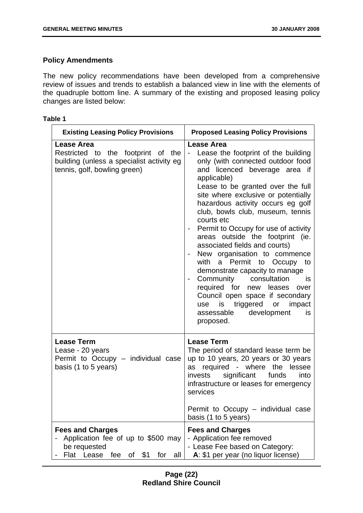# **Policy Amendments**

The new policy recommendations have been developed from a comprehensive review of issues and trends to establish a balanced view in line with the elements of the quadruple bottom line. A summary of the existing and proposed leasing policy changes are listed below:

## **Table 1**

| <b>Existing Leasing Policy Provisions</b>                                                                                            | <b>Proposed Leasing Policy Provisions</b>                                                                                                                                                                                                                                                                                                                                                                                                                                                                                                                                                                                                                                                                         |
|--------------------------------------------------------------------------------------------------------------------------------------|-------------------------------------------------------------------------------------------------------------------------------------------------------------------------------------------------------------------------------------------------------------------------------------------------------------------------------------------------------------------------------------------------------------------------------------------------------------------------------------------------------------------------------------------------------------------------------------------------------------------------------------------------------------------------------------------------------------------|
| <b>Lease Area</b><br>Restricted to the footprint of the<br>building (unless a specialist activity eg<br>tennis, golf, bowling green) | <b>Lease Area</b><br>Lease the footprint of the building<br>only (with connected outdoor food<br>and licenced beverage area if<br>applicable)<br>Lease to be granted over the full<br>site where exclusive or potentially<br>hazardous activity occurs eg golf<br>club, bowls club, museum, tennis<br>courts etc<br>Permit to Occupy for use of activity<br>areas outside the footprint (ie.<br>associated fields and courts)<br>New organisation to commence<br>with a Permit to Occupy to<br>demonstrate capacity to manage<br>Community consultation<br>is<br>required for new leases<br>over<br>Council open space if secondary<br>use is triggered or impact<br>development<br>assessable<br>is<br>proposed. |
| <b>Lease Term</b><br>Lease - 20 years<br>Permit to Occupy - individual case<br>basis (1 to 5 years)                                  | <b>Lease Term</b><br>The period of standard lease term be<br>up to 10 years, 20 years or 30 years<br>required - where the lessee<br>as<br>significant<br>invests<br>funds<br>into<br>infrastructure or leases for emergency<br>services<br>Permit to Occupy – individual case<br>basis (1 to 5 years)                                                                                                                                                                                                                                                                                                                                                                                                             |
| <b>Fees and Charges</b><br>Application fee of up to \$500 may<br>be requested<br>Lease<br>of $$1$<br>Flat<br>fee<br>for<br>all       | <b>Fees and Charges</b><br>- Application fee removed<br>- Lease Fee based on Category:<br>A: \$1 per year (no liquor license)                                                                                                                                                                                                                                                                                                                                                                                                                                                                                                                                                                                     |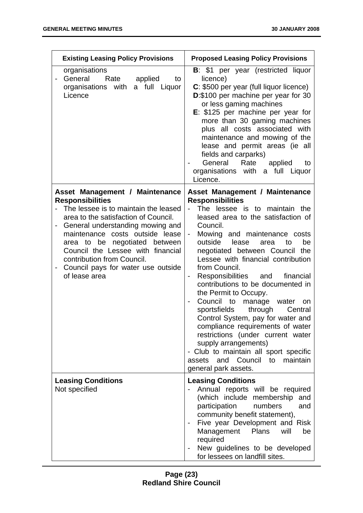| <b>Existing Leasing Policy Provisions</b>                                                                                                                                                                                                                                                                                                                                   | <b>Proposed Leasing Policy Provisions</b>                                                                                                                                                                                                                                                                                                                                                                                                                                                                                                                                                                                                                                                                                                 |  |
|-----------------------------------------------------------------------------------------------------------------------------------------------------------------------------------------------------------------------------------------------------------------------------------------------------------------------------------------------------------------------------|-------------------------------------------------------------------------------------------------------------------------------------------------------------------------------------------------------------------------------------------------------------------------------------------------------------------------------------------------------------------------------------------------------------------------------------------------------------------------------------------------------------------------------------------------------------------------------------------------------------------------------------------------------------------------------------------------------------------------------------------|--|
| organisations<br>General<br>Rate<br>applied<br>to<br>$\qquad \qquad \blacksquare$<br>organisations with a full Liquor<br>Licence                                                                                                                                                                                                                                            | <b>B</b> : \$1 per year (restricted liquor<br>licence)<br>C: \$500 per year (full liquor licence)<br>D:\$100 per machine per year for 30<br>or less gaming machines<br>$E: $125$ per machine per year for<br>more than 30 gaming machines<br>plus all costs associated with<br>maintenance and mowing of the<br>lease and permit areas (ie all<br>fields and carparks)<br>General<br>Rate<br>applied<br>to<br>organisations with a full Liquor<br>Licence.                                                                                                                                                                                                                                                                                |  |
| Asset Management / Maintenance<br><b>Responsibilities</b><br>The lessee is to maintain the leased<br>area to the satisfaction of Council.<br>General understanding mowing and<br>maintenance costs outside lease<br>area to be negotiated between<br>Council the Lessee with financial<br>contribution from Council.<br>Council pays for water use outside<br>of lease area | Asset Management / Maintenance<br><b>Responsibilities</b><br>The lessee is to maintain the<br>leased area to the satisfaction of<br>Council.<br>Mowing and maintenance costs<br>outside<br>lease<br>be<br>area<br>to<br>negotiated between Council the<br>Lessee with financial contribution<br>from Council.<br>Responsibilities and<br>financial<br>contributions to be documented in<br>the Permit to Occupy.<br>Council to manage<br>water<br>on<br>sportsfields<br>through<br>Central<br>Control System, pay for water and<br>compliance requirements of water<br>restrictions (under current water<br>supply arrangements)<br>- Club to maintain all sport specific<br>and Council to<br>maintain<br>assets<br>general park assets. |  |
| <b>Leasing Conditions</b><br>Not specified                                                                                                                                                                                                                                                                                                                                  | <b>Leasing Conditions</b><br>Annual reports will be required<br>(which include membership and<br>participation<br>numbers<br>and<br>community benefit statement),<br>Five year Development and Risk<br>Management<br><b>Plans</b><br>will<br>be<br>required<br>New guidelines to be developed<br>for lessees on landfill sites.                                                                                                                                                                                                                                                                                                                                                                                                           |  |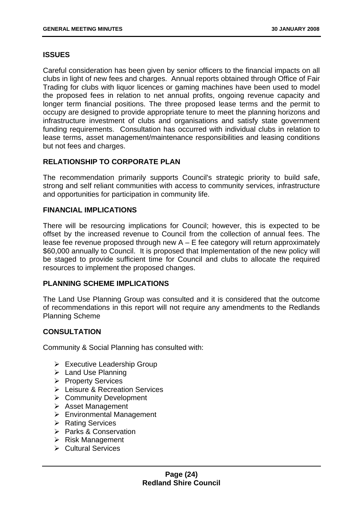# **ISSUES**

Careful consideration has been given by senior officers to the financial impacts on all clubs in light of new fees and charges. Annual reports obtained through Office of Fair Trading for clubs with liquor licences or gaming machines have been used to model the proposed fees in relation to net annual profits, ongoing revenue capacity and longer term financial positions. The three proposed lease terms and the permit to occupy are designed to provide appropriate tenure to meet the planning horizons and infrastructure investment of clubs and organisations and satisfy state government funding requirements. Consultation has occurred with individual clubs in relation to lease terms, asset management/maintenance responsibilities and leasing conditions but not fees and charges.

# **RELATIONSHIP TO CORPORATE PLAN**

The recommendation primarily supports Council's strategic priority to build safe, strong and self reliant communities with access to community services, infrastructure and opportunities for participation in community life.

# **FINANCIAL IMPLICATIONS**

There will be resourcing implications for Council; however, this is expected to be offset by the increased revenue to Council from the collection of annual fees. The lease fee revenue proposed through new  $A - E$  fee category will return approximately \$60,000 annually to Council. It is proposed that Implementation of the new policy will be staged to provide sufficient time for Council and clubs to allocate the required resources to implement the proposed changes.

# **PLANNING SCHEME IMPLICATIONS**

The Land Use Planning Group was consulted and it is considered that the outcome of recommendations in this report will not require any amendments to the Redlands Planning Scheme

# **CONSULTATION**

Community & Social Planning has consulted with:

- $\triangleright$  Executive Leadership Group
- $\triangleright$  Land Use Planning
- ¾ Property Services
- ¾ Leisure & Recreation Services
- **► Community Development**
- $\triangleright$  Asset Management
- $\triangleright$  Environmental Management
- **EXARED** Rating Services
- **▶ Parks & Conservation**
- $\triangleright$  Risk Management
- ¾ Cultural Services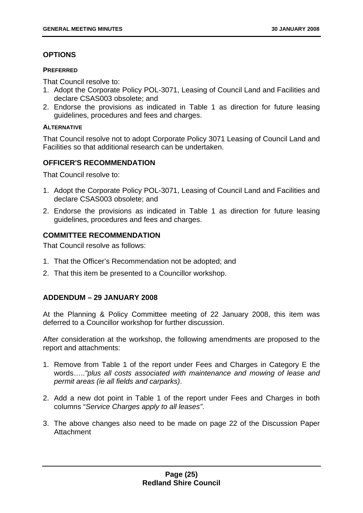# **OPTIONS**

#### **PREFERRED**

That Council resolve to:

- 1. Adopt the Corporate Policy POL-3071, Leasing of Council Land and Facilities and declare CSAS003 obsolete; and
- 2. Endorse the provisions as indicated in Table 1 as direction for future leasing guidelines, procedures and fees and charges.

#### **ALTERNATIVE**

That Council resolve not to adopt Corporate Policy 3071 Leasing of Council Land and Facilities so that additional research can be undertaken.

# **OFFICER'S RECOMMENDATION**

That Council resolve to:

- 1. Adopt the Corporate Policy POL-3071, Leasing of Council Land and Facilities and declare CSAS003 obsolete; and
- 2. Endorse the provisions as indicated in Table 1 as direction for future leasing guidelines, procedures and fees and charges.

# **COMMITTEE RECOMMENDATION**

That Council resolve as follows:

- 1. That the Officer's Recommendation not be adopted; and
- 2. That this item be presented to a Councillor workshop.

# **ADDENDUM – 29 JANUARY 2008**

At the Planning & Policy Committee meeting of 22 January 2008, this item was deferred to a Councillor workshop for further discussion.

After consideration at the workshop, the following amendments are proposed to the report and attachments:

- 1. Remove from Table 1 of the report under Fees and Charges in Category E the words…..*"plus all costs associated with maintenance and mowing of lease and permit areas (ie all fields and carparks)*.
- 2. Add a new dot point in Table 1 of the report under Fees and Charges in both columns "*Service Charges apply to all leases"*.
- 3. The above changes also need to be made on page 22 of the Discussion Paper Attachment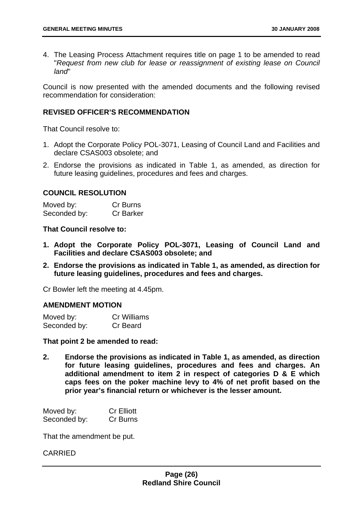4. The Leasing Process Attachment requires title on page 1 to be amended to read "*Request from new club for lease or reassignment of existing lease on Council land*"

Council is now presented with the amended documents and the following revised recommendation for consideration:

# **REVISED OFFICER'S RECOMMENDATION**

That Council resolve to:

- 1. Adopt the Corporate Policy POL-3071, Leasing of Council Land and Facilities and declare CSAS003 obsolete; and
- 2. Endorse the provisions as indicated in Table 1, as amended, as direction for future leasing guidelines, procedures and fees and charges.

#### **COUNCIL RESOLUTION**

| Moved by:    | Cr Burns         |
|--------------|------------------|
| Seconded by: | <b>Cr Barker</b> |

#### **That Council resolve to:**

- **1. Adopt the Corporate Policy POL-3071, Leasing of Council Land and Facilities and declare CSAS003 obsolete; and**
- **2. Endorse the provisions as indicated in Table 1, as amended, as direction for future leasing guidelines, procedures and fees and charges.**

Cr Bowler left the meeting at 4.45pm.

#### **AMENDMENT MOTION**

| Moved by:    | <b>Cr Williams</b> |
|--------------|--------------------|
| Seconded by: | Cr Beard           |

#### **That point 2 be amended to read:**

**2. Endorse the provisions as indicated in Table 1, as amended, as direction for future leasing guidelines, procedures and fees and charges. An additional amendment to item 2 in respect of categories D & E which caps fees on the poker machine levy to 4% of net profit based on the prior year's financial return or whichever is the lesser amount.** 

| Moved by:    | <b>Cr Elliott</b> |
|--------------|-------------------|
| Seconded by: | Cr Burns          |

That the amendment be put.

#### CARRIED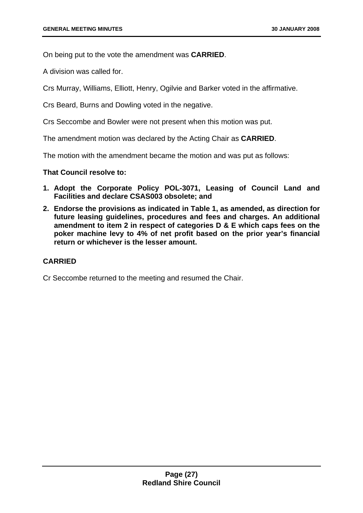On being put to the vote the amendment was **CARRIED**.

A division was called for.

Crs Murray, Williams, Elliott, Henry, Ogilvie and Barker voted in the affirmative.

Crs Beard, Burns and Dowling voted in the negative.

Crs Seccombe and Bowler were not present when this motion was put.

The amendment motion was declared by the Acting Chair as **CARRIED**.

The motion with the amendment became the motion and was put as follows:

**That Council resolve to:** 

- **1. Adopt the Corporate Policy POL-3071, Leasing of Council Land and Facilities and declare CSAS003 obsolete; and**
- **2. Endorse the provisions as indicated in Table 1, as amended, as direction for future leasing guidelines, procedures and fees and charges. An additional amendment to item 2 in respect of categories D & E which caps fees on the poker machine levy to 4% of net profit based on the prior year's financial return or whichever is the lesser amount.**

# **CARRIED**

Cr Seccombe returned to the meeting and resumed the Chair.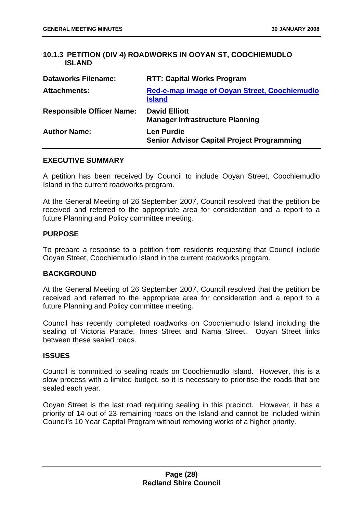# <span id="page-28-0"></span>**10.1.3 PETITION (DIV 4) ROADWORKS IN OOYAN ST, COOCHIEMUDLO ISLAND**

| <b>Dataworks Filename:</b>       | <b>RTT: Capital Works Program</b>                                      |
|----------------------------------|------------------------------------------------------------------------|
| <b>Attachments:</b>              | <b>Red-e-map image of Ooyan Street, Coochiemudlo</b><br><b>Island</b>  |
| <b>Responsible Officer Name:</b> | <b>David Elliott</b><br><b>Manager Infrastructure Planning</b>         |
| <b>Author Name:</b>              | <b>Len Purdie</b><br><b>Senior Advisor Capital Project Programming</b> |

#### **EXECUTIVE SUMMARY**

A petition has been received by Council to include Ooyan Street, Coochiemudlo Island in the current roadworks program.

At the General Meeting of 26 September 2007, Council resolved that the petition be received and referred to the appropriate area for consideration and a report to a future Planning and Policy committee meeting.

#### **PURPOSE**

To prepare a response to a petition from residents requesting that Council include Ooyan Street, Coochiemudlo Island in the current roadworks program.

#### **BACKGROUND**

At the General Meeting of 26 September 2007, Council resolved that the petition be received and referred to the appropriate area for consideration and a report to a future Planning and Policy committee meeting.

Council has recently completed roadworks on Coochiemudlo Island including the sealing of Victoria Parade, Innes Street and Nama Street. Ooyan Street links between these sealed roads.

#### **ISSUES**

Council is committed to sealing roads on Coochiemudlo Island. However, this is a slow process with a limited budget, so it is necessary to prioritise the roads that are sealed each year.

Ooyan Street is the last road requiring sealing in this precinct. However, it has a priority of 14 out of 23 remaining roads on the Island and cannot be included within Council's 10 Year Capital Program without removing works of a higher priority.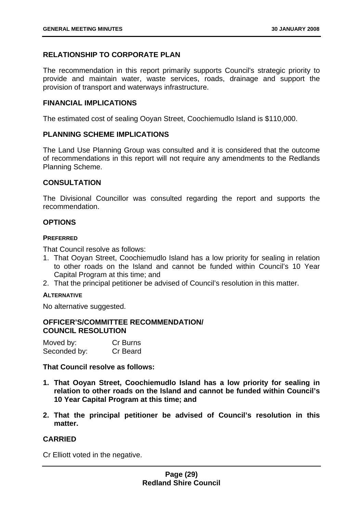# **RELATIONSHIP TO CORPORATE PLAN**

The recommendation in this report primarily supports Council's strategic priority to provide and maintain water, waste services, roads, drainage and support the provision of transport and waterways infrastructure.

#### **FINANCIAL IMPLICATIONS**

The estimated cost of sealing Ooyan Street, Coochiemudlo Island is \$110,000.

#### **PLANNING SCHEME IMPLICATIONS**

The Land Use Planning Group was consulted and it is considered that the outcome of recommendations in this report will not require any amendments to the Redlands Planning Scheme.

#### **CONSULTATION**

The Divisional Councillor was consulted regarding the report and supports the recommendation.

#### **OPTIONS**

#### **PREFERRED**

That Council resolve as follows:

- 1. That Ooyan Street, Coochiemudlo Island has a low priority for sealing in relation to other roads on the Island and cannot be funded within Council's 10 Year Capital Program at this time; and
- 2. That the principal petitioner be advised of Council's resolution in this matter.

#### **ALTERNATIVE**

No alternative suggested.

# **OFFICER'S/COMMITTEE RECOMMENDATION/ COUNCIL RESOLUTION**

| Moved by:    | Cr Burns |
|--------------|----------|
| Seconded by: | Cr Beard |

**That Council resolve as follows:** 

- **1. That Ooyan Street, Coochiemudlo Island has a low priority for sealing in relation to other roads on the Island and cannot be funded within Council's 10 Year Capital Program at this time; and**
- **2. That the principal petitioner be advised of Council's resolution in this matter.**

#### **CARRIED**

Cr Elliott voted in the negative.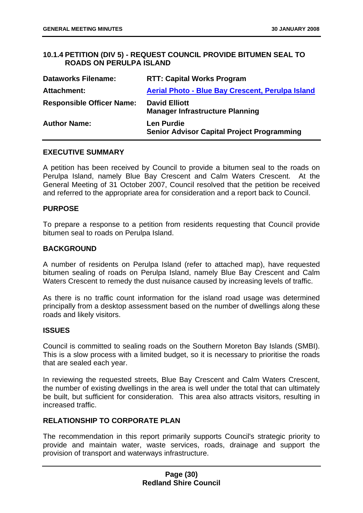# <span id="page-30-0"></span>**10.1.4 PETITION (DIV 5) - REQUEST COUNCIL PROVIDE BITUMEN SEAL TO ROADS ON PERULPA ISLAND**

| <b>Dataworks Filename:</b>       | <b>RTT: Capital Works Program</b>                                      |
|----------------------------------|------------------------------------------------------------------------|
| Attachment:                      | <b>Aerial Photo - Blue Bay Crescent, Perulpa Island</b>                |
| <b>Responsible Officer Name:</b> | <b>David Elliott</b><br><b>Manager Infrastructure Planning</b>         |
| <b>Author Name:</b>              | <b>Len Purdie</b><br><b>Senior Advisor Capital Project Programming</b> |

#### **EXECUTIVE SUMMARY**

A petition has been received by Council to provide a bitumen seal to the roads on Perulpa Island, namely Blue Bay Crescent and Calm Waters Crescent. At the General Meeting of 31 October 2007, Council resolved that the petition be received and referred to the appropriate area for consideration and a report back to Council.

#### **PURPOSE**

To prepare a response to a petition from residents requesting that Council provide bitumen seal to roads on Perulpa Island.

#### **BACKGROUND**

A number of residents on Perulpa Island (refer to attached map), have requested bitumen sealing of roads on Perulpa Island, namely Blue Bay Crescent and Calm Waters Crescent to remedy the dust nuisance caused by increasing levels of traffic.

As there is no traffic count information for the island road usage was determined principally from a desktop assessment based on the number of dwellings along these roads and likely visitors.

#### **ISSUES**

Council is committed to sealing roads on the Southern Moreton Bay Islands (SMBI). This is a slow process with a limited budget, so it is necessary to prioritise the roads that are sealed each year.

In reviewing the requested streets, Blue Bay Crescent and Calm Waters Crescent, the number of existing dwellings in the area is well under the total that can ultimately be built, but sufficient for consideration. This area also attracts visitors, resulting in increased traffic.

#### **RELATIONSHIP TO CORPORATE PLAN**

The recommendation in this report primarily supports Council's strategic priority to provide and maintain water, waste services, roads, drainage and support the provision of transport and waterways infrastructure.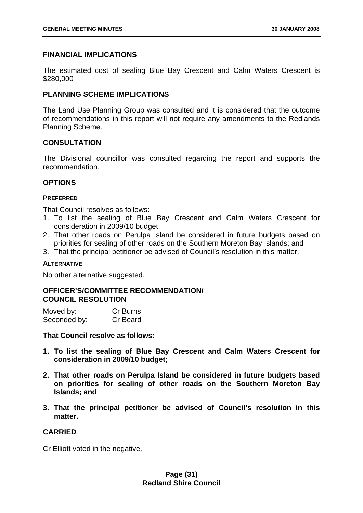# **FINANCIAL IMPLICATIONS**

The estimated cost of sealing Blue Bay Crescent and Calm Waters Crescent is \$280,000

# **PLANNING SCHEME IMPLICATIONS**

The Land Use Planning Group was consulted and it is considered that the outcome of recommendations in this report will not require any amendments to the Redlands Planning Scheme.

# **CONSULTATION**

The Divisional councillor was consulted regarding the report and supports the recommendation.

#### **OPTIONS**

#### **PREFERRED**

That Council resolves as follows:

- 1. To list the sealing of Blue Bay Crescent and Calm Waters Crescent for consideration in 2009/10 budget;
- 2. That other roads on Perulpa Island be considered in future budgets based on priorities for sealing of other roads on the Southern Moreton Bay Islands; and
- 3. That the principal petitioner be advised of Council's resolution in this matter.

#### **ALTERNATIVE**

No other alternative suggested.

# **OFFICER'S/COMMITTEE RECOMMENDATION/ COUNCIL RESOLUTION**

| Moved by:    | Cr Burns |
|--------------|----------|
| Seconded by: | Cr Beard |

**That Council resolve as follows:** 

- **1. To list the sealing of Blue Bay Crescent and Calm Waters Crescent for consideration in 2009/10 budget;**
- **2. That other roads on Perulpa Island be considered in future budgets based on priorities for sealing of other roads on the Southern Moreton Bay Islands; and**
- **3. That the principal petitioner be advised of Council's resolution in this matter.**

# **CARRIED**

Cr Elliott voted in the negative.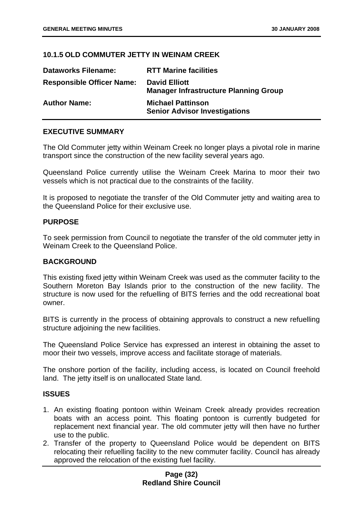## <span id="page-32-0"></span>**10.1.5 OLD COMMUTER JETTY IN WEINAM CREEK**

| <b>Dataworks Filename:</b>       | <b>RTT Marine facilities</b>                                         |
|----------------------------------|----------------------------------------------------------------------|
| <b>Responsible Officer Name:</b> | <b>David Elliott</b><br><b>Manager Infrastructure Planning Group</b> |
| <b>Author Name:</b>              | <b>Michael Pattinson</b><br><b>Senior Advisor Investigations</b>     |

#### **EXECUTIVE SUMMARY**

The Old Commuter jetty within Weinam Creek no longer plays a pivotal role in marine transport since the construction of the new facility several years ago.

Queensland Police currently utilise the Weinam Creek Marina to moor their two vessels which is not practical due to the constraints of the facility.

It is proposed to negotiate the transfer of the Old Commuter jetty and waiting area to the Queensland Police for their exclusive use.

#### **PURPOSE**

To seek permission from Council to negotiate the transfer of the old commuter jetty in Weinam Creek to the Queensland Police.

#### **BACKGROUND**

This existing fixed jetty within Weinam Creek was used as the commuter facility to the Southern Moreton Bay Islands prior to the construction of the new facility. The structure is now used for the refuelling of BITS ferries and the odd recreational boat owner.

BITS is currently in the process of obtaining approvals to construct a new refuelling structure adjoining the new facilities.

The Queensland Police Service has expressed an interest in obtaining the asset to moor their two vessels, improve access and facilitate storage of materials.

The onshore portion of the facility, including access, is located on Council freehold land. The jetty itself is on unallocated State land.

## **ISSUES**

- 1. An existing floating pontoon within Weinam Creek already provides recreation boats with an access point. This floating pontoon is currently budgeted for replacement next financial year. The old commuter jetty will then have no further use to the public.
- 2. Transfer of the property to Queensland Police would be dependent on BITS relocating their refuelling facility to the new commuter facility. Council has already approved the relocation of the existing fuel facility.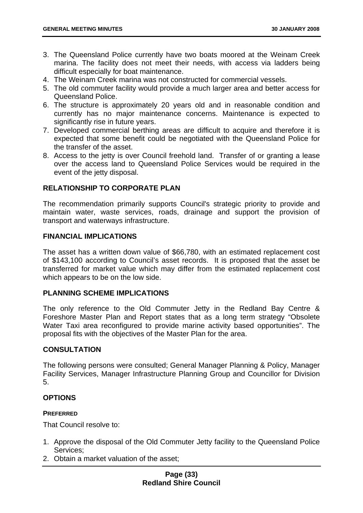- 3. The Queensland Police currently have two boats moored at the Weinam Creek marina. The facility does not meet their needs, with access via ladders being difficult especially for boat maintenance.
- 4. The Weinam Creek marina was not constructed for commercial vessels.
- 5. The old commuter facility would provide a much larger area and better access for Queensland Police.
- 6. The structure is approximately 20 years old and in reasonable condition and currently has no major maintenance concerns. Maintenance is expected to significantly rise in future years.
- 7. Developed commercial berthing areas are difficult to acquire and therefore it is expected that some benefit could be negotiated with the Queensland Police for the transfer of the asset.
- 8. Access to the jetty is over Council freehold land. Transfer of or granting a lease over the access land to Queensland Police Services would be required in the event of the jetty disposal.

# **RELATIONSHIP TO CORPORATE PLAN**

The recommendation primarily supports Council's strategic priority to provide and maintain water, waste services, roads, drainage and support the provision of transport and waterways infrastructure.

#### **FINANCIAL IMPLICATIONS**

The asset has a written down value of \$66,780, with an estimated replacement cost of \$143,100 according to Council's asset records. It is proposed that the asset be transferred for market value which may differ from the estimated replacement cost which appears to be on the low side.

# **PLANNING SCHEME IMPLICATIONS**

The only reference to the Old Commuter Jetty in the Redland Bay Centre & Foreshore Master Plan and Report states that as a long term strategy "Obsolete Water Taxi area reconfigured to provide marine activity based opportunities". The proposal fits with the objectives of the Master Plan for the area.

#### **CONSULTATION**

The following persons were consulted; General Manager Planning & Policy, Manager Facility Services, Manager Infrastructure Planning Group and Councillor for Division 5.

# **OPTIONS**

#### **PREFERRED**

That Council resolve to:

- 1. Approve the disposal of the Old Commuter Jetty facility to the Queensland Police Services;
- 2. Obtain a market valuation of the asset;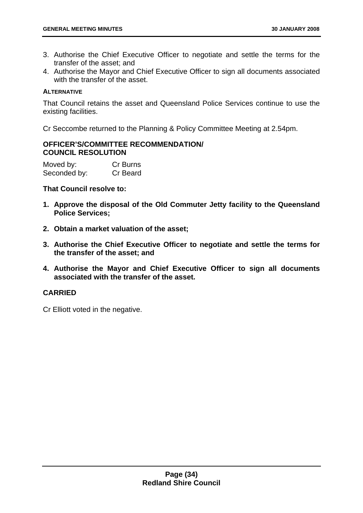- 3. Authorise the Chief Executive Officer to negotiate and settle the terms for the transfer of the asset; and
- 4. Authorise the Mayor and Chief Executive Officer to sign all documents associated with the transfer of the asset.

## **ALTERNATIVE**

That Council retains the asset and Queensland Police Services continue to use the existing facilities.

Cr Seccombe returned to the Planning & Policy Committee Meeting at 2.54pm.

# **OFFICER'S/COMMITTEE RECOMMENDATION/ COUNCIL RESOLUTION**

Moved by: Cr Burns Seconded by: Cr Beard

### **That Council resolve to:**

- **1. Approve the disposal of the Old Commuter Jetty facility to the Queensland Police Services;**
- **2. Obtain a market valuation of the asset;**
- **3. Authorise the Chief Executive Officer to negotiate and settle the terms for the transfer of the asset; and**
- **4. Authorise the Mayor and Chief Executive Officer to sign all documents associated with the transfer of the asset.**

# **CARRIED**

Cr Elliott voted in the negative.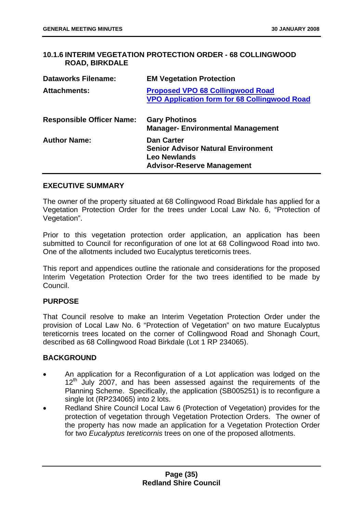# <span id="page-35-0"></span>**10.1.6 INTERIM VEGETATION PROTECTION ORDER - 68 COLLINGWOOD ROAD, BIRKDALE**

| <b>Dataworks Filename:</b>       | <b>EM Vegetation Protection</b>                                                                                            |
|----------------------------------|----------------------------------------------------------------------------------------------------------------------------|
| <b>Attachments:</b>              | <b>Proposed VPO 68 Collingwood Road</b><br><b>VPO Application form for 68 Collingwood Road</b>                             |
| <b>Responsible Officer Name:</b> | <b>Gary Photinos</b><br><b>Manager- Environmental Management</b>                                                           |
| <b>Author Name:</b>              | <b>Dan Carter</b><br><b>Senior Advisor Natural Environment</b><br><b>Leo Newlands</b><br><b>Advisor-Reserve Management</b> |

# **EXECUTIVE SUMMARY**

The owner of the property situated at 68 Collingwood Road Birkdale has applied for a Vegetation Protection Order for the trees under Local Law No. 6, "Protection of Vegetation".

Prior to this vegetation protection order application, an application has been submitted to Council for reconfiguration of one lot at 68 Collingwood Road into two. One of the allotments included two Eucalyptus tereticornis trees.

This report and appendices outline the rationale and considerations for the proposed Interim Vegetation Protection Order for the two trees identified to be made by Council.

# **PURPOSE**

That Council resolve to make an Interim Vegetation Protection Order under the provision of Local Law No. 6 "Protection of Vegetation" on two mature Eucalyptus tereticornis trees located on the corner of Collingwood Road and Shonagh Court, described as 68 Collingwood Road Birkdale (Lot 1 RP 234065).

# **BACKGROUND**

- An application for a Reconfiguration of a Lot application was lodged on the  $12<sup>th</sup>$  July 2007, and has been assessed against the requirements of the Planning Scheme. Specifically, the application (SB005251) is to reconfigure a single lot (RP234065) into 2 lots.
- Redland Shire Council Local Law 6 (Protection of Vegetation) provides for the protection of vegetation through Vegetation Protection Orders. The owner of the property has now made an application for a Vegetation Protection Order for two *Eucalyptus tereticornis* trees on one of the proposed allotments.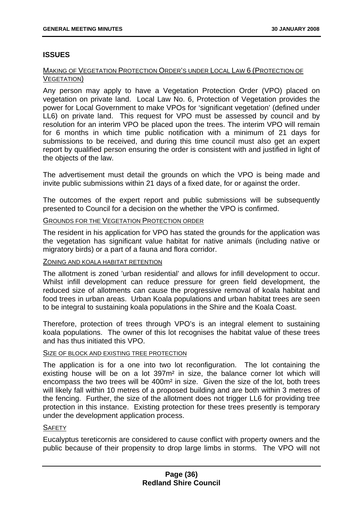# **ISSUES**

### MAKING OF VEGETATION PROTECTION ORDER'S UNDER LOCAL LAW 6 (PROTECTION OF VEGETATION)

Any person may apply to have a Vegetation Protection Order (VPO) placed on vegetation on private land. Local Law No. 6, Protection of Vegetation provides the power for Local Government to make VPOs for 'significant vegetation' (defined under LL6) on private land. This request for VPO must be assessed by council and by resolution for an interim VPO be placed upon the trees. The interim VPO will remain for 6 months in which time public notification with a minimum of 21 days for submissions to be received, and during this time council must also get an expert report by qualified person ensuring the order is consistent with and justified in light of the objects of the law.

The advertisement must detail the grounds on which the VPO is being made and invite public submissions within 21 days of a fixed date, for or against the order.

The outcomes of the expert report and public submissions will be subsequently presented to Council for a decision on the whether the VPO is confirmed.

#### GROUNDS FOR THE VEGETATION PROTECTION ORDER

The resident in his application for VPO has stated the grounds for the application was the vegetation has significant value habitat for native animals (including native or migratory birds) or a part of a fauna and flora corridor.

#### ZONING AND KOALA HABITAT RETENTION

The allotment is zoned 'urban residential' and allows for infill development to occur. Whilst infill development can reduce pressure for green field development, the reduced size of allotments can cause the progressive removal of koala habitat and food trees in urban areas. Urban Koala populations and urban habitat trees are seen to be integral to sustaining koala populations in the Shire and the Koala Coast.

Therefore, protection of trees through VPO's is an integral element to sustaining koala populations. The owner of this lot recognises the habitat value of these trees and has thus initiated this VPO.

#### SIZE OF BLOCK AND EXISTING TREE PROTECTION

The application is for a one into two lot reconfiguration. The lot containing the existing house will be on a lot 397m² in size, the balance corner lot which will encompass the two trees will be 400m² in size. Given the size of the lot, both trees will likely fall within 10 metres of a proposed building and are both within 3 metres of the fencing. Further, the size of the allotment does not trigger LL6 for providing tree protection in this instance. Existing protection for these trees presently is temporary under the development application process.

### **SAFETY**

Eucalyptus tereticornis are considered to cause conflict with property owners and the public because of their propensity to drop large limbs in storms. The VPO will not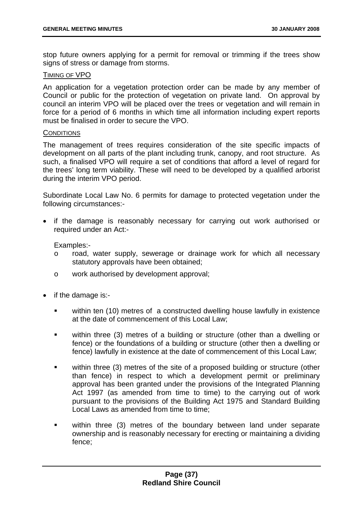stop future owners applying for a permit for removal or trimming if the trees show signs of stress or damage from storms.

### TIMING OF VPO

An application for a vegetation protection order can be made by any member of Council or public for the protection of vegetation on private land. On approval by council an interim VPO will be placed over the trees or vegetation and will remain in force for a period of 6 months in which time all information including expert reports must be finalised in order to secure the VPO.

#### **CONDITIONS**

The management of trees requires consideration of the site specific impacts of development on all parts of the plant including trunk, canopy, and root structure. As such, a finalised VPO will require a set of conditions that afford a level of regard for the trees' long term viability. These will need to be developed by a qualified arborist during the interim VPO period.

Subordinate Local Law No. 6 permits for damage to protected vegetation under the following circumstances:-

• if the damage is reasonably necessary for carrying out work authorised or required under an Act:-

Examples:-

- o road, water supply, sewerage or drainage work for which all necessary statutory approvals have been obtained;
- o work authorised by development approval;
- if the damage is:
	- within ten (10) metres of a constructed dwelling house lawfully in existence at the date of commencement of this Local Law;
	- within three (3) metres of a building or structure (other than a dwelling or fence) or the foundations of a building or structure (other then a dwelling or fence) lawfully in existence at the date of commencement of this Local Law;
	- within three (3) metres of the site of a proposed building or structure (other than fence) in respect to which a development permit or preliminary approval has been granted under the provisions of the Integrated Planning Act 1997 (as amended from time to time) to the carrying out of work pursuant to the provisions of the Building Act 1975 and Standard Building Local Laws as amended from time to time:
	- within three (3) metres of the boundary between land under separate ownership and is reasonably necessary for erecting or maintaining a dividing fence;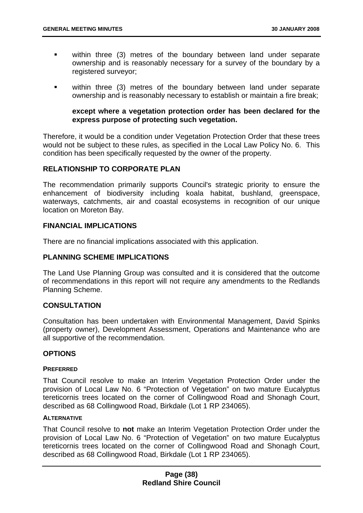- **within three (3) metres of the boundary between land under separate** ownership and is reasonably necessary for a survey of the boundary by a registered surveyor:
- within three (3) metres of the boundary between land under separate ownership and is reasonably necessary to establish or maintain a fire break;

## **except where a vegetation protection order has been declared for the express purpose of protecting such vegetation.**

Therefore, it would be a condition under Vegetation Protection Order that these trees would not be subject to these rules, as specified in the Local Law Policy No. 6. This condition has been specifically requested by the owner of the property.

## **RELATIONSHIP TO CORPORATE PLAN**

The recommendation primarily supports Council's strategic priority to ensure the enhancement of biodiversity including koala habitat, bushland, greenspace, waterways, catchments, air and coastal ecosystems in recognition of our unique location on Moreton Bay.

### **FINANCIAL IMPLICATIONS**

There are no financial implications associated with this application.

# **PLANNING SCHEME IMPLICATIONS**

The Land Use Planning Group was consulted and it is considered that the outcome of recommendations in this report will not require any amendments to the Redlands Planning Scheme.

### **CONSULTATION**

Consultation has been undertaken with Environmental Management, David Spinks (property owner), Development Assessment, Operations and Maintenance who are all supportive of the recommendation.

### **OPTIONS**

#### **PREFERRED**

That Council resolve to make an Interim Vegetation Protection Order under the provision of Local Law No. 6 "Protection of Vegetation" on two mature Eucalyptus tereticornis trees located on the corner of Collingwood Road and Shonagh Court, described as 68 Collingwood Road, Birkdale (Lot 1 RP 234065).

#### **ALTERNATIVE**

That Council resolve to **not** make an Interim Vegetation Protection Order under the provision of Local Law No. 6 "Protection of Vegetation" on two mature Eucalyptus tereticornis trees located on the corner of Collingwood Road and Shonagh Court, described as 68 Collingwood Road, Birkdale (Lot 1 RP 234065).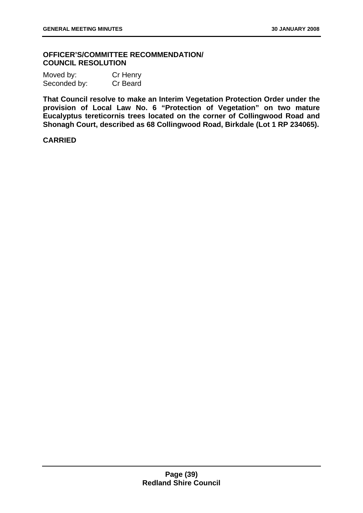## **OFFICER'S/COMMITTEE RECOMMENDATION/ COUNCIL RESOLUTION**

| Moved by:    | Cr Henry |
|--------------|----------|
| Seconded by: | Cr Beard |

**That Council resolve to make an Interim Vegetation Protection Order under the provision of Local Law No. 6 "Protection of Vegetation" on two mature Eucalyptus tereticornis trees located on the corner of Collingwood Road and Shonagh Court, described as 68 Collingwood Road, Birkdale (Lot 1 RP 234065).** 

## **CARRIED**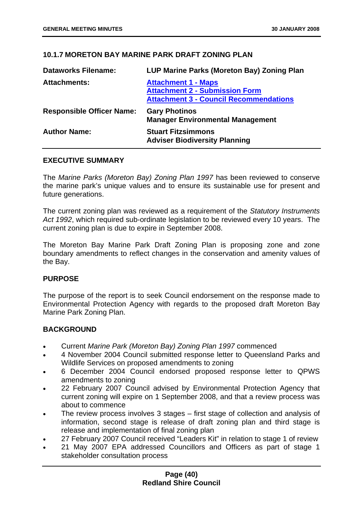# **10.1.7 MORETON BAY MARINE PARK DRAFT ZONING PLAN**

| <b>Dataworks Filename:</b>       | LUP Marine Parks (Moreton Bay) Zoning Plan                                                                           |
|----------------------------------|----------------------------------------------------------------------------------------------------------------------|
| <b>Attachments:</b>              | <b>Attachment 1 - Maps</b><br><b>Attachment 2 - Submission Form</b><br><b>Attachment 3 - Council Recommendations</b> |
| <b>Responsible Officer Name:</b> | <b>Gary Photinos</b><br><b>Manager Environmental Management</b>                                                      |
| <b>Author Name:</b>              | <b>Stuart Fitzsimmons</b><br><b>Adviser Biodiversity Planning</b>                                                    |

### **EXECUTIVE SUMMARY**

The *Marine Parks (Moreton Bay) Zoning Plan 1997* has been reviewed to conserve the marine park's unique values and to ensure its sustainable use for present and future generations.

The current zoning plan was reviewed as a requirement of the *Statutory Instruments Act 1992*, which required sub-ordinate legislation to be reviewed every 10 years. The current zoning plan is due to expire in September 2008.

The Moreton Bay Marine Park Draft Zoning Plan is proposing zone and zone boundary amendments to reflect changes in the conservation and amenity values of the Bay.

### **PURPOSE**

The purpose of the report is to seek Council endorsement on the response made to Environmental Protection Agency with regards to the proposed draft Moreton Bay Marine Park Zoning Plan.

### **BACKGROUND**

- Current *Marine Park (Moreton Bay) Zoning Plan 1997* commenced
- 4 November 2004 Council submitted response letter to Queensland Parks and Wildlife Services on proposed amendments to zoning
- 6 December 2004 Council endorsed proposed response letter to QPWS amendments to zoning
- 22 February 2007 Council advised by Environmental Protection Agency that current zoning will expire on 1 September 2008, and that a review process was about to commence
- The review process involves 3 stages first stage of collection and analysis of information, second stage is release of draft zoning plan and third stage is release and implementation of final zoning plan
- 27 February 2007 Council received "Leaders Kit" in relation to stage 1 of review
- 21 May 2007 EPA addressed Councillors and Officers as part of stage 1 stakeholder consultation process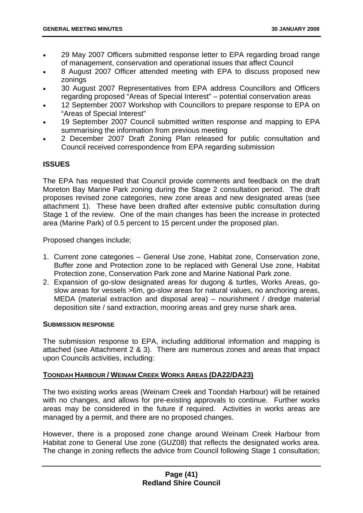- 29 May 2007 Officers submitted response letter to EPA regarding broad range of management, conservation and operational issues that affect Council
- 8 August 2007 Officer attended meeting with EPA to discuss proposed new zonings
- 30 August 2007 Representatives from EPA address Councillors and Officers regarding proposed "Areas of Special Interest" – potential conservation areas
- 12 September 2007 Workshop with Councillors to prepare response to EPA on "Areas of Special Interest"
- 19 September 2007 Council submitted written response and mapping to EPA summarising the information from previous meeting
- 2 December 2007 Draft Zoning Plan released for public consultation and Council received correspondence from EPA regarding submission

# **ISSUES**

The EPA has requested that Council provide comments and feedback on the draft Moreton Bay Marine Park zoning during the Stage 2 consultation period. The draft proposes revised zone categories, new zone areas and new designated areas (see attachment 1). These have been drafted after extensive public consultation during Stage 1 of the review. One of the main changes has been the increase in protected area (Marine Park) of 0.5 percent to 15 percent under the proposed plan.

Proposed changes include;

- 1. Current zone categories General Use zone, Habitat zone, Conservation zone, Buffer zone and Protection zone to be replaced with General Use zone, Habitat Protection zone, Conservation Park zone and Marine National Park zone.
- 2. Expansion of go-slow designated areas for dugong & turtles, Works Areas, goslow areas for vessels >6m, go-slow areas for natural values, no anchoring areas, MEDA (material extraction and disposal area) – nourishment / dredge material deposition site / sand extraction, mooring areas and grey nurse shark area.

### **SUBMISSION RESPONSE**

The submission response to EPA, including additional information and mapping is attached (see Attachment 2 & 3). There are numerous zones and areas that impact upon Councils activities, including:

# **TOONDAH HARBOUR / WEINAM CREEK WORKS AREAS (DA22/DA23)**

The two existing works areas (Weinam Creek and Toondah Harbour) will be retained with no changes, and allows for pre-existing approvals to continue. Further works areas may be considered in the future if required. Activities in works areas are managed by a permit, and there are no proposed changes.

However, there is a proposed zone change around Weinam Creek Harbour from Habitat zone to General Use zone (GUZ08) that reflects the designated works area. The change in zoning reflects the advice from Council following Stage 1 consultation;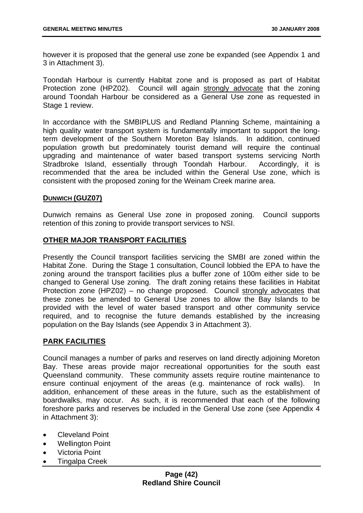however it is proposed that the general use zone be expanded (see Appendix 1 and 3 in Attachment 3).

Toondah Harbour is currently Habitat zone and is proposed as part of Habitat Protection zone (HPZ02). Council will again strongly advocate that the zoning around Toondah Harbour be considered as a General Use zone as requested in Stage 1 review.

In accordance with the SMBIPLUS and Redland Planning Scheme, maintaining a high quality water transport system is fundamentally important to support the longterm development of the Southern Moreton Bay Islands. In addition, continued population growth but predominately tourist demand will require the continual upgrading and maintenance of water based transport systems servicing North Stradbroke Island, essentially through Toondah Harbour. Accordingly, it is recommended that the area be included within the General Use zone, which is consistent with the proposed zoning for the Weinam Creek marine area.

### **DUNWICH (GUZ07)**

Dunwich remains as General Use zone in proposed zoning. Council supports retention of this zoning to provide transport services to NSI.

### **OTHER MAJOR TRANSPORT FACILITIES**

Presently the Council transport facilities servicing the SMBI are zoned within the Habitat Zone. During the Stage 1 consultation, Council lobbied the EPA to have the zoning around the transport facilities plus a buffer zone of 100m either side to be changed to General Use zoning. The draft zoning retains these facilities in Habitat Protection zone (HPZ02) – no change proposed. Council strongly advocates that these zones be amended to General Use zones to allow the Bay Islands to be provided with the level of water based transport and other community service required, and to recognise the future demands established by the increasing population on the Bay Islands (see Appendix 3 in Attachment 3).

### **PARK FACILITIES**

Council manages a number of parks and reserves on land directly adjoining Moreton Bay. These areas provide major recreational opportunities for the south east Queensland community. These community assets require routine maintenance to ensure continual enjoyment of the areas (e.g. maintenance of rock walls). In addition, enhancement of these areas in the future, such as the establishment of boardwalks, may occur. As such, it is recommended that each of the following foreshore parks and reserves be included in the General Use zone (see Appendix 4 in Attachment 3):

- Cleveland Point
- **Wellington Point**
- Victoria Point
- Tingalpa Creek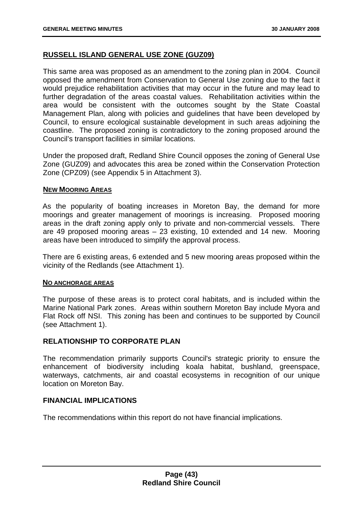# **RUSSELL ISLAND GENERAL USE ZONE (GUZ09)**

This same area was proposed as an amendment to the zoning plan in 2004. Council opposed the amendment from Conservation to General Use zoning due to the fact it would prejudice rehabilitation activities that may occur in the future and may lead to further degradation of the areas coastal values. Rehabilitation activities within the area would be consistent with the outcomes sought by the State Coastal Management Plan, along with policies and guidelines that have been developed by Council, to ensure ecological sustainable development in such areas adjoining the coastline. The proposed zoning is contradictory to the zoning proposed around the Council's transport facilities in similar locations.

Under the proposed draft, Redland Shire Council opposes the zoning of General Use Zone (GUZ09) and advocates this area be zoned within the Conservation Protection Zone (CPZ09) (see Appendix 5 in Attachment 3).

### **NEW MOORING AREAS**

As the popularity of boating increases in Moreton Bay, the demand for more moorings and greater management of moorings is increasing. Proposed mooring areas in the draft zoning apply only to private and non-commercial vessels. There are 49 proposed mooring areas – 23 existing, 10 extended and 14 new. Mooring areas have been introduced to simplify the approval process.

There are 6 existing areas, 6 extended and 5 new mooring areas proposed within the vicinity of the Redlands (see Attachment 1).

#### **NO ANCHORAGE AREAS**

The purpose of these areas is to protect coral habitats, and is included within the Marine National Park zones. Areas within southern Moreton Bay include Myora and Flat Rock off NSI. This zoning has been and continues to be supported by Council (see Attachment 1).

### **RELATIONSHIP TO CORPORATE PLAN**

The recommendation primarily supports Council's strategic priority to ensure the enhancement of biodiversity including koala habitat, bushland, greenspace, waterways, catchments, air and coastal ecosystems in recognition of our unique location on Moreton Bay.

### **FINANCIAL IMPLICATIONS**

The recommendations within this report do not have financial implications.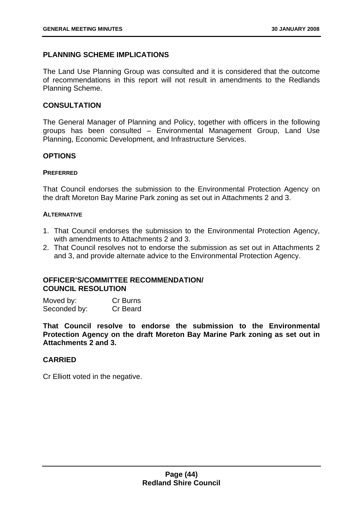# **PLANNING SCHEME IMPLICATIONS**

The Land Use Planning Group was consulted and it is considered that the outcome of recommendations in this report will not result in amendments to the Redlands Planning Scheme.

## **CONSULTATION**

The General Manager of Planning and Policy, together with officers in the following groups has been consulted – Environmental Management Group, Land Use Planning, Economic Development, and Infrastructure Services.

### **OPTIONS**

#### **PREFERRED**

That Council endorses the submission to the Environmental Protection Agency on the draft Moreton Bay Marine Park zoning as set out in Attachments 2 and 3.

#### **ALTERNATIVE**

- 1. That Council endorses the submission to the Environmental Protection Agency, with amendments to Attachments 2 and 3.
- 2. That Council resolves not to endorse the submission as set out in Attachments 2 and 3, and provide alternate advice to the Environmental Protection Agency.

# **OFFICER'S/COMMITTEE RECOMMENDATION/ COUNCIL RESOLUTION**

| Moved by:    | Cr Burns |
|--------------|----------|
| Seconded by: | Cr Beard |

**That Council resolve to endorse the submission to the Environmental Protection Agency on the draft Moreton Bay Marine Park zoning as set out in Attachments 2 and 3.** 

# **CARRIED**

Cr Elliott voted in the negative.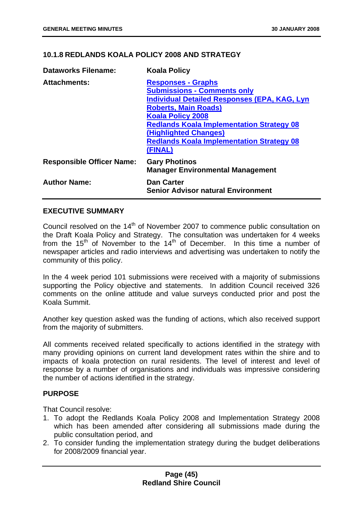# **10.1.8 REDLANDS KOALA POLICY 2008 AND STRATEGY**

| <b>Dataworks Filename:</b>       | <b>Koala Policy</b>                                                                                                                                                                                                                                                                                                           |
|----------------------------------|-------------------------------------------------------------------------------------------------------------------------------------------------------------------------------------------------------------------------------------------------------------------------------------------------------------------------------|
| <b>Attachments:</b>              | <b>Responses - Graphs</b><br><b>Submissions - Comments only</b><br><b>Individual Detailed Responses (EPA, KAG, Lyn</b><br><b>Roberts, Main Roads)</b><br><b>Koala Policy 2008</b><br><b>Redlands Koala Implementation Strategy 08</b><br>(Highlighted Changes)<br><b>Redlands Koala Implementation Strategy 08</b><br>(FINAL) |
| <b>Responsible Officer Name:</b> | <b>Gary Photinos</b><br><b>Manager Environmental Management</b>                                                                                                                                                                                                                                                               |
| <b>Author Name:</b>              | <b>Dan Carter</b><br><b>Senior Advisor natural Environment</b>                                                                                                                                                                                                                                                                |

## **EXECUTIVE SUMMARY**

Council resolved on the 14<sup>th</sup> of November 2007 to commence public consultation on the Draft Koala Policy and Strategy. The consultation was undertaken for 4 weeks from the  $15<sup>th</sup>$  of November to the  $14<sup>th</sup>$  of December. In this time a number of newspaper articles and radio interviews and advertising was undertaken to notify the community of this policy.

In the 4 week period 101 submissions were received with a majority of submissions supporting the Policy objective and statements. In addition Council received 326 comments on the online attitude and value surveys conducted prior and post the Koala Summit.

Another key question asked was the funding of actions, which also received support from the majority of submitters.

All comments received related specifically to actions identified in the strategy with many providing opinions on current land development rates within the shire and to impacts of koala protection on rural residents. The level of interest and level of response by a number of organisations and individuals was impressive considering the number of actions identified in the strategy.

### **PURPOSE**

That Council resolve:

- 1. To adopt the Redlands Koala Policy 2008 and Implementation Strategy 2008 which has been amended after considering all submissions made during the public consultation period, and
- 2. To consider funding the implementation strategy during the budget deliberations for 2008/2009 financial year.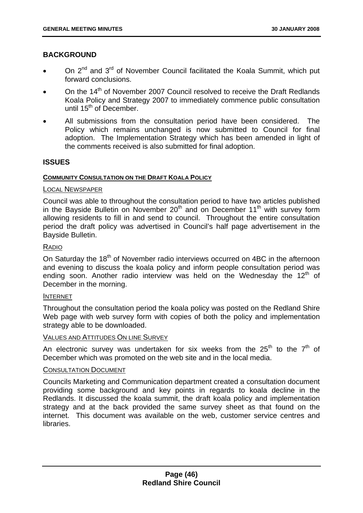# **BACKGROUND**

- On 2<sup>nd</sup> and 3<sup>rd</sup> of November Council facilitated the Koala Summit, which put forward conclusions.
- On the 14<sup>th</sup> of November 2007 Council resolved to receive the Draft Redlands Koala Policy and Strategy 2007 to immediately commence public consultation until  $15<sup>th</sup>$  of December.
- All submissions from the consultation period have been considered. The Policy which remains unchanged is now submitted to Council for final adoption. The Implementation Strategy which has been amended in light of the comments received is also submitted for final adoption.

### **ISSUES**

#### **COMMUNITY CONSULTATION ON THE DRAFT KOALA POLICY**

#### LOCAL NEWSPAPER

Council was able to throughout the consultation period to have two articles published in the Bayside Bulletin on November  $20<sup>th</sup>$  and on December 11<sup>th</sup> with survey form allowing residents to fill in and send to council. Throughout the entire consultation period the draft policy was advertised in Council's half page advertisement in the Bayside Bulletin.

### RADIO

On Saturday the 18<sup>th</sup> of November radio interviews occurred on 4BC in the afternoon and evening to discuss the koala policy and inform people consultation period was ending soon. Another radio interview was held on the Wednesday the  $12<sup>th</sup>$  of December in the morning.

#### INTERNET

Throughout the consultation period the koala policy was posted on the Redland Shire Web page with web survey form with copies of both the policy and implementation strategy able to be downloaded.

## VALUES AND ATTITUDES ON LINE SURVEY

An electronic survey was undertaken for six weeks from the  $25<sup>th</sup>$  to the  $7<sup>th</sup>$  of December which was promoted on the web site and in the local media.

#### CONSULTATION DOCUMENT

Councils Marketing and Communication department created a consultation document providing some background and key points in regards to koala decline in the Redlands. It discussed the koala summit, the draft koala policy and implementation strategy and at the back provided the same survey sheet as that found on the internet. This document was available on the web, customer service centres and libraries.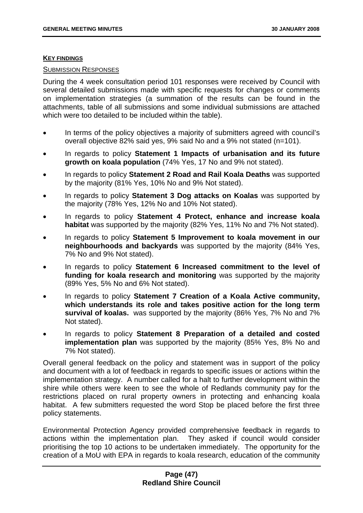#### **KEY FINDINGS**

#### SUBMISSION RESPONSES

During the 4 week consultation period 101 responses were received by Council with several detailed submissions made with specific requests for changes or comments on implementation strategies (a summation of the results can be found in the attachments, table of all submissions and some individual submissions are attached which were too detailed to be included within the table).

- In terms of the policy objectives a majority of submitters agreed with council's overall objective 82% said yes, 9% said No and a 9% not stated (n=101).
- In regards to policy **Statement 1 Impacts of urbanisation and its future growth on koala population** (74% Yes, 17 No and 9% not stated).
- In regards to policy **Statement 2 Road and Rail Koala Deaths** was supported by the majority (81% Yes, 10% No and 9% Not stated).
- In regards to policy **Statement 3 Dog attacks on Koalas** was supported by the majority (78% Yes, 12% No and 10% Not stated).
- In regards to policy **Statement 4 Protect, enhance and increase koala habitat** was supported by the majority (82% Yes, 11% No and 7% Not stated).
- In regards to policy **Statement 5 Improvement to koala movement in our neighbourhoods and backyards** was supported by the majority (84% Yes, 7% No and 9% Not stated).
- In regards to policy **Statement 6 Increased commitment to the level of funding for koala research and monitoring** was supported by the majority (89% Yes, 5% No and 6% Not stated).
- In regards to policy **Statement 7 Creation of a Koala Active community, which understands its role and takes positive action for the long term survival of koalas.** was supported by the majority (86% Yes, 7% No and 7% Not stated).
- In regards to policy **Statement 8 Preparation of a detailed and costed implementation plan** was supported by the majority (85% Yes, 8% No and 7% Not stated).

Overall general feedback on the policy and statement was in support of the policy and document with a lot of feedback in regards to specific issues or actions within the implementation strategy. A number called for a halt to further development within the shire while others were keen to see the whole of Redlands community pay for the restrictions placed on rural property owners in protecting and enhancing koala habitat. A few submitters requested the word Stop be placed before the first three policy statements.

Environmental Protection Agency provided comprehensive feedback in regards to actions within the implementation plan. They asked if council would consider prioritising the top 10 actions to be undertaken immediately. The opportunity for the creation of a MoU with EPA in regards to koala research, education of the community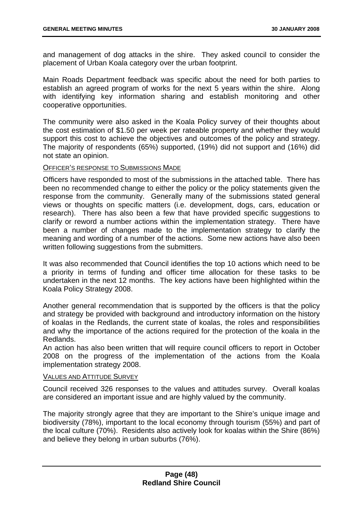and management of dog attacks in the shire. They asked council to consider the placement of Urban Koala category over the urban footprint.

Main Roads Department feedback was specific about the need for both parties to establish an agreed program of works for the next 5 years within the shire. Along with identifying key information sharing and establish monitoring and other cooperative opportunities.

The community were also asked in the Koala Policy survey of their thoughts about the cost estimation of \$1.50 per week per rateable property and whether they would support this cost to achieve the objectives and outcomes of the policy and strategy. The majority of respondents (65%) supported, (19%) did not support and (16%) did not state an opinion.

OFFICER'S RESPONSE TO SUBMISSIONS MADE

Officers have responded to most of the submissions in the attached table. There has been no recommended change to either the policy or the policy statements given the response from the community. Generally many of the submissions stated general views or thoughts on specific matters (i.e. development, dogs, cars, education or research). There has also been a few that have provided specific suggestions to clarify or reword a number actions within the implementation strategy. There have been a number of changes made to the implementation strategy to clarify the meaning and wording of a number of the actions. Some new actions have also been written following suggestions from the submitters.

It was also recommended that Council identifies the top 10 actions which need to be a priority in terms of funding and officer time allocation for these tasks to be undertaken in the next 12 months. The key actions have been highlighted within the Koala Policy Strategy 2008.

Another general recommendation that is supported by the officers is that the policy and strategy be provided with background and introductory information on the history of koalas in the Redlands, the current state of koalas, the roles and responsibilities and why the importance of the actions required for the protection of the koala in the Redlands.

An action has also been written that will require council officers to report in October 2008 on the progress of the implementation of the actions from the Koala implementation strategy 2008.

## VALUES AND ATTITUDE SURVEY

Council received 326 responses to the values and attitudes survey. Overall koalas are considered an important issue and are highly valued by the community.

The majority strongly agree that they are important to the Shire's unique image and biodiversity (78%), important to the local economy through tourism (55%) and part of the local culture (70%). Residents also actively look for koalas within the Shire (86%) and believe they belong in urban suburbs (76%).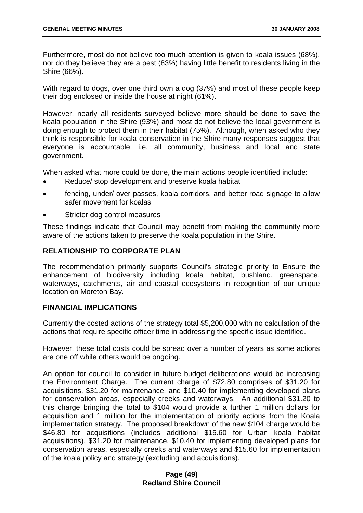Furthermore, most do not believe too much attention is given to koala issues (68%), nor do they believe they are a pest (83%) having little benefit to residents living in the Shire (66%).

With regard to dogs, over one third own a dog (37%) and most of these people keep their dog enclosed or inside the house at night (61%).

However, nearly all residents surveyed believe more should be done to save the koala population in the Shire (93%) and most do not believe the local government is doing enough to protect them in their habitat (75%). Although, when asked who they think is responsible for koala conservation in the Shire many responses suggest that everyone is accountable, i.e. all community, business and local and state government.

When asked what more could be done, the main actions people identified include:

- Reduce/ stop development and preserve koala habitat
- fencing, under/ over passes, koala corridors, and better road signage to allow safer movement for koalas
- Stricter dog control measures

These findings indicate that Council may benefit from making the community more aware of the actions taken to preserve the koala population in the Shire.

# **RELATIONSHIP TO CORPORATE PLAN**

The recommendation primarily supports Council's strategic priority to Ensure the enhancement of biodiversity including koala habitat, bushland, greenspace, waterways, catchments, air and coastal ecosystems in recognition of our unique location on Moreton Bay.

### **FINANCIAL IMPLICATIONS**

Currently the costed actions of the strategy total \$5,200,000 with no calculation of the actions that require specific officer time in addressing the specific issue identified.

However, these total costs could be spread over a number of years as some actions are one off while others would be ongoing.

An option for council to consider in future budget deliberations would be increasing the Environment Charge. The current charge of \$72.80 comprises of \$31.20 for acquisitions, \$31.20 for maintenance, and \$10.40 for implementing developed plans for conservation areas, especially creeks and waterways. An additional \$31.20 to this charge bringing the total to \$104 would provide a further 1 million dollars for acquisition and 1 million for the implementation of priority actions from the Koala implementation strategy. The proposed breakdown of the new \$104 charge would be \$46.80 for acquisitions (includes additional \$15.60 for Urban koala habitat acquisitions), \$31.20 for maintenance, \$10.40 for implementing developed plans for conservation areas, especially creeks and waterways and \$15.60 for implementation of the koala policy and strategy (excluding land acquisitions).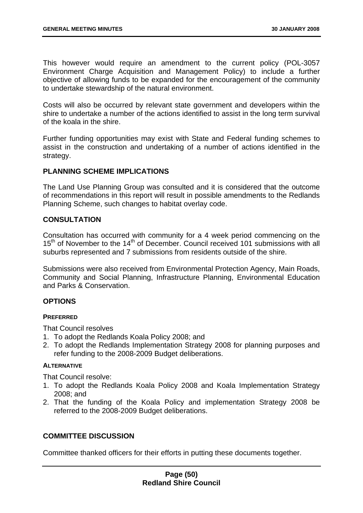This however would require an amendment to the current policy (POL-3057 Environment Charge Acquisition and Management Policy) to include a further objective of allowing funds to be expanded for the encouragement of the community to undertake stewardship of the natural environment.

Costs will also be occurred by relevant state government and developers within the shire to undertake a number of the actions identified to assist in the long term survival of the koala in the shire.

Further funding opportunities may exist with State and Federal funding schemes to assist in the construction and undertaking of a number of actions identified in the strategy.

# **PLANNING SCHEME IMPLICATIONS**

The Land Use Planning Group was consulted and it is considered that the outcome of recommendations in this report will result in possible amendments to the Redlands Planning Scheme, such changes to habitat overlay code.

## **CONSULTATION**

Consultation has occurred with community for a 4 week period commencing on the 15<sup>th</sup> of November to the 14<sup>th</sup> of December. Council received 101 submissions with all suburbs represented and 7 submissions from residents outside of the shire.

Submissions were also received from Environmental Protection Agency, Main Roads, Community and Social Planning, Infrastructure Planning, Environmental Education and Parks & Conservation.

# **OPTIONS**

### **PREFERRED**

That Council resolves

- 1. To adopt the Redlands Koala Policy 2008; and
- 2. To adopt the Redlands Implementation Strategy 2008 for planning purposes and refer funding to the 2008-2009 Budget deliberations.

### **ALTERNATIVE**

That Council resolve:

- 1. To adopt the Redlands Koala Policy 2008 and Koala Implementation Strategy 2008; and
- 2. That the funding of the Koala Policy and implementation Strategy 2008 be referred to the 2008-2009 Budget deliberations.

### **COMMITTEE DISCUSSION**

Committee thanked officers for their efforts in putting these documents together.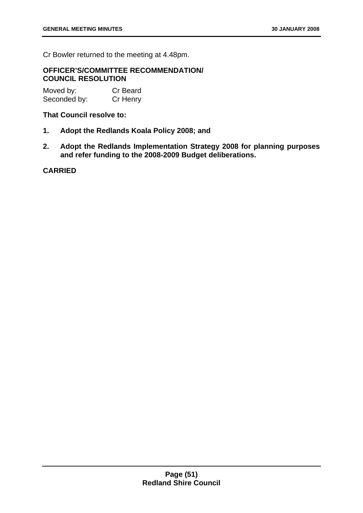Cr Bowler returned to the meeting at 4.48pm.

### **OFFICER'S/COMMITTEE RECOMMENDATION/ COUNCIL RESOLUTION**

Moved by: Cr Beard Seconded by: Cr Henry

### **That Council resolve to:**

- **1. Adopt the Redlands Koala Policy 2008; and**
- **2. Adopt the Redlands Implementation Strategy 2008 for planning purposes and refer funding to the 2008-2009 Budget deliberations.**

**CARRIED**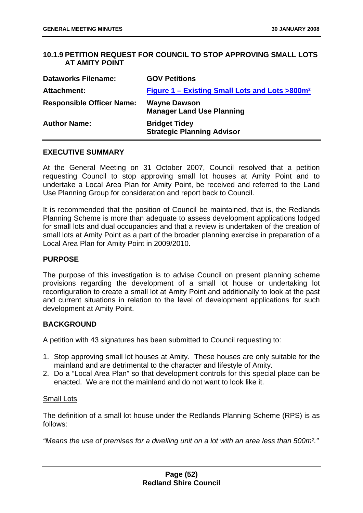# **10.1.9 PETITION REQUEST FOR COUNCIL TO STOP APPROVING SMALL LOTS AT AMITY POINT**

| <b>Dataworks Filename:</b>       | <b>GOV Petitions</b>                                       |
|----------------------------------|------------------------------------------------------------|
| Attachment:                      | Figure 1 – Existing Small Lots and Lots >800m <sup>2</sup> |
| <b>Responsible Officer Name:</b> | <b>Wayne Dawson</b><br><b>Manager Land Use Planning</b>    |
| <b>Author Name:</b>              | <b>Bridget Tidey</b><br><b>Strategic Planning Advisor</b>  |

### **EXECUTIVE SUMMARY**

At the General Meeting on 31 October 2007, Council resolved that a petition requesting Council to stop approving small lot houses at Amity Point and to undertake a Local Area Plan for Amity Point, be received and referred to the Land Use Planning Group for consideration and report back to Council.

It is recommended that the position of Council be maintained, that is, the Redlands Planning Scheme is more than adequate to assess development applications lodged for small lots and dual occupancies and that a review is undertaken of the creation of small lots at Amity Point as a part of the broader planning exercise in preparation of a Local Area Plan for Amity Point in 2009/2010.

#### **PURPOSE**

The purpose of this investigation is to advise Council on present planning scheme provisions regarding the development of a small lot house or undertaking lot reconfiguration to create a small lot at Amity Point and additionally to look at the past and current situations in relation to the level of development applications for such development at Amity Point.

### **BACKGROUND**

A petition with 43 signatures has been submitted to Council requesting to:

- 1. Stop approving small lot houses at Amity. These houses are only suitable for the mainland and are detrimental to the character and lifestyle of Amity.
- 2. Do a "Local Area Plan" so that development controls for this special place can be enacted. We are not the mainland and do not want to look like it.

#### Small Lots

The definition of a small lot house under the Redlands Planning Scheme (RPS) is as follows:

*"Means the use of premises for a dwelling unit on a lot with an area less than 500m²."*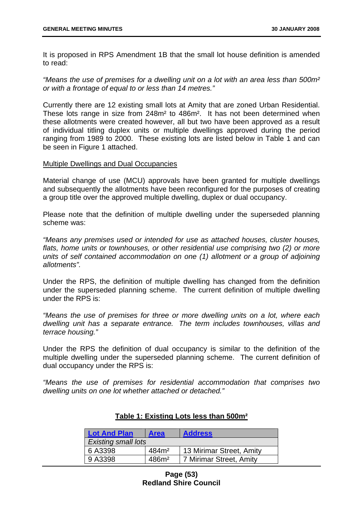It is proposed in RPS Amendment 1B that the small lot house definition is amended to read:

*"Means the use of premises for a dwelling unit on a lot with an area less than 500m² or with a frontage of equal to or less than 14 metres."* 

Currently there are 12 existing small lots at Amity that are zoned Urban Residential. These lots range in size from 248m² to 486m². It has not been determined when these allotments were created however, all but two have been approved as a result of individual titling duplex units or multiple dwellings approved during the period ranging from 1989 to 2000. These existing lots are listed below in Table 1 and can be seen in Figure 1 attached.

#### Multiple Dwellings and Dual Occupancies

Material change of use (MCU) approvals have been granted for multiple dwellings and subsequently the allotments have been reconfigured for the purposes of creating a group title over the approved multiple dwelling, duplex or dual occupancy.

Please note that the definition of multiple dwelling under the superseded planning scheme was:

*"Means any premises used or intended for use as attached houses, cluster houses,*  flats, home units or townhouses, or other residential use comprising two (2) or more *units of self contained accommodation on one (1) allotment or a group of adjoining allotments".* 

Under the RPS, the definition of multiple dwelling has changed from the definition under the superseded planning scheme. The current definition of multiple dwelling under the RPS is:

*"Means the use of premises for three or more dwelling units on a lot, where each dwelling unit has a separate entrance. The term includes townhouses, villas and terrace housing."* 

Under the RPS the definition of dual occupancy is similar to the definition of the multiple dwelling under the superseded planning scheme. The current definition of dual occupancy under the RPS is:

*"Means the use of premises for residential accommodation that comprises two dwelling units on one lot whether attached or detached."* 

| <b>Lot And Plan</b>        | <b>Area</b>       | <b>Address</b>           |
|----------------------------|-------------------|--------------------------|
| <b>Existing small lots</b> |                   |                          |
| 6 A3398                    | 484m <sup>2</sup> | 13 Mirimar Street, Amity |
| 9 A3398                    | 486m <sup>2</sup> | 7 Mirimar Street, Amity  |

## **Table 1: Existing Lots less than 500m²**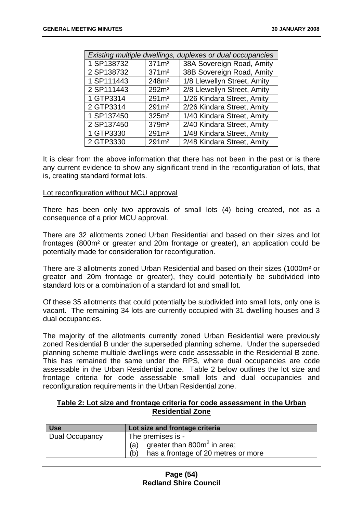| Existing multiple dwellings, duplexes or dual occupancies |                   |                             |
|-----------------------------------------------------------|-------------------|-----------------------------|
| 1 SP138732                                                | 371m <sup>2</sup> | 38A Sovereign Road, Amity   |
| 2 SP138732                                                | 371m <sup>2</sup> | 38B Sovereign Road, Amity   |
| 1 SP111443                                                | 248m <sup>2</sup> | 1/8 Llewellyn Street, Amity |
| 2 SP111443                                                | 292m <sup>2</sup> | 2/8 Llewellyn Street, Amity |
| 1 GTP3314                                                 | 291m <sup>2</sup> | 1/26 Kindara Street, Amity  |
| 2 GTP3314                                                 | 291m <sup>2</sup> | 2/26 Kindara Street, Amity  |
| 1 SP137450                                                | 325m <sup>2</sup> | 1/40 Kindara Street, Amity  |
| 2 SP137450                                                | 379m <sup>2</sup> | 2/40 Kindara Street, Amity  |
| 1 GTP3330                                                 | 291m <sup>2</sup> | 1/48 Kindara Street, Amity  |
| 2 GTP3330                                                 | 291m <sup>2</sup> | 2/48 Kindara Street, Amity  |

It is clear from the above information that there has not been in the past or is there any current evidence to show any significant trend in the reconfiguration of lots, that is, creating standard format lots.

#### Lot reconfiguration without MCU approval

There has been only two approvals of small lots (4) being created, not as a consequence of a prior MCU approval.

There are 32 allotments zoned Urban Residential and based on their sizes and lot frontages (800m² or greater and 20m frontage or greater), an application could be potentially made for consideration for reconfiguration.

There are 3 allotments zoned Urban Residential and based on their sizes (1000m² or greater and 20m frontage or greater), they could potentially be subdivided into standard lots or a combination of a standard lot and small lot.

Of these 35 allotments that could potentially be subdivided into small lots, only one is vacant. The remaining 34 lots are currently occupied with 31 dwelling houses and 3 dual occupancies.

The majority of the allotments currently zoned Urban Residential were previously zoned Residential B under the superseded planning scheme. Under the superseded planning scheme multiple dwellings were code assessable in the Residential B zone. This has remained the same under the RPS, where dual occupancies are code assessable in the Urban Residential zone. Table 2 below outlines the lot size and frontage criteria for code assessable small lots and dual occupancies and reconfiguration requirements in the Urban Residential zone.

## **Table 2: Lot size and frontage criteria for code assessment in the Urban Residential Zone**

| <b>Use</b>     | Lot size and frontage criteria             |
|----------------|--------------------------------------------|
| Dual Occupancy | The premises is -                          |
|                | (a) greater than $800m^2$ in area;         |
|                | has a frontage of 20 metres or more<br>(b) |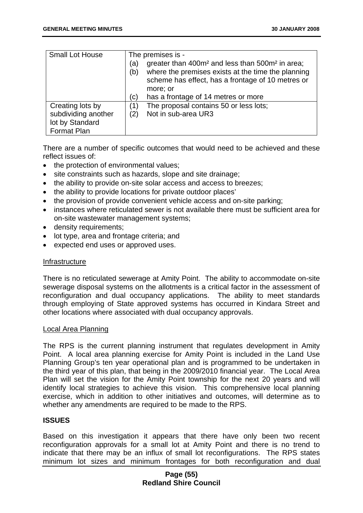| <b>Small Lot House</b> | The premises is -                                                                                                                                                                                |
|------------------------|--------------------------------------------------------------------------------------------------------------------------------------------------------------------------------------------------|
|                        | greater than 400m <sup>2</sup> and less than 500m <sup>2</sup> in area;<br>(a)<br>where the premises exists at the time the planning<br>(b)<br>scheme has effect, has a frontage of 10 metres or |
|                        | more; or                                                                                                                                                                                         |
|                        |                                                                                                                                                                                                  |
|                        | has a frontage of 14 metres or more<br>(c)                                                                                                                                                       |
| Creating lots by       | The proposal contains 50 or less lots;<br>(1)                                                                                                                                                    |
| subdividing another    | Not in sub-area UR3<br>(2)                                                                                                                                                                       |
| lot by Standard        |                                                                                                                                                                                                  |
| Format Plan            |                                                                                                                                                                                                  |

There are a number of specific outcomes that would need to be achieved and these reflect issues of:

- the protection of environmental values:
- site constraints such as hazards, slope and site drainage;
- the ability to provide on-site solar access and access to breezes;
- the ability to provide locations for private outdoor places'
- the provision of provide convenient vehicle access and on-site parking:
- instances where reticulated sewer is not available there must be sufficient area for on-site wastewater management systems;
- density requirements;
- lot type, area and frontage criteria; and
- expected end uses or approved uses.

### Infrastructure

There is no reticulated sewerage at Amity Point. The ability to accommodate on-site sewerage disposal systems on the allotments is a critical factor in the assessment of reconfiguration and dual occupancy applications. The ability to meet standards through employing of State approved systems has occurred in Kindara Street and other locations where associated with dual occupancy approvals.

#### Local Area Planning

The RPS is the current planning instrument that regulates development in Amity Point. A local area planning exercise for Amity Point is included in the Land Use Planning Group's ten year operational plan and is programmed to be undertaken in the third year of this plan, that being in the 2009/2010 financial year. The Local Area Plan will set the vision for the Amity Point township for the next 20 years and will identify local strategies to achieve this vision. This comprehensive local planning exercise, which in addition to other initiatives and outcomes, will determine as to whether any amendments are required to be made to the RPS.

### **ISSUES**

Based on this investigation it appears that there have only been two recent reconfiguration approvals for a small lot at Amity Point and there is no trend to indicate that there may be an influx of small lot reconfigurations. The RPS states minimum lot sizes and minimum frontages for both reconfiguration and dual

## **Page (55) Redland Shire Council**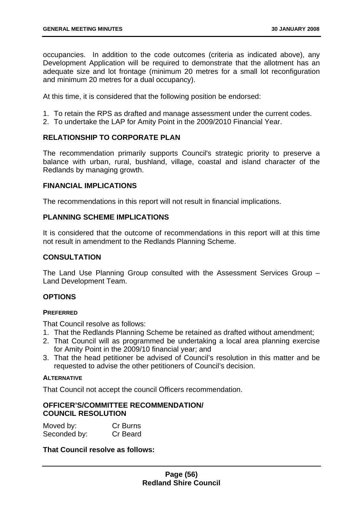occupancies. In addition to the code outcomes (criteria as indicated above), any Development Application will be required to demonstrate that the allotment has an adequate size and lot frontage (minimum 20 metres for a small lot reconfiguration and minimum 20 metres for a dual occupancy).

At this time, it is considered that the following position be endorsed:

- 1. To retain the RPS as drafted and manage assessment under the current codes.
- 2. To undertake the LAP for Amity Point in the 2009/2010 Financial Year.

# **RELATIONSHIP TO CORPORATE PLAN**

The recommendation primarily supports Council's strategic priority to preserve a balance with urban, rural, bushland, village, coastal and island character of the Redlands by managing growth.

## **FINANCIAL IMPLICATIONS**

The recommendations in this report will not result in financial implications.

## **PLANNING SCHEME IMPLICATIONS**

It is considered that the outcome of recommendations in this report will at this time not result in amendment to the Redlands Planning Scheme.

# **CONSULTATION**

The Land Use Planning Group consulted with the Assessment Services Group – Land Development Team.

### **OPTIONS**

### **PREFERRED**

That Council resolve as follows:

- 1. That the Redlands Planning Scheme be retained as drafted without amendment;
- 2. That Council will as programmed be undertaking a local area planning exercise for Amity Point in the 2009/10 financial year; and
- 3. That the head petitioner be advised of Council's resolution in this matter and be requested to advise the other petitioners of Council's decision.

### **ALTERNATIVE**

That Council not accept the council Officers recommendation.

## **OFFICER'S/COMMITTEE RECOMMENDATION/ COUNCIL RESOLUTION**

| Moved by:    | Cr Burns |
|--------------|----------|
| Seconded by: | Cr Beard |

### **That Council resolve as follows:**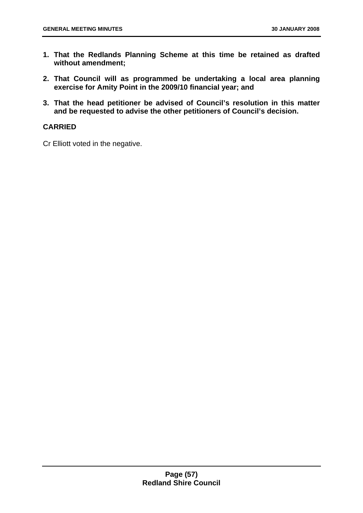- **1. That the Redlands Planning Scheme at this time be retained as drafted without amendment;**
- **2. That Council will as programmed be undertaking a local area planning exercise for Amity Point in the 2009/10 financial year; and**
- **3. That the head petitioner be advised of Council's resolution in this matter and be requested to advise the other petitioners of Council's decision.**

# **CARRIED**

Cr Elliott voted in the negative.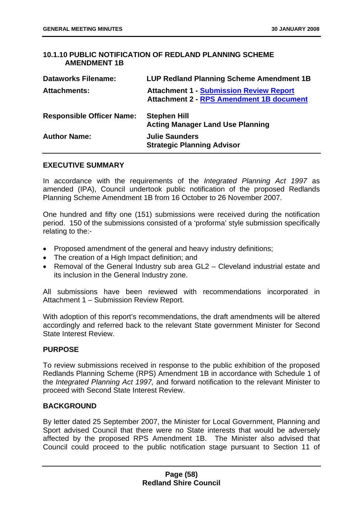# **10.1.10 PUBLIC NOTIFICATION OF REDLAND PLANNING SCHEME AMENDMENT 1B**

| <b>Dataworks Filename:</b>       | <b>LUP Redland Planning Scheme Amendment 1B</b>                                                   |
|----------------------------------|---------------------------------------------------------------------------------------------------|
| <b>Attachments:</b>              | <b>Attachment 1 - Submission Review Report</b><br><b>Attachment 2 - RPS Amendment 1B document</b> |
| <b>Responsible Officer Name:</b> | <b>Stephen Hill</b><br><b>Acting Manager Land Use Planning</b>                                    |
| <b>Author Name:</b>              | <b>Julie Saunders</b><br><b>Strategic Planning Advisor</b>                                        |

## **EXECUTIVE SUMMARY**

In accordance with the requirements of the *Integrated Planning Act 1997* as amended (IPA), Council undertook public notification of the proposed Redlands Planning Scheme Amendment 1B from 16 October to 26 November 2007.

One hundred and fifty one (151) submissions were received during the notification period. 150 of the submissions consisted of a 'proforma' style submission specifically relating to the:-

- Proposed amendment of the general and heavy industry definitions;
- The creation of a High Impact definition; and
- Removal of the General Industry sub area GL2 Cleveland industrial estate and its inclusion in the General Industry zone.

All submissions have been reviewed with recommendations incorporated in Attachment 1 – Submission Review Report.

With adoption of this report's recommendations, the draft amendments will be altered accordingly and referred back to the relevant State government Minister for Second State Interest Review.

### **PURPOSE**

To review submissions received in response to the public exhibition of the proposed Redlands Planning Scheme (RPS) Amendment 1B in accordance with Schedule 1 of the *Integrated Planning Act 1997,* and forward notification to the relevant Minister to proceed with Second State Interest Review.

# **BACKGROUND**

By letter dated 25 September 2007, the Minister for Local Government, Planning and Sport advised Council that there were no State interests that would be adversely affected by the proposed RPS Amendment 1B. The Minister also advised that Council could proceed to the public notification stage pursuant to Section 11 of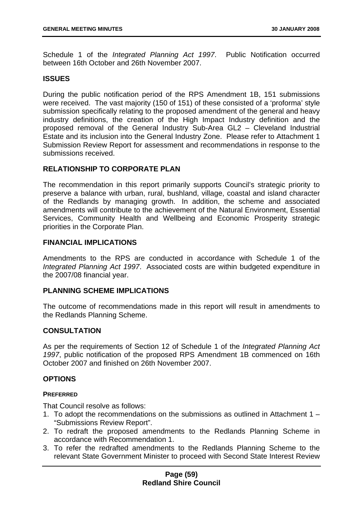Schedule 1 of the *Integrated Planning Act 1997*. Public Notification occurred between 16th October and 26th November 2007.

### **ISSUES**

During the public notification period of the RPS Amendment 1B, 151 submissions were received. The vast majority (150 of 151) of these consisted of a 'proforma' style submission specifically relating to the proposed amendment of the general and heavy industry definitions, the creation of the High Impact Industry definition and the proposed removal of the General Industry Sub-Area GL2 – Cleveland Industrial Estate and its inclusion into the General Industry Zone. Please refer to Attachment 1 Submission Review Report for assessment and recommendations in response to the submissions received.

### **RELATIONSHIP TO CORPORATE PLAN**

The recommendation in this report primarily supports Council's strategic priority to preserve a balance with urban, rural, bushland, village, coastal and island character of the Redlands by managing growth. In addition, the scheme and associated amendments will contribute to the achievement of the Natural Environment, Essential Services, Community Health and Wellbeing and Economic Prosperity strategic priorities in the Corporate Plan.

## **FINANCIAL IMPLICATIONS**

Amendments to the RPS are conducted in accordance with Schedule 1 of the *Integrated Planning Act 1997*. Associated costs are within budgeted expenditure in the 2007/08 financial year.

### **PLANNING SCHEME IMPLICATIONS**

The outcome of recommendations made in this report will result in amendments to the Redlands Planning Scheme.

### **CONSULTATION**

As per the requirements of Section 12 of Schedule 1 of the *Integrated Planning Act 1997*, public notification of the proposed RPS Amendment 1B commenced on 16th October 2007 and finished on 26th November 2007.

### **OPTIONS**

### **PREFERRED**

That Council resolve as follows:

- 1. To adopt the recommendations on the submissions as outlined in Attachment 1 "Submissions Review Report".
- 2. To redraft the proposed amendments to the Redlands Planning Scheme in accordance with Recommendation 1.
- 3. To refer the redrafted amendments to the Redlands Planning Scheme to the relevant State Government Minister to proceed with Second State Interest Review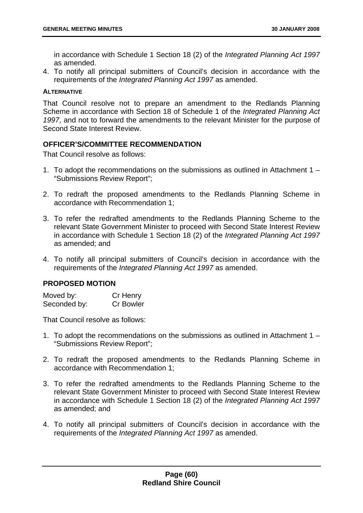in accordance with Schedule 1 Section 18 (2) of the *Integrated Planning Act 1997* as amended.

4. To notify all principal submitters of Council's decision in accordance with the requirements of the *Integrated Planning Act 1997* as amended.

#### **ALTERNATIVE**

That Council resolve not to prepare an amendment to the Redlands Planning Scheme in accordance with Section 18 of Schedule 1 of the *Integrated Planning Act 1997*, and not to forward the amendments to the relevant Minister for the purpose of Second State Interest Review.

# **OFFICER'S/COMMITTEE RECOMMENDATION**

That Council resolve as follows:

- 1. To adopt the recommendations on the submissions as outlined in Attachment 1 "Submissions Review Report";
- 2. To redraft the proposed amendments to the Redlands Planning Scheme in accordance with Recommendation 1;
- 3. To refer the redrafted amendments to the Redlands Planning Scheme to the relevant State Government Minister to proceed with Second State Interest Review in accordance with Schedule 1 Section 18 (2) of the *Integrated Planning Act 1997*  as amended; and
- 4. To notify all principal submitters of Council's decision in accordance with the requirements of the *Integrated Planning Act 1997* as amended.

## **PROPOSED MOTION**

| Moved by:    | Cr Henry         |
|--------------|------------------|
| Seconded by: | <b>Cr Bowler</b> |

That Council resolve as follows:

- 1. To adopt the recommendations on the submissions as outlined in Attachment 1 "Submissions Review Report";
- 2. To redraft the proposed amendments to the Redlands Planning Scheme in accordance with Recommendation 1;
- 3. To refer the redrafted amendments to the Redlands Planning Scheme to the relevant State Government Minister to proceed with Second State Interest Review in accordance with Schedule 1 Section 18 (2) of the *Integrated Planning Act 1997*  as amended; and
- 4. To notify all principal submitters of Council's decision in accordance with the requirements of the *Integrated Planning Act 1997* as amended.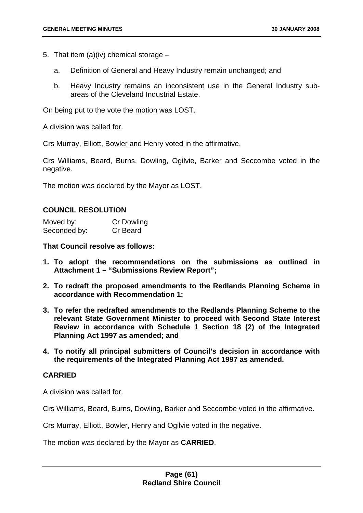- 5. That item (a)(iv) chemical storage  $$ 
	- a. Definition of General and Heavy Industry remain unchanged; and
	- b. Heavy Industry remains an inconsistent use in the General Industry subareas of the Cleveland Industrial Estate.

On being put to the vote the motion was LOST.

A division was called for.

Crs Murray, Elliott, Bowler and Henry voted in the affirmative.

Crs Williams, Beard, Burns, Dowling, Ogilvie, Barker and Seccombe voted in the negative.

The motion was declared by the Mayor as LOST.

#### **COUNCIL RESOLUTION**

| Moved by:    | <b>Cr Dowling</b> |
|--------------|-------------------|
| Seconded by: | Cr Beard          |

**That Council resolve as follows:** 

- **1. To adopt the recommendations on the submissions as outlined in Attachment 1 – "Submissions Review Report";**
- **2. To redraft the proposed amendments to the Redlands Planning Scheme in accordance with Recommendation 1;**
- **3. To refer the redrafted amendments to the Redlands Planning Scheme to the relevant State Government Minister to proceed with Second State Interest Review in accordance with Schedule 1 Section 18 (2) of the Integrated Planning Act 1997 as amended; and**
- **4. To notify all principal submitters of Council's decision in accordance with the requirements of the Integrated Planning Act 1997 as amended.**

### **CARRIED**

A division was called for.

Crs Williams, Beard, Burns, Dowling, Barker and Seccombe voted in the affirmative.

Crs Murray, Elliott, Bowler, Henry and Ogilvie voted in the negative.

The motion was declared by the Mayor as **CARRIED**.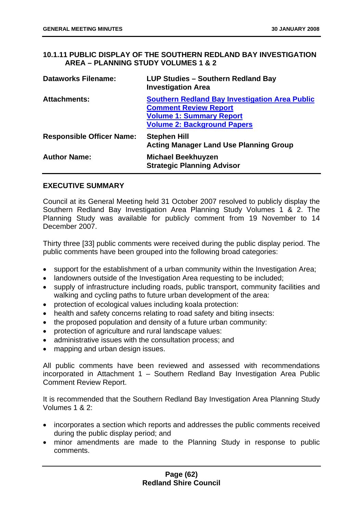**10.1.11 PUBLIC DISPLAY OF THE SOUTHERN REDLAND BAY INVESTIGATION AREA – PLANNING STUDY VOLUMES 1 & 2** 

| <b>Dataworks Filename:</b>       | <b>LUP Studies - Southern Redland Bay</b><br><b>Investigation Area</b>                                                                                         |
|----------------------------------|----------------------------------------------------------------------------------------------------------------------------------------------------------------|
| <b>Attachments:</b>              | <b>Southern Redland Bay Investigation Area Public</b><br><b>Comment Review Report</b><br><b>Volume 1: Summary Report</b><br><b>Volume 2: Background Papers</b> |
| <b>Responsible Officer Name:</b> | <b>Stephen Hill</b><br><b>Acting Manager Land Use Planning Group</b>                                                                                           |
| <b>Author Name:</b>              | <b>Michael Beekhuyzen</b><br><b>Strategic Planning Advisor</b>                                                                                                 |

## **EXECUTIVE SUMMARY**

Council at its General Meeting held 31 October 2007 resolved to publicly display the Southern Redland Bay Investigation Area Planning Study Volumes 1 & 2. The Planning Study was available for publicly comment from 19 November to 14 December 2007.

Thirty three [33] public comments were received during the public display period. The public comments have been grouped into the following broad categories:

- support for the establishment of a urban community within the Investigation Area;
- landowners outside of the Investigation Area requesting to be included;
- supply of infrastructure including roads, public transport, community facilities and walking and cycling paths to future urban development of the area:
- protection of ecological values including koala protection:
- health and safety concerns relating to road safety and biting insects:
- the proposed population and density of a future urban community:
- protection of agriculture and rural landscape values:
- administrative issues with the consultation process; and
- mapping and urban design issues.

All public comments have been reviewed and assessed with recommendations incorporated in Attachment 1 – Southern Redland Bay Investigation Area Public Comment Review Report.

It is recommended that the Southern Redland Bay Investigation Area Planning Study Volumes 1 & 2:

- incorporates a section which reports and addresses the public comments received during the public display period; and
- minor amendments are made to the Planning Study in response to public comments.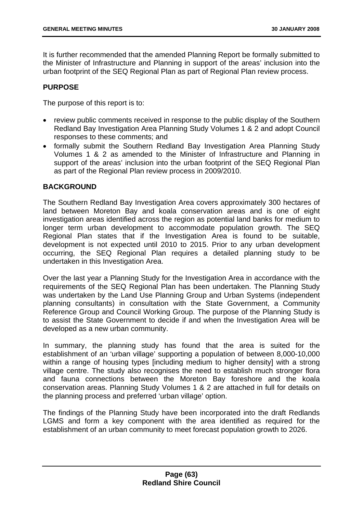It is further recommended that the amended Planning Report be formally submitted to the Minister of Infrastructure and Planning in support of the areas' inclusion into the urban footprint of the SEQ Regional Plan as part of Regional Plan review process.

# **PURPOSE**

The purpose of this report is to:

- review public comments received in response to the public display of the Southern Redland Bay Investigation Area Planning Study Volumes 1 & 2 and adopt Council responses to these comments; and
- formally submit the Southern Redland Bay Investigation Area Planning Study Volumes 1 & 2 as amended to the Minister of Infrastructure and Planning in support of the areas' inclusion into the urban footprint of the SEQ Regional Plan as part of the Regional Plan review process in 2009/2010.

## **BACKGROUND**

The Southern Redland Bay Investigation Area covers approximately 300 hectares of land between Moreton Bay and koala conservation areas and is one of eight investigation areas identified across the region as potential land banks for medium to longer term urban development to accommodate population growth. The SEQ Regional Plan states that if the Investigation Area is found to be suitable, development is not expected until 2010 to 2015. Prior to any urban development occurring, the SEQ Regional Plan requires a detailed planning study to be undertaken in this Investigation Area.

Over the last year a Planning Study for the Investigation Area in accordance with the requirements of the SEQ Regional Plan has been undertaken. The Planning Study was undertaken by the Land Use Planning Group and Urban Systems (independent planning consultants) in consultation with the State Government, a Community Reference Group and Council Working Group. The purpose of the Planning Study is to assist the State Government to decide if and when the Investigation Area will be developed as a new urban community.

In summary, the planning study has found that the area is suited for the establishment of an 'urban village' supporting a population of between 8,000-10,000 within a range of housing types [including medium to higher density] with a strong village centre. The study also recognises the need to establish much stronger flora and fauna connections between the Moreton Bay foreshore and the koala conservation areas. Planning Study Volumes 1 & 2 are attached in full for details on the planning process and preferred 'urban village' option.

The findings of the Planning Study have been incorporated into the draft Redlands LGMS and form a key component with the area identified as required for the establishment of an urban community to meet forecast population growth to 2026.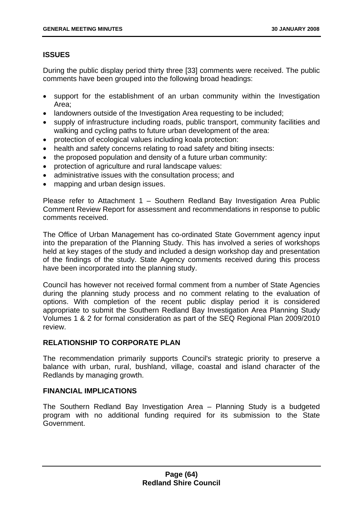# **ISSUES**

During the public display period thirty three [33] comments were received. The public comments have been grouped into the following broad headings:

- support for the establishment of an urban community within the Investigation Area;
- landowners outside of the Investigation Area requesting to be included;
- supply of infrastructure including roads, public transport, community facilities and walking and cycling paths to future urban development of the area:
- protection of ecological values including koala protection:
- health and safety concerns relating to road safety and biting insects:
- the proposed population and density of a future urban community:
- protection of agriculture and rural landscape values:
- administrative issues with the consultation process; and
- mapping and urban design issues.

Please refer to Attachment 1 – Southern Redland Bay Investigation Area Public Comment Review Report for assessment and recommendations in response to public comments received.

The Office of Urban Management has co-ordinated State Government agency input into the preparation of the Planning Study. This has involved a series of workshops held at key stages of the study and included a design workshop day and presentation of the findings of the study. State Agency comments received during this process have been incorporated into the planning study.

Council has however not received formal comment from a number of State Agencies during the planning study process and no comment relating to the evaluation of options. With completion of the recent public display period it is considered appropriate to submit the Southern Redland Bay Investigation Area Planning Study Volumes 1 & 2 for formal consideration as part of the SEQ Regional Plan 2009/2010 review.

# **RELATIONSHIP TO CORPORATE PLAN**

The recommendation primarily supports Council's strategic priority to preserve a balance with urban, rural, bushland, village, coastal and island character of the Redlands by managing growth.

# **FINANCIAL IMPLICATIONS**

The Southern Redland Bay Investigation Area – Planning Study is a budgeted program with no additional funding required for its submission to the State Government.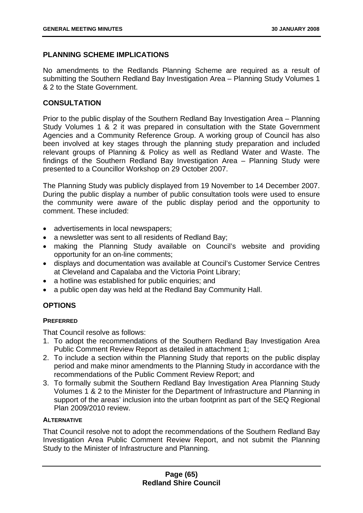# **PLANNING SCHEME IMPLICATIONS**

No amendments to the Redlands Planning Scheme are required as a result of submitting the Southern Redland Bay Investigation Area – Planning Study Volumes 1 & 2 to the State Government.

# **CONSULTATION**

Prior to the public display of the Southern Redland Bay Investigation Area – Planning Study Volumes 1 & 2 it was prepared in consultation with the State Government Agencies and a Community Reference Group. A working group of Council has also been involved at key stages through the planning study preparation and included relevant groups of Planning & Policy as well as Redland Water and Waste. The findings of the Southern Redland Bay Investigation Area – Planning Study were presented to a Councillor Workshop on 29 October 2007.

The Planning Study was publicly displayed from 19 November to 14 December 2007. During the public display a number of public consultation tools were used to ensure the community were aware of the public display period and the opportunity to comment. These included:

- advertisements in local newspapers;
- a newsletter was sent to all residents of Redland Bay:
- making the Planning Study available on Council's website and providing opportunity for an on-line comments;
- displays and documentation was available at Council's Customer Service Centres at Cleveland and Capalaba and the Victoria Point Library;
- a hotline was established for public enquiries; and
- a public open day was held at the Redland Bay Community Hall.

# **OPTIONS**

### **PREFERRED**

That Council resolve as follows:

- 1. To adopt the recommendations of the Southern Redland Bay Investigation Area Public Comment Review Report as detailed in attachment 1;
- 2. To include a section within the Planning Study that reports on the public display period and make minor amendments to the Planning Study in accordance with the recommendations of the Public Comment Review Report; and
- 3. To formally submit the Southern Redland Bay Investigation Area Planning Study Volumes 1 & 2 to the Minister for the Department of Infrastructure and Planning in support of the areas' inclusion into the urban footprint as part of the SEQ Regional Plan 2009/2010 review.

#### **ALTERNATIVE**

That Council resolve not to adopt the recommendations of the Southern Redland Bay Investigation Area Public Comment Review Report, and not submit the Planning Study to the Minister of Infrastructure and Planning.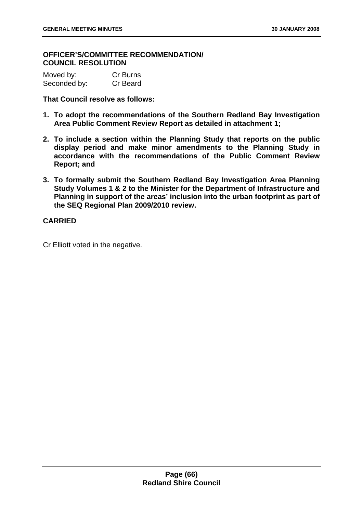## **OFFICER'S/COMMITTEE RECOMMENDATION/ COUNCIL RESOLUTION**

| Moved by:    | Cr Burns |
|--------------|----------|
| Seconded by: | Cr Beard |

**That Council resolve as follows:** 

- **1. To adopt the recommendations of the Southern Redland Bay Investigation Area Public Comment Review Report as detailed in attachment 1;**
- **2. To include a section within the Planning Study that reports on the public display period and make minor amendments to the Planning Study in accordance with the recommendations of the Public Comment Review Report; and**
- **3. To formally submit the Southern Redland Bay Investigation Area Planning Study Volumes 1 & 2 to the Minister for the Department of Infrastructure and Planning in support of the areas' inclusion into the urban footprint as part of the SEQ Regional Plan 2009/2010 review.**

## **CARRIED**

Cr Elliott voted in the negative.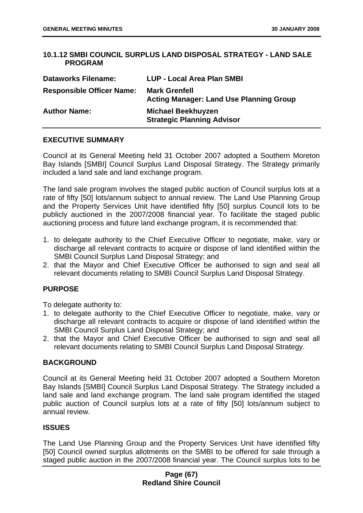# **10.1.12 SMBI COUNCIL SURPLUS LAND DISPOSAL STRATEGY - LAND SALE PROGRAM**

| <b>Dataworks Filename:</b>       | <b>LUP - Local Area Plan SMBI</b>                                      |
|----------------------------------|------------------------------------------------------------------------|
| <b>Responsible Officer Name:</b> | <b>Mark Grenfell</b><br><b>Acting Manager: Land Use Planning Group</b> |
| <b>Author Name:</b>              | <b>Michael Beekhuyzen</b><br><b>Strategic Planning Advisor</b>         |

## **EXECUTIVE SUMMARY**

Council at its General Meeting held 31 October 2007 adopted a Southern Moreton Bay Islands [SMBI] Council Surplus Land Disposal Strategy. The Strategy primarily included a land sale and land exchange program.

The land sale program involves the staged public auction of Council surplus lots at a rate of fifty [50] lots/annum subject to annual review. The Land Use Planning Group and the Property Services Unit have identified fifty [50] surplus Council lots to be publicly auctioned in the 2007/2008 financial year. To facilitate the staged public auctioning process and future land exchange program, it is recommended that:

- 1. to delegate authority to the Chief Executive Officer to negotiate, make, vary or discharge all relevant contracts to acquire or dispose of land identified within the SMBI Council Surplus Land Disposal Strategy; and
- 2. that the Mayor and Chief Executive Officer be authorised to sign and seal all relevant documents relating to SMBI Council Surplus Land Disposal Strategy.

# **PURPOSE**

To delegate authority to:

- 1. to delegate authority to the Chief Executive Officer to negotiate, make, vary or discharge all relevant contracts to acquire or dispose of land identified within the SMBI Council Surplus Land Disposal Strategy; and
- 2. that the Mayor and Chief Executive Officer be authorised to sign and seal all relevant documents relating to SMBI Council Surplus Land Disposal Strategy.

### **BACKGROUND**

Council at its General Meeting held 31 October 2007 adopted a Southern Moreton Bay Islands [SMBI] Council Surplus Land Disposal Strategy. The Strategy included a land sale and land exchange program. The land sale program identified the staged public auction of Council surplus lots at a rate of fifty [50] lots/annum subject to annual review.

### **ISSUES**

The Land Use Planning Group and the Property Services Unit have identified fifty [50] Council owned surplus allotments on the SMBI to be offered for sale through a staged public auction in the 2007/2008 financial year. The Council surplus lots to be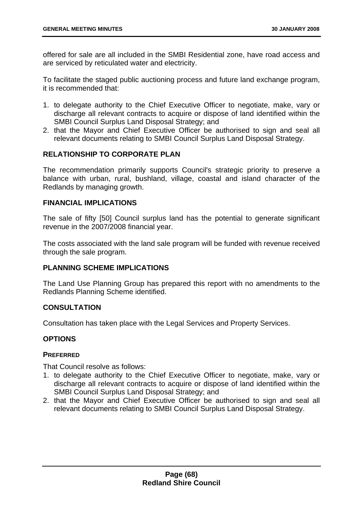offered for sale are all included in the SMBI Residential zone, have road access and are serviced by reticulated water and electricity.

To facilitate the staged public auctioning process and future land exchange program, it is recommended that:

- 1. to delegate authority to the Chief Executive Officer to negotiate, make, vary or discharge all relevant contracts to acquire or dispose of land identified within the SMBI Council Surplus Land Disposal Strategy; and
- 2. that the Mayor and Chief Executive Officer be authorised to sign and seal all relevant documents relating to SMBI Council Surplus Land Disposal Strategy.

## **RELATIONSHIP TO CORPORATE PLAN**

The recommendation primarily supports Council's strategic priority to preserve a balance with urban, rural, bushland, village, coastal and island character of the Redlands by managing growth.

### **FINANCIAL IMPLICATIONS**

The sale of fifty [50] Council surplus land has the potential to generate significant revenue in the 2007/2008 financial year.

The costs associated with the land sale program will be funded with revenue received through the sale program.

### **PLANNING SCHEME IMPLICATIONS**

The Land Use Planning Group has prepared this report with no amendments to the Redlands Planning Scheme identified.

### **CONSULTATION**

Consultation has taken place with the Legal Services and Property Services.

# **OPTIONS**

### **PREFERRED**

That Council resolve as follows:

- 1. to delegate authority to the Chief Executive Officer to negotiate, make, vary or discharge all relevant contracts to acquire or dispose of land identified within the SMBI Council Surplus Land Disposal Strategy; and
- 2. that the Mayor and Chief Executive Officer be authorised to sign and seal all relevant documents relating to SMBI Council Surplus Land Disposal Strategy.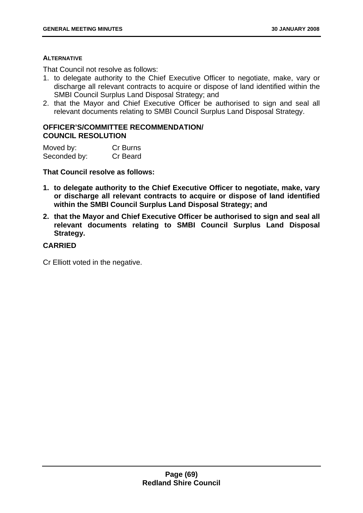#### **ALTERNATIVE**

That Council not resolve as follows:

- 1. to delegate authority to the Chief Executive Officer to negotiate, make, vary or discharge all relevant contracts to acquire or dispose of land identified within the SMBI Council Surplus Land Disposal Strategy; and
- 2. that the Mayor and Chief Executive Officer be authorised to sign and seal all relevant documents relating to SMBI Council Surplus Land Disposal Strategy.

# **OFFICER'S/COMMITTEE RECOMMENDATION/ COUNCIL RESOLUTION**

| Moved by:    | Cr Burns |
|--------------|----------|
| Seconded by: | Cr Beard |

**That Council resolve as follows:** 

- **1. to delegate authority to the Chief Executive Officer to negotiate, make, vary or discharge all relevant contracts to acquire or dispose of land identified within the SMBI Council Surplus Land Disposal Strategy; and**
- **2. that the Mayor and Chief Executive Officer be authorised to sign and seal all relevant documents relating to SMBI Council Surplus Land Disposal Strategy.**

### **CARRIED**

Cr Elliott voted in the negative.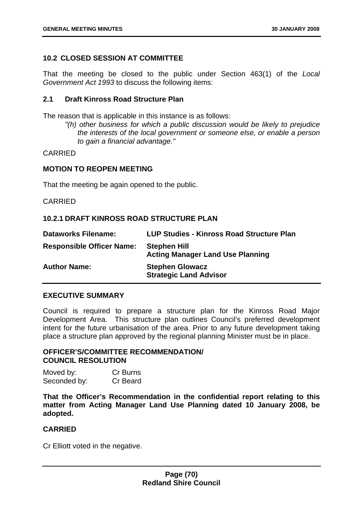## **10.2 CLOSED SESSION AT COMMITTEE**

That the meeting be closed to the public under Section 463(1) of the *Local Government Act 1993* to discuss the following items:

# **2.1 Draft Kinross Road Structure Plan**

The reason that is applicable in this instance is as follows:

*"(h) other business for which a public discussion would be likely to prejudice the interests of the local government or someone else, or enable a person to gain a financial advantage."* 

#### CARRIED

### **MOTION TO REOPEN MEETING**

That the meeting be again opened to the public.

### CARRIED

## **10.2.1 DRAFT KINROSS ROAD STRUCTURE PLAN**

| <b>Dataworks Filename:</b>       | LUP Studies - Kinross Road Structure Plan                      |
|----------------------------------|----------------------------------------------------------------|
| <b>Responsible Officer Name:</b> | <b>Stephen Hill</b><br><b>Acting Manager Land Use Planning</b> |
| <b>Author Name:</b>              | <b>Stephen Glowacz</b><br><b>Strategic Land Advisor</b>        |

### **EXECUTIVE SUMMARY**

Council is required to prepare a structure plan for the Kinross Road Major Development Area. This structure plan outlines Council's preferred development intent for the future urbanisation of the area. Prior to any future development taking place a structure plan approved by the regional planning Minister must be in place.

## **OFFICER'S/COMMITTEE RECOMMENDATION/ COUNCIL RESOLUTION**

| Moved by:    | Cr Burns |
|--------------|----------|
| Seconded by: | Cr Beard |

**That the Officer's Recommendation in the confidential report relating to this matter from Acting Manager Land Use Planning dated 10 January 2008, be adopted.** 

### **CARRIED**

Cr Elliott voted in the negative.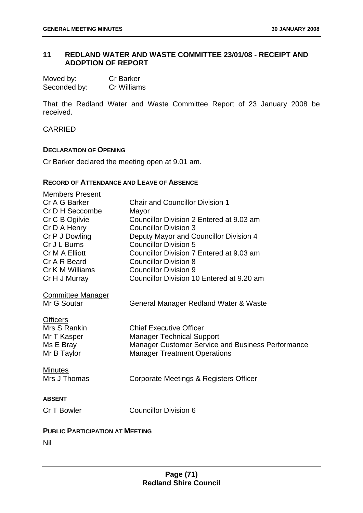# **11 REDLAND WATER AND WASTE COMMITTEE 23/01/08 - RECEIPT AND ADOPTION OF REPORT**

| Moved by:    | <b>Cr Barker</b> |
|--------------|------------------|
| Seconded by: | Cr Williams      |

That the Redland Water and Waste Committee Report of 23 January 2008 be received.

### CARRIED

#### **DECLARATION OF OPENING**

Cr Barker declared the meeting open at 9.01 am.

### **RECORD OF ATTENDANCE AND LEAVE OF ABSENCE**

| <b>Members Present</b><br>Cr A G Barker<br>Cr D H Seccombe<br>Cr C B Ogilvie<br>Cr D A Henry<br>Cr P J Dowling<br>Cr J L Burns<br>Cr M A Elliott<br>Cr A R Beard | <b>Chair and Councillor Division 1</b><br>Mayor<br>Councillor Division 2 Entered at 9.03 am<br><b>Councillor Division 3</b><br>Deputy Mayor and Councillor Division 4<br><b>Councillor Division 5</b><br>Councillor Division 7 Entered at 9.03 am<br><b>Councillor Division 8</b> |
|------------------------------------------------------------------------------------------------------------------------------------------------------------------|-----------------------------------------------------------------------------------------------------------------------------------------------------------------------------------------------------------------------------------------------------------------------------------|
| Cr K M Williams                                                                                                                                                  | <b>Councillor Division 9</b>                                                                                                                                                                                                                                                      |
| Cr H J Murray                                                                                                                                                    | Councillor Division 10 Entered at 9.20 am                                                                                                                                                                                                                                         |
| <b>Committee Manager</b><br>Mr G Soutar                                                                                                                          | General Manager Redland Water & Waste                                                                                                                                                                                                                                             |
| <b>Officers</b><br>Mrs S Rankin<br>Mr T Kasper<br>Ms E Bray<br>Mr B Taylor                                                                                       | <b>Chief Executive Officer</b><br><b>Manager Technical Support</b><br>Manager Customer Service and Business Performance<br><b>Manager Treatment Operations</b>                                                                                                                    |
| <b>Minutes</b><br>Mrs J Thomas                                                                                                                                   | Corporate Meetings & Registers Officer                                                                                                                                                                                                                                            |
| <b>ABSENT</b>                                                                                                                                                    |                                                                                                                                                                                                                                                                                   |
| Cr T Bowler                                                                                                                                                      | <b>Councillor Division 6</b>                                                                                                                                                                                                                                                      |
| <b>PUBLIC PARTICIPATION AT MEETING</b>                                                                                                                           |                                                                                                                                                                                                                                                                                   |
| Nil                                                                                                                                                              |                                                                                                                                                                                                                                                                                   |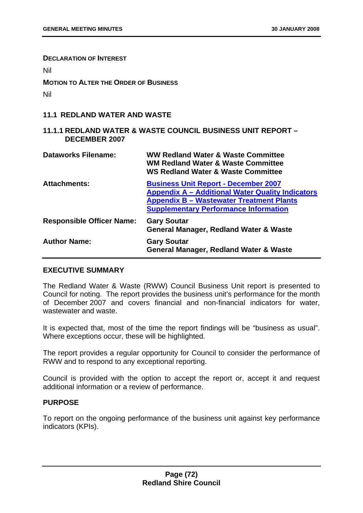**DECLARATION OF INTEREST**

Nil

**MOTION TO ALTER THE ORDER OF BUSINESS**

Nil

## **11.1 REDLAND WATER AND WASTE**

## **11.1.1 REDLAND WATER & WASTE COUNCIL BUSINESS UNIT REPORT – DECEMBER 2007**

| <b>Dataworks Filename:</b>       | <b>WW Redland Water &amp; Waste Committee</b><br><b>WM Redland Water &amp; Waste Committee</b><br><b>WS Redland Water &amp; Waste Committee</b>                                                           |
|----------------------------------|-----------------------------------------------------------------------------------------------------------------------------------------------------------------------------------------------------------|
| <b>Attachments:</b>              | <b>Business Unit Report - December 2007</b><br><b>Appendix A – Additional Water Quality Indicators</b><br><b>Appendix B - Wastewater Treatment Plants</b><br><b>Supplementary Performance Information</b> |
| <b>Responsible Officer Name:</b> | <b>Gary Soutar</b><br><b>General Manager, Redland Water &amp; Waste</b>                                                                                                                                   |
| <b>Author Name:</b>              | <b>Gary Soutar</b><br><b>General Manager, Redland Water &amp; Waste</b>                                                                                                                                   |

## **EXECUTIVE SUMMARY**

The Redland Water & Waste (RWW) Council Business Unit report is presented to Council for noting. The report provides the business unit's performance for the month of December 2007 and covers financial and non-financial indicators for water, wastewater and waste.

It is expected that, most of the time the report findings will be "business as usual". Where exceptions occur, these will be highlighted.

The report provides a regular opportunity for Council to consider the performance of RWW and to respond to any exceptional reporting.

Council is provided with the option to accept the report or, accept it and request additional information or a review of performance.

### **PURPOSE**

To report on the ongoing performance of the business unit against key performance indicators (KPIs).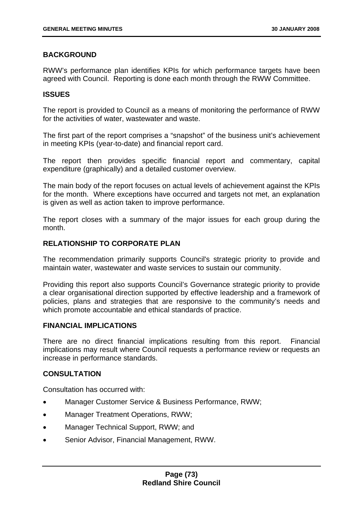# **BACKGROUND**

RWW's performance plan identifies KPIs for which performance targets have been agreed with Council. Reporting is done each month through the RWW Committee.

### **ISSUES**

The report is provided to Council as a means of monitoring the performance of RWW for the activities of water, wastewater and waste.

The first part of the report comprises a "snapshot" of the business unit's achievement in meeting KPIs (year-to-date) and financial report card.

The report then provides specific financial report and commentary, capital expenditure (graphically) and a detailed customer overview.

The main body of the report focuses on actual levels of achievement against the KPIs for the month. Where exceptions have occurred and targets not met, an explanation is given as well as action taken to improve performance.

The report closes with a summary of the major issues for each group during the month.

### **RELATIONSHIP TO CORPORATE PLAN**

The recommendation primarily supports Council's strategic priority to provide and maintain water, wastewater and waste services to sustain our community.

Providing this report also supports Council's Governance strategic priority to provide a clear organisational direction supported by effective leadership and a framework of policies, plans and strategies that are responsive to the community's needs and which promote accountable and ethical standards of practice.

#### **FINANCIAL IMPLICATIONS**

There are no direct financial implications resulting from this report. Financial implications may result where Council requests a performance review or requests an increase in performance standards.

## **CONSULTATION**

Consultation has occurred with:

- Manager Customer Service & Business Performance, RWW;
- Manager Treatment Operations, RWW;
- Manager Technical Support, RWW; and
- Senior Advisor, Financial Management, RWW.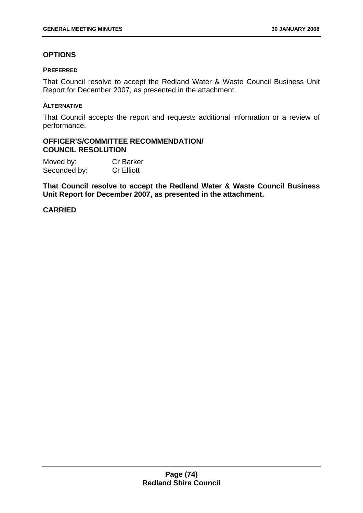# **OPTIONS**

#### **PREFERRED**

That Council resolve to accept the Redland Water & Waste Council Business Unit Report for December 2007, as presented in the attachment.

#### **ALTERNATIVE**

That Council accepts the report and requests additional information or a review of performance.

### **OFFICER'S/COMMITTEE RECOMMENDATION/ COUNCIL RESOLUTION**

Moved by: Cr Barker Seconded by: Cr Elliott

**That Council resolve to accept the Redland Water & Waste Council Business Unit Report for December 2007, as presented in the attachment.**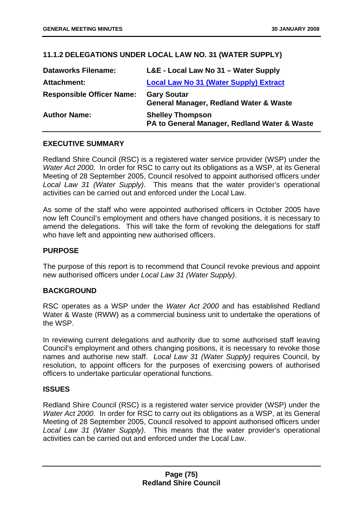# **11.1.2 DELEGATIONS UNDER LOCAL LAW NO. 31 (WATER SUPPLY)**

| <b>Dataworks Filename:</b>       | L&E - Local Law No 31 – Water Supply                                    |
|----------------------------------|-------------------------------------------------------------------------|
| Attachment:                      | <b>Local Law No 31 (Water Supply) Extract</b>                           |
| <b>Responsible Officer Name:</b> | <b>Gary Soutar</b><br><b>General Manager, Redland Water &amp; Waste</b> |
| <b>Author Name:</b>              | <b>Shelley Thompson</b><br>PA to General Manager, Redland Water & Waste |

# **EXECUTIVE SUMMARY**

Redland Shire Council (RSC) is a registered water service provider (WSP) under the *Water Act 2000*. In order for RSC to carry out its obligations as a WSP, at its General Meeting of 28 September 2005, Council resolved to appoint authorised officers under *Local Law 31 (Water Supply)*. This means that the water provider's operational activities can be carried out and enforced under the Local Law.

As some of the staff who were appointed authorised officers in October 2005 have now left Council's employment and others have changed positions, it is necessary to amend the delegations. This will take the form of revoking the delegations for staff who have left and appointing new authorised officers.

# **PURPOSE**

The purpose of this report is to recommend that Council revoke previous and appoint new authorised officers under *Local Law 31 (Water Supply)*.

### **BACKGROUND**

RSC operates as a WSP under the *Water Act 2000* and has established Redland Water & Waste (RWW) as a commercial business unit to undertake the operations of the WSP.

In reviewing current delegations and authority due to some authorised staff leaving Council's employment and others changing positions, it is necessary to revoke those names and authorise new staff. *Local Law 31 (Water Supply)* requires Council, by resolution, to appoint officers for the purposes of exercising powers of authorised officers to undertake particular operational functions.

### **ISSUES**

Redland Shire Council (RSC) is a registered water service provider (WSP) under the *Water Act 2000*. In order for RSC to carry out its obligations as a WSP, at its General Meeting of 28 September 2005, Council resolved to appoint authorised officers under *Local Law 31 (Water Supply)*. This means that the water provider's operational activities can be carried out and enforced under the Local Law.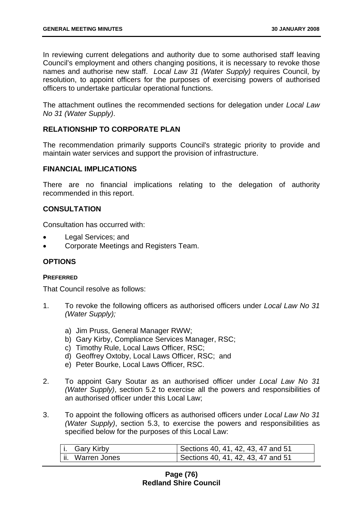In reviewing current delegations and authority due to some authorised staff leaving Council's employment and others changing positions, it is necessary to revoke those names and authorise new staff. *Local Law 31 (Water Supply)* requires Council, by resolution, to appoint officers for the purposes of exercising powers of authorised officers to undertake particular operational functions.

The attachment outlines the recommended sections for delegation under *Local Law No 31 (Water Supply)*.

# **RELATIONSHIP TO CORPORATE PLAN**

The recommendation primarily supports Council's strategic priority to provide and maintain water services and support the provision of infrastructure.

#### **FINANCIAL IMPLICATIONS**

There are no financial implications relating to the delegation of authority recommended in this report.

## **CONSULTATION**

Consultation has occurred with:

- Legal Services; and
- Corporate Meetings and Registers Team.

### **OPTIONS**

#### **PREFERRED**

That Council resolve as follows:

- 1. To revoke the following officers as authorised officers under *Local Law No 31 (Water Supply);*
	- a) Jim Pruss, General Manager RWW;
	- b) Gary Kirby, Compliance Services Manager, RSC;
	- c) Timothy Rule, Local Laws Officer, RSC;
	- d) Geoffrey Oxtoby, Local Laws Officer, RSC; and
	- e) Peter Bourke, Local Laws Officer, RSC.
- 2. To appoint Gary Soutar as an authorised officer under *Local Law No 31 (Water Supply)*, section 5.2 to exercise all the powers and responsibilities of an authorised officer under this Local Law;
- 3. To appoint the following officers as authorised officers under *Local Law No 31 (Water Supply)*, section 5.3, to exercise the powers and responsibilities as specified below for the purposes of this Local Law:

| i. Gary Kirby     | Sections 40, 41, 42, 43, 47 and 51 |
|-------------------|------------------------------------|
| lii. Warren Jones | Sections 40, 41, 42, 43, 47 and 51 |

### **Page (76) Redland Shire Council**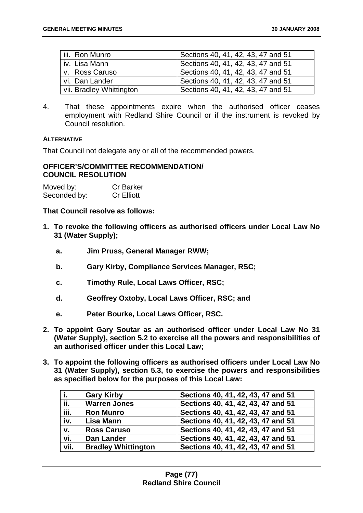| iii. Ron Munro           | Sections 40, 41, 42, 43, 47 and 51 |
|--------------------------|------------------------------------|
| l iv. Lisa Mann          | Sections 40, 41, 42, 43, 47 and 51 |
| v. Ross Caruso           | Sections 40, 41, 42, 43, 47 and 51 |
| vi. Dan Lander           | Sections 40, 41, 42, 43, 47 and 51 |
| vii. Bradley Whittington | Sections 40, 41, 42, 43, 47 and 51 |

4. That these appointments expire when the authorised officer ceases employment with Redland Shire Council or if the instrument is revoked by Council resolution.

#### **ALTERNATIVE**

That Council not delegate any or all of the recommended powers.

#### **OFFICER'S/COMMITTEE RECOMMENDATION/ COUNCIL RESOLUTION**

| Moved by:    | <b>Cr Barker</b>  |
|--------------|-------------------|
| Seconded by: | <b>Cr Elliott</b> |

**That Council resolve as follows:** 

- **1. To revoke the following officers as authorised officers under Local Law No 31 (Water Supply);** 
	- **a. Jim Pruss, General Manager RWW;**
	- **b. Gary Kirby, Compliance Services Manager, RSC;**
	- **c. Timothy Rule, Local Laws Officer, RSC;**
	- **d. Geoffrey Oxtoby, Local Laws Officer, RSC; and**
	- **e. Peter Bourke, Local Laws Officer, RSC.**
- **2. To appoint Gary Soutar as an authorised officer under Local Law No 31 (Water Supply), section 5.2 to exercise all the powers and responsibilities of an authorised officer under this Local Law;**
- **3. To appoint the following officers as authorised officers under Local Law No 31 (Water Supply), section 5.3, to exercise the powers and responsibilities as specified below for the purposes of this Local Law:**

| j.   | <b>Gary Kirby</b>          | Sections 40, 41, 42, 43, 47 and 51 |
|------|----------------------------|------------------------------------|
| ii.  | <b>Warren Jones</b>        | Sections 40, 41, 42, 43, 47 and 51 |
| iii. | <b>Ron Munro</b>           | Sections 40, 41, 42, 43, 47 and 51 |
| iv.  | Lisa Mann                  | Sections 40, 41, 42, 43, 47 and 51 |
| V.   | <b>Ross Caruso</b>         | Sections 40, 41, 42, 43, 47 and 51 |
| vi.  | <b>Dan Lander</b>          | Sections 40, 41, 42, 43, 47 and 51 |
| vii. | <b>Bradley Whittington</b> | Sections 40, 41, 42, 43, 47 and 51 |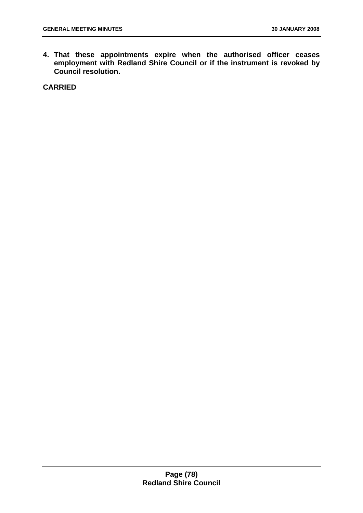**4. That these appointments expire when the authorised officer ceases employment with Redland Shire Council or if the instrument is revoked by Council resolution.**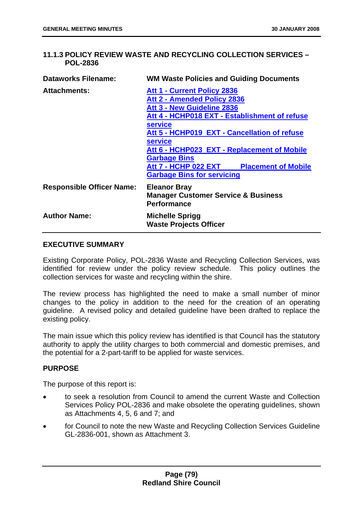# **11.1.3 POLICY REVIEW WASTE AND RECYCLING COLLECTION SERVICES – POL-2836**

| <b>Dataworks Filename:</b>       | <b>WM Waste Policies and Guiding Documents</b>                                                                                                                                                                                                                                                                                                                                       |
|----------------------------------|--------------------------------------------------------------------------------------------------------------------------------------------------------------------------------------------------------------------------------------------------------------------------------------------------------------------------------------------------------------------------------------|
| <b>Attachments:</b>              | Att 1 - Current Policy 2836<br>Att 2 - Amended Policy 2836<br>Att 3 - New Guideline 2836<br>Att 4 - HCHP018 EXT - Establishment of refuse<br><b>service</b><br>Att 5 - HCHP019 EXT - Cancellation of refuse<br><b>service</b><br>Att 6 - HCHP023 EXT - Replacement of Mobile<br><b>Garbage Bins</b><br>Att 7 - HCHP 022 EXT Placement of Mobile<br><b>Garbage Bins for servicing</b> |
| <b>Responsible Officer Name:</b> | <b>Eleanor Bray</b><br><b>Manager Customer Service &amp; Business</b><br><b>Performance</b>                                                                                                                                                                                                                                                                                          |
| <b>Author Name:</b>              | <b>Michelle Sprigg</b><br><b>Waste Projects Officer</b>                                                                                                                                                                                                                                                                                                                              |

### **EXECUTIVE SUMMARY**

Existing Corporate Policy, POL-2836 Waste and Recycling Collection Services, was identified for review under the policy review schedule. This policy outlines the collection services for waste and recycling within the shire.

The review process has highlighted the need to make a small number of minor changes to the policy in addition to the need for the creation of an operating guideline. A revised policy and detailed guideline have been drafted to replace the existing policy.

The main issue which this policy review has identified is that Council has the statutory authority to apply the utility charges to both commercial and domestic premises, and the potential for a 2-part-tariff to be applied for waste services.

# **PURPOSE**

The purpose of this report is:

- to seek a resolution from Council to amend the current Waste and Collection Services Policy POL-2836 and make obsolete the operating guidelines, shown as Attachments 4, 5, 6 and 7; and
- for Council to note the new Waste and Recycling Collection Services Guideline GL-2836-001, shown as Attachment 3.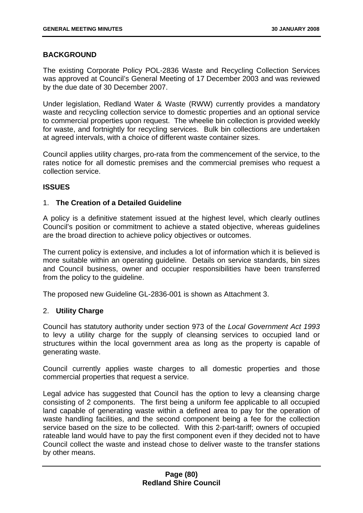## **BACKGROUND**

The existing Corporate Policy POL-2836 Waste and Recycling Collection Services was approved at Council's General Meeting of 17 December 2003 and was reviewed by the due date of 30 December 2007.

Under legislation, Redland Water & Waste (RWW) currently provides a mandatory waste and recycling collection service to domestic properties and an optional service to commercial properties upon request. The wheelie bin collection is provided weekly for waste, and fortnightly for recycling services. Bulk bin collections are undertaken at agreed intervals, with a choice of different waste container sizes.

Council applies utility charges, pro-rata from the commencement of the service, to the rates notice for all domestic premises and the commercial premises who request a collection service.

## **ISSUES**

### 1. **The Creation of a Detailed Guideline**

A policy is a definitive statement issued at the highest level, which clearly outlines Council's position or commitment to achieve a stated objective, whereas guidelines are the broad direction to achieve policy objectives or outcomes.

The current policy is extensive, and includes a lot of information which it is believed is more suitable within an operating guideline. Details on service standards, bin sizes and Council business, owner and occupier responsibilities have been transferred from the policy to the quideline.

The proposed new Guideline GL-2836-001 is shown as Attachment 3.

### 2. **Utility Charge**

Council has statutory authority under section 973 of the *Local Government Act 1993* to levy a utility charge for the supply of cleansing services to occupied land or structures within the local government area as long as the property is capable of generating waste.

Council currently applies waste charges to all domestic properties and those commercial properties that request a service.

Legal advice has suggested that Council has the option to levy a cleansing charge consisting of 2 components. The first being a uniform fee applicable to all occupied land capable of generating waste within a defined area to pay for the operation of waste handling facilities, and the second component being a fee for the collection service based on the size to be collected. With this 2-part-tariff; owners of occupied rateable land would have to pay the first component even if they decided not to have Council collect the waste and instead chose to deliver waste to the transfer stations by other means.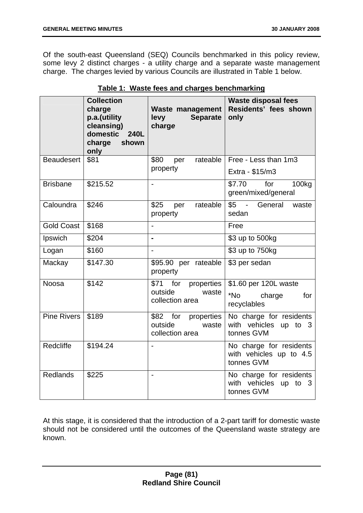Of the south-east Queensland (SEQ) Councils benchmarked in this policy review, some levy 2 distinct charges - a utility charge and a separate waste management charge. The charges levied by various Councils are illustrated in Table 1 below.

|                    | <b>Collection</b><br>charge<br>p.a.(utility<br>cleansing)<br>domestic<br>240L<br>charge<br>shown<br>only | Waste management<br><b>Separate</b><br><b>levy</b><br>charge | <b>Waste disposal fees</b><br>Residents' fees shown<br>only            |
|--------------------|----------------------------------------------------------------------------------------------------------|--------------------------------------------------------------|------------------------------------------------------------------------|
| <b>Beaudesert</b>  | \$81                                                                                                     | \$80<br>rateable<br>per<br>property                          | Free - Less than 1m3<br>Extra - \$15/m3                                |
| <b>Brisbane</b>    | \$215.52                                                                                                 | $\overline{\phantom{a}}$                                     | \$7.70<br>for<br>100kg<br>green/mixed/general                          |
| Caloundra          | \$246                                                                                                    | \$25<br>rateable<br>per<br>property                          | \$5 - General<br>waste<br>sedan                                        |
| <b>Gold Coast</b>  | \$168                                                                                                    | $\overline{a}$                                               | Free                                                                   |
| Ipswich            | \$204                                                                                                    | $\blacksquare$                                               | \$3 up to 500kg                                                        |
| Logan              | \$160                                                                                                    | $\overline{a}$                                               | \$3 up to 750kg                                                        |
| Mackay             | \$147.30                                                                                                 | \$95.90 per rateable<br>property                             | \$3 per sedan                                                          |
| <b>Noosa</b>       | \$142                                                                                                    | \$71 for properties<br>outside<br>waste<br>collection area   | \$1.60 per 120L waste<br>*No<br>charge<br>for<br>recyclables           |
| <b>Pine Rivers</b> | \$189                                                                                                    | \$82 for properties<br>outside<br>waste<br>collection area   | No charge for residents<br>with vehicles up to 3<br>tonnes GVM         |
| Redcliffe          | \$194.24                                                                                                 |                                                              | No charge for residents<br>with vehicles up to 4.5<br>tonnes GVM       |
| <b>Redlands</b>    | \$225                                                                                                    | $\blacksquare$                                               | No charge for residents<br>with vehicles<br>up<br>to $3$<br>tonnes GVM |

| Table 1: Waste fees and charges benchmarking |
|----------------------------------------------|
|----------------------------------------------|

At this stage, it is considered that the introduction of a 2-part tariff for domestic waste should not be considered until the outcomes of the Queensland waste strategy are known.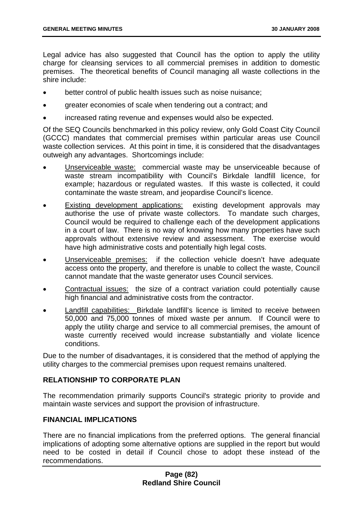Legal advice has also suggested that Council has the option to apply the utility charge for cleansing services to all commercial premises in addition to domestic premises. The theoretical benefits of Council managing all waste collections in the shire include:

- better control of public health issues such as noise nuisance;
- greater economies of scale when tendering out a contract; and
- increased rating revenue and expenses would also be expected.

Of the SEQ Councils benchmarked in this policy review, only Gold Coast City Council (GCCC) mandates that commercial premises within particular areas use Council waste collection services. At this point in time, it is considered that the disadvantages outweigh any advantages. Shortcomings include:

- Unserviceable waste: commercial waste may be unserviceable because of waste stream incompatibility with Council's Birkdale landfill licence, for example; hazardous or regulated wastes. If this waste is collected, it could contaminate the waste stream, and jeopardise Council's licence.
- **Existing development applications:** existing development approvals may authorise the use of private waste collectors. To mandate such charges, Council would be required to challenge each of the development applications in a court of law. There is no way of knowing how many properties have such approvals without extensive review and assessment. The exercise would have high administrative costs and potentially high legal costs.
- Unserviceable premises: if the collection vehicle doesn't have adequate access onto the property, and therefore is unable to collect the waste, Council cannot mandate that the waste generator uses Council services.
- Contractual issues: the size of a contract variation could potentially cause high financial and administrative costs from the contractor.
- Landfill capabilities: Birkdale landfill's licence is limited to receive between 50,000 and 75,000 tonnes of mixed waste per annum. If Council were to apply the utility charge and service to all commercial premises, the amount of waste currently received would increase substantially and violate licence conditions.

Due to the number of disadvantages, it is considered that the method of applying the utility charges to the commercial premises upon request remains unaltered.

# **RELATIONSHIP TO CORPORATE PLAN**

The recommendation primarily supports Council's strategic priority to provide and maintain waste services and support the provision of infrastructure.

### **FINANCIAL IMPLICATIONS**

There are no financial implications from the preferred options. The general financial implications of adopting some alternative options are supplied in the report but would need to be costed in detail if Council chose to adopt these instead of the recommendations.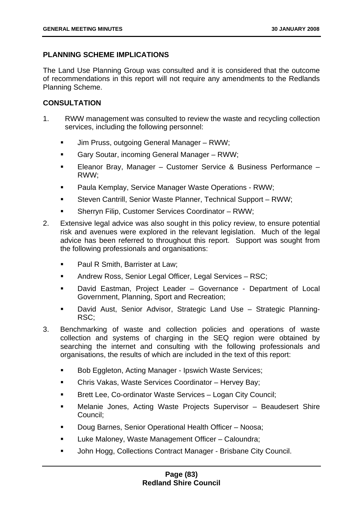# **PLANNING SCHEME IMPLICATIONS**

The Land Use Planning Group was consulted and it is considered that the outcome of recommendations in this report will not require any amendments to the Redlands Planning Scheme.

# **CONSULTATION**

- 1. RWW management was consulted to review the waste and recycling collection services, including the following personnel:
	- **Jim Pruss, outgoing General Manager RWW;**
	- Gary Soutar, incoming General Manager RWW;
	- Eleanor Bray, Manager Customer Service & Business Performance RWW;
	- Paula Kemplay, Service Manager Waste Operations RWW;
	- Steven Cantrill, Senior Waste Planner, Technical Support RWW;
	- Sherryn Filip, Customer Services Coordinator RWW;
- 2. Extensive legal advice was also sought in this policy review, to ensure potential risk and avenues were explored in the relevant legislation. Much of the legal advice has been referred to throughout this report. Support was sought from the following professionals and organisations:
	- **Paul R Smith, Barrister at Law:**
	- Andrew Ross, Senior Legal Officer, Legal Services RSC;
	- David Eastman, Project Leader Governance Department of Local Government, Planning, Sport and Recreation;
	- David Aust, Senior Advisor, Strategic Land Use Strategic Planning-RSC;
- 3. Benchmarking of waste and collection policies and operations of waste collection and systems of charging in the SEQ region were obtained by searching the internet and consulting with the following professionals and organisations, the results of which are included in the text of this report:
	- Bob Eggleton, Acting Manager Ipswich Waste Services;
	- Chris Vakas, Waste Services Coordinator Hervey Bay;
	- Brett Lee, Co-ordinator Waste Services Logan City Council;
	- Melanie Jones, Acting Waste Projects Supervisor Beaudesert Shire Council;
	- Doug Barnes, Senior Operational Health Officer Noosa;
	- **Luke Maloney, Waste Management Officer Caloundra;**
	- **John Hogg, Collections Contract Manager Brisbane City Council.**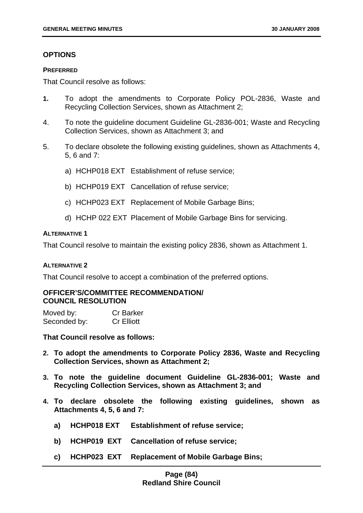## **OPTIONS**

#### **PREFERRED**

That Council resolve as follows:

- **1.** To adopt the amendments to Corporate Policy POL-2836, Waste and Recycling Collection Services, shown as Attachment 2;
- 4. To note the guideline document Guideline GL-2836-001; Waste and Recycling Collection Services, shown as Attachment 3; and
- 5. To declare obsolete the following existing guidelines, shown as Attachments 4, 5, 6 and 7:
	- a) HCHP018 EXT Establishment of refuse service;
	- b) HCHP019 EXT Cancellation of refuse service;
	- c) HCHP023 EXT Replacement of Mobile Garbage Bins;
	- d) HCHP 022 EXT Placement of Mobile Garbage Bins for servicing.

#### **ALTERNATIVE 1**

That Council resolve to maintain the existing policy 2836, shown as Attachment 1.

### **ALTERNATIVE 2**

That Council resolve to accept a combination of the preferred options.

## **OFFICER'S/COMMITTEE RECOMMENDATION/ COUNCIL RESOLUTION**

| Moved by:    | <b>Cr Barker</b>  |
|--------------|-------------------|
| Seconded by: | <b>Cr Elliott</b> |

**That Council resolve as follows:** 

- **2. To adopt the amendments to Corporate Policy 2836, Waste and Recycling Collection Services, shown as Attachment 2;**
- **3. To note the guideline document Guideline GL-2836-001; Waste and Recycling Collection Services, shown as Attachment 3; and**
- **4. To declare obsolete the following existing guidelines, shown as Attachments 4, 5, 6 and 7:** 
	- **a) HCHP018 EXT Establishment of refuse service;**
	- **b) HCHP019 EXT Cancellation of refuse service;**
	- **c) HCHP023 EXT Replacement of Mobile Garbage Bins;**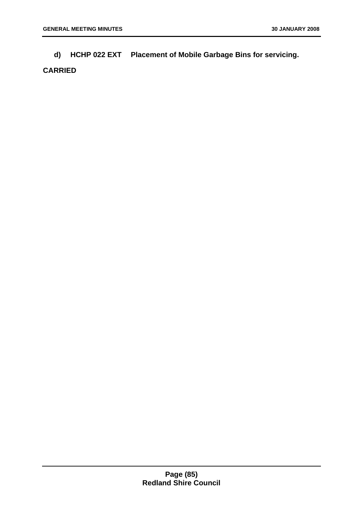**d) HCHP 022 EXT Placement of Mobile Garbage Bins for servicing.**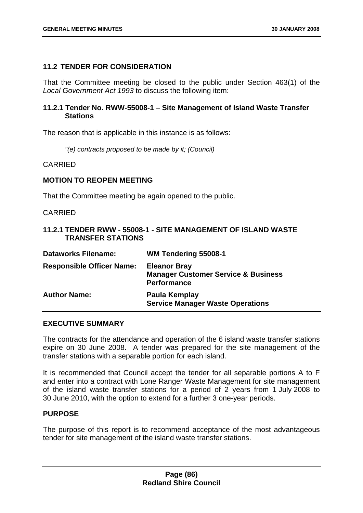## **11.2 TENDER FOR CONSIDERATION**

That the Committee meeting be closed to the public under Section 463(1) of the *Local Government Act 1993* to discuss the following item:

## **11.2.1 Tender No. RWW-55008-1 – Site Management of Island Waste Transfer Stations**

The reason that is applicable in this instance is as follows:

*"(e) contracts proposed to be made by it; (Council)* 

CARRIED

#### **MOTION TO REOPEN MEETING**

That the Committee meeting be again opened to the public.

CARRIED

### **11.2.1 TENDER RWW - 55008-1 - SITE MANAGEMENT OF ISLAND WASTE TRANSFER STATIONS**

| <b>Dataworks Filename:</b>       | WM Tendering 55008-1                                                                 |
|----------------------------------|--------------------------------------------------------------------------------------|
| <b>Responsible Officer Name:</b> | <b>Eleanor Bray</b><br><b>Manager Customer Service &amp; Business</b><br>Performance |
| <b>Author Name:</b>              | Paula Kemplay<br><b>Service Manager Waste Operations</b>                             |

### **EXECUTIVE SUMMARY**

The contracts for the attendance and operation of the 6 island waste transfer stations expire on 30 June 2008. A tender was prepared for the site management of the transfer stations with a separable portion for each island.

It is recommended that Council accept the tender for all separable portions A to F and enter into a contract with Lone Ranger Waste Management for site management of the island waste transfer stations for a period of 2 years from 1 July 2008 to 30 June 2010, with the option to extend for a further 3 one-year periods.

## **PURPOSE**

The purpose of this report is to recommend acceptance of the most advantageous tender for site management of the island waste transfer stations.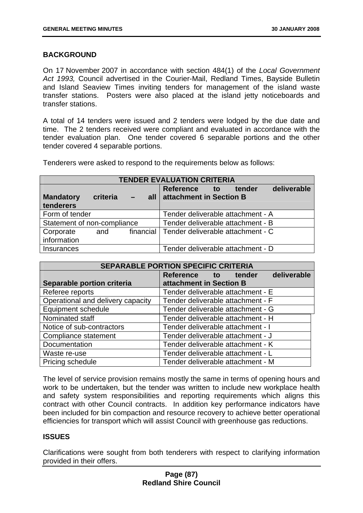# **BACKGROUND**

On 17 November 2007 in accordance with section 484(1) of the *Local Government Act 1993,* Council advertised in the Courier-Mail, Redland Times, Bayside Bulletin and Island Seaview Times inviting tenders for management of the island waste transfer stations. Posters were also placed at the island jetty noticeboards and transfer stations.

A total of 14 tenders were issued and 2 tenders were lodged by the due date and time. The 2 tenders received were compliant and evaluated in accordance with the tender evaluation plan. One tender covered 6 separable portions and the other tender covered 4 separable portions.

Tenderers were asked to respond to the requirements below as follows:

| <b>TENDER EVALUATION CRITERIA</b> |          |           |                                       |  |  |  |
|-----------------------------------|----------|-----------|---------------------------------------|--|--|--|
|                                   |          |           | deliverable<br>Reference to<br>tender |  |  |  |
| <b>Mandatory</b>                  | criteria | $-$       | all attachment in Section B           |  |  |  |
| tenderers                         |          |           |                                       |  |  |  |
| Form of tender                    |          |           | Tender deliverable attachment - A     |  |  |  |
| Statement of non-compliance       |          |           | Tender deliverable attachment - B     |  |  |  |
| Corporate                         | and      | financial | Tender deliverable attachment - C     |  |  |  |
| information                       |          |           |                                       |  |  |  |
| Insurances                        |          |           | Tender deliverable attachment - D     |  |  |  |

| <b>SEPARABLE PORTION SPECIFIC CRITERIA</b> |                                    |  |  |
|--------------------------------------------|------------------------------------|--|--|
|                                            | deliverable<br>Reference to tender |  |  |
| Separable portion criteria                 | attachment in Section B            |  |  |
| Referee reports                            | Tender deliverable attachment - E  |  |  |
| Operational and delivery capacity          | Tender deliverable attachment - F  |  |  |
| Equipment schedule                         | Tender deliverable attachment - G  |  |  |
| Nominated staff                            | Tender deliverable attachment - H  |  |  |
| Notice of sub-contractors                  | Tender deliverable attachment - I  |  |  |
| Compliance statement                       | Tender deliverable attachment - J  |  |  |
| Documentation                              | Tender deliverable attachment - K  |  |  |
| Waste re-use                               | Tender deliverable attachment - L  |  |  |
| Pricing schedule                           | Tender deliverable attachment - M  |  |  |

The level of service provision remains mostly the same in terms of opening hours and work to be undertaken, but the tender was written to include new workplace health and safety system responsibilities and reporting requirements which aligns this contract with other Council contracts. In addition key performance indicators have been included for bin compaction and resource recovery to achieve better operational efficiencies for transport which will assist Council with greenhouse gas reductions.

# **ISSUES**

Clarifications were sought from both tenderers with respect to clarifying information provided in their offers.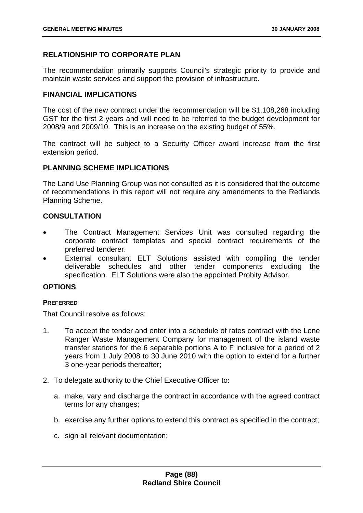# **RELATIONSHIP TO CORPORATE PLAN**

The recommendation primarily supports Council's strategic priority to provide and maintain waste services and support the provision of infrastructure.

### **FINANCIAL IMPLICATIONS**

The cost of the new contract under the recommendation will be \$1,108,268 including GST for the first 2 years and will need to be referred to the budget development for 2008/9 and 2009/10. This is an increase on the existing budget of 55%.

The contract will be subject to a Security Officer award increase from the first extension period.

## **PLANNING SCHEME IMPLICATIONS**

The Land Use Planning Group was not consulted as it is considered that the outcome of recommendations in this report will not require any amendments to the Redlands Planning Scheme.

# **CONSULTATION**

- The Contract Management Services Unit was consulted regarding the corporate contract templates and special contract requirements of the preferred tenderer.
- External consultant ELT Solutions assisted with compiling the tender deliverable schedules and other tender components excluding the specification. ELT Solutions were also the appointed Probity Advisor.

# **OPTIONS**

### **PREFERRED**

That Council resolve as follows:

- 1. To accept the tender and enter into a schedule of rates contract with the Lone Ranger Waste Management Company for management of the island waste transfer stations for the 6 separable portions A to F inclusive for a period of 2 years from 1 July 2008 to 30 June 2010 with the option to extend for a further 3 one-year periods thereafter;
- 2. To delegate authority to the Chief Executive Officer to:
	- a. make, vary and discharge the contract in accordance with the agreed contract terms for any changes;
	- b. exercise any further options to extend this contract as specified in the contract;
	- c. sign all relevant documentation;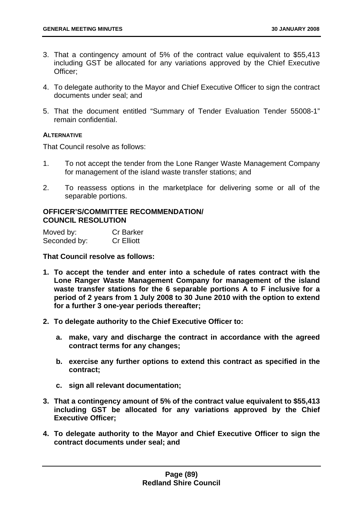- 3. That a contingency amount of 5% of the contract value equivalent to \$55,413 including GST be allocated for any variations approved by the Chief Executive Officer;
- 4. To delegate authority to the Mayor and Chief Executive Officer to sign the contract documents under seal; and
- 5. That the document entitled "Summary of Tender Evaluation Tender 55008-1" remain confidential.

### **ALTERNATIVE**

That Council resolve as follows:

- 1. To not accept the tender from the Lone Ranger Waste Management Company for management of the island waste transfer stations; and
- 2. To reassess options in the marketplace for delivering some or all of the separable portions.

# **OFFICER'S/COMMITTEE RECOMMENDATION/ COUNCIL RESOLUTION**

| Moved by:    | <b>Cr Barker</b>  |
|--------------|-------------------|
| Seconded by: | <b>Cr Elliott</b> |

### **That Council resolve as follows:**

- **1. To accept the tender and enter into a schedule of rates contract with the Lone Ranger Waste Management Company for management of the island waste transfer stations for the 6 separable portions A to F inclusive for a period of 2 years from 1 July 2008 to 30 June 2010 with the option to extend for a further 3 one-year periods thereafter;**
- **2. To delegate authority to the Chief Executive Officer to:** 
	- **a. make, vary and discharge the contract in accordance with the agreed contract terms for any changes;**
	- **b. exercise any further options to extend this contract as specified in the contract;**
	- **c. sign all relevant documentation;**
- **3. That a contingency amount of 5% of the contract value equivalent to \$55,413 including GST be allocated for any variations approved by the Chief Executive Officer;**
- **4. To delegate authority to the Mayor and Chief Executive Officer to sign the contract documents under seal; and**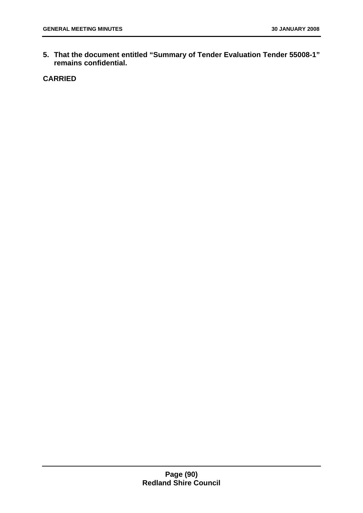**5. That the document entitled "Summary of Tender Evaluation Tender 55008-1" remains confidential.**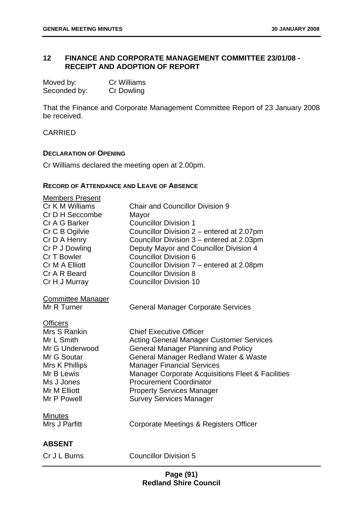# **12 FINANCE AND CORPORATE MANAGEMENT COMMITTEE 23/01/08 - RECEIPT AND ADOPTION OF REPORT**

| Moved by:    | Cr Williams       |
|--------------|-------------------|
| Seconded by: | <b>Cr Dowling</b> |

That the Finance and Corporate Management Committee Report of 23 January 2008 be received.

CARRIED

#### **DECLARATION OF OPENING**

Cr Williams declared the meeting open at 2.00pm.

## **RECORD OF ATTENDANCE AND LEAVE OF ABSENCE**

| <b>Members Present</b>        |                                                                                               |
|-------------------------------|-----------------------------------------------------------------------------------------------|
| Cr K M Williams               | <b>Chair and Councillor Division 9</b>                                                        |
| Cr D H Seccombe               | Mayor                                                                                         |
| Cr A G Barker                 | <b>Councillor Division 1</b>                                                                  |
| Cr C B Ogilvie                | Councillor Division 2 – entered at 2.07pm                                                     |
| Cr D A Henry                  | Councillor Division 3 – entered at 2.03pm                                                     |
| Cr P J Dowling<br>Cr T Bowler | Deputy Mayor and Councillor Division 4<br><b>Councillor Division 6</b>                        |
| Cr M A Elliott                | Councillor Division 7 – entered at 2.08pm                                                     |
| Cr A R Beard                  | <b>Councillor Division 8</b>                                                                  |
| Cr H J Murray                 | <b>Councillor Division 10</b>                                                                 |
| <b>Committee Manager</b>      |                                                                                               |
| Mr R Turner                   | <b>General Manager Corporate Services</b>                                                     |
| <b>Officers</b>               |                                                                                               |
| Mrs S Rankin                  | <b>Chief Executive Officer</b>                                                                |
| Mr L Smith<br>Mr G Underwood  | <b>Acting General Manager Customer Services</b><br><b>General Manager Planning and Policy</b> |
| Mr G Soutar                   | General Manager Redland Water & Waste                                                         |
| Mrs K Phillips                | <b>Manager Financial Services</b>                                                             |
| Mr B Lewis                    | <b>Manager Corporate Acquisitions Fleet &amp; Facilities</b>                                  |
| Ms J Jones                    | <b>Procurement Coordinator</b>                                                                |
| Mr M Elliott                  | <b>Property Services Manager</b>                                                              |
| Mr P Powell                   | <b>Survey Services Manager</b>                                                                |
| <b>Minutes</b>                |                                                                                               |
| Mrs J Parfitt                 | Corporate Meetings & Registers Officer                                                        |
| <b>ABSENT</b>                 |                                                                                               |
| Cr J L Burns                  | <b>Councillor Division 5</b>                                                                  |
|                               |                                                                                               |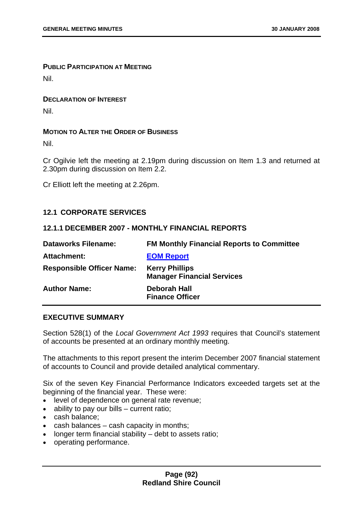# **PUBLIC PARTICIPATION AT MEETING**

Nil.

### **DECLARATION OF INTEREST**

Nil.

### **MOTION TO ALTER THE ORDER OF BUSINESS**

Nil.

Cr Ogilvie left the meeting at 2.19pm during discussion on Item 1.3 and returned at 2.30pm during discussion on Item 2.2.

Cr Elliott left the meeting at 2.26pm.

## **12.1 CORPORATE SERVICES**

### **12.1.1 DECEMBER 2007 - MONTHLY FINANCIAL REPORTS**

| <b>Dataworks Filename:</b>       | <b>FM Monthly Financial Reports to Committee</b>           |
|----------------------------------|------------------------------------------------------------|
| Attachment:                      | <b>EOM Report</b>                                          |
| <b>Responsible Officer Name:</b> | <b>Kerry Phillips</b><br><b>Manager Financial Services</b> |
| <b>Author Name:</b>              | <b>Deborah Hall</b><br><b>Finance Officer</b>              |

# **EXECUTIVE SUMMARY**

Section 528(1) of the *Local Government Act 1993* requires that Council's statement of accounts be presented at an ordinary monthly meeting.

The attachments to this report present the interim December 2007 financial statement of accounts to Council and provide detailed analytical commentary.

Six of the seven Key Financial Performance Indicators exceeded targets set at the beginning of the financial year. These were:

- level of dependence on general rate revenue;
- ability to pay our bills current ratio;
- cash balance;
- cash balances cash capacity in months;
- longer term financial stability debt to assets ratio;
- operating performance.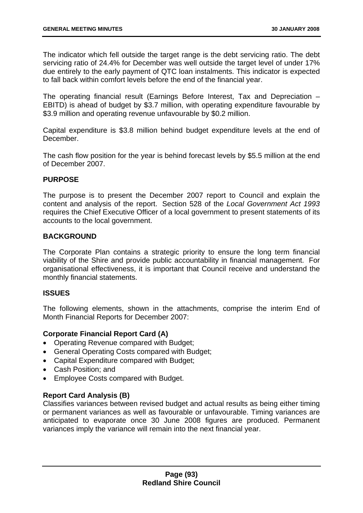The indicator which fell outside the target range is the debt servicing ratio. The debt servicing ratio of 24.4% for December was well outside the target level of under 17% due entirely to the early payment of QTC loan instalments. This indicator is expected to fall back within comfort levels before the end of the financial year.

The operating financial result (Earnings Before Interest, Tax and Depreciation – EBITD) is ahead of budget by \$3.7 million, with operating expenditure favourable by \$3.9 million and operating revenue unfavourable by \$0.2 million.

Capital expenditure is \$3.8 million behind budget expenditure levels at the end of December.

The cash flow position for the year is behind forecast levels by \$5.5 million at the end of December 2007.

## **PURPOSE**

The purpose is to present the December 2007 report to Council and explain the content and analysis of the report. Section 528 of the *Local Government Act 1993* requires the Chief Executive Officer of a local government to present statements of its accounts to the local government.

## **BACKGROUND**

The Corporate Plan contains a strategic priority to ensure the long term financial viability of the Shire and provide public accountability in financial management. For organisational effectiveness, it is important that Council receive and understand the monthly financial statements.

### **ISSUES**

The following elements, shown in the attachments, comprise the interim End of Month Financial Reports for December 2007:

### **Corporate Financial Report Card (A)**

- Operating Revenue compared with Budget;
- General Operating Costs compared with Budget;
- Capital Expenditure compared with Budget;
- Cash Position; and
- Employee Costs compared with Budget.

### **Report Card Analysis (B)**

Classifies variances between revised budget and actual results as being either timing or permanent variances as well as favourable or unfavourable. Timing variances are anticipated to evaporate once 30 June 2008 figures are produced. Permanent variances imply the variance will remain into the next financial year.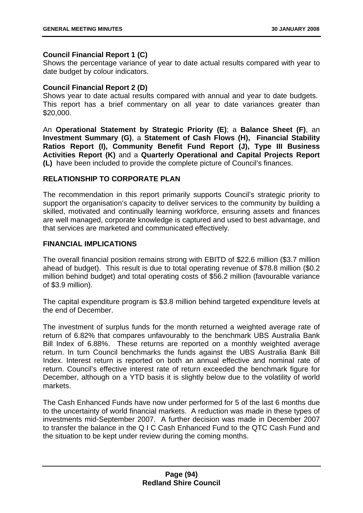## **Council Financial Report 1 (C)**

Shows the percentage variance of year to date actual results compared with year to date budget by colour indicators.

## **Council Financial Report 2 (D)**

Shows year to date actual results compared with annual and year to date budgets. This report has a brief commentary on all year to date variances greater than \$20,000.

An **Operational Statement by Strategic Priority (E)**; a **Balance Sheet (F)**, an **Investment Summary (G)**, a **Statement of Cash Flows (H), Financial Stability Ratios Report (I), Community Benefit Fund Report (J), Type III Business Activities Report (K)** and a **Quarterly Operational and Capital Projects Report (L)** have been included to provide the complete picture of Council's finances.

# **RELATIONSHIP TO CORPORATE PLAN**

The recommendation in this report primarily supports Council's strategic priority to support the organisation's capacity to deliver services to the community by building a skilled, motivated and continually learning workforce, ensuring assets and finances are well managed, corporate knowledge is captured and used to best advantage, and that services are marketed and communicated effectively.

# **FINANCIAL IMPLICATIONS**

The overall financial position remains strong with EBITD of \$22.6 million (\$3.7 million ahead of budget). This result is due to total operating revenue of \$78.8 million (\$0.2 million behind budget) and total operating costs of \$56.2 million (favourable variance of \$3.9 million).

The capital expenditure program is \$3.8 million behind targeted expenditure levels at the end of December.

The investment of surplus funds for the month returned a weighted average rate of return of 6.82% that compares unfavourably to the benchmark UBS Australia Bank Bill Index of 6.88%. These returns are reported on a monthly weighted average return. In turn Council benchmarks the funds against the UBS Australia Bank Bill Index. Interest return is reported on both an annual effective and nominal rate of return. Council's effective interest rate of return exceeded the benchmark figure for December, although on a YTD basis it is slightly below due to the volatility of world markets.

The Cash Enhanced Funds have now under performed for 5 of the last 6 months due to the uncertainty of world financial markets. A reduction was made in these types of investments mid-September 2007. A further decision was made in December 2007 to transfer the balance in the Q I C Cash Enhanced Fund to the QTC Cash Fund and the situation to be kept under review during the coming months.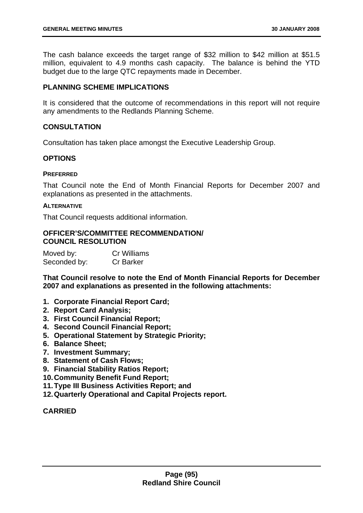The cash balance exceeds the target range of \$32 million to \$42 million at \$51.5 million, equivalent to 4.9 months cash capacity. The balance is behind the YTD budget due to the large QTC repayments made in December.

### **PLANNING SCHEME IMPLICATIONS**

It is considered that the outcome of recommendations in this report will not require any amendments to the Redlands Planning Scheme.

### **CONSULTATION**

Consultation has taken place amongst the Executive Leadership Group.

### **OPTIONS**

#### **PREFERRED**

That Council note the End of Month Financial Reports for December 2007 and explanations as presented in the attachments.

#### **ALTERNATIVE**

That Council requests additional information.

### **OFFICER'S/COMMITTEE RECOMMENDATION/ COUNCIL RESOLUTION**

| Moved by:    | <b>Cr Williams</b> |
|--------------|--------------------|
| Seconded by: | <b>Cr Barker</b>   |

**That Council resolve to note the End of Month Financial Reports for December 2007 and explanations as presented in the following attachments:** 

- **1. Corporate Financial Report Card;**
- **2. Report Card Analysis;**
- **3. First Council Financial Report;**
- **4. Second Council Financial Report;**
- **5. Operational Statement by Strategic Priority;**
- **6. Balance Sheet;**
- **7. Investment Summary;**
- **8. Statement of Cash Flows;**
- **9. Financial Stability Ratios Report;**
- **10. Community Benefit Fund Report;**
- **11. Type III Business Activities Report; and**
- **12. Quarterly Operational and Capital Projects report.**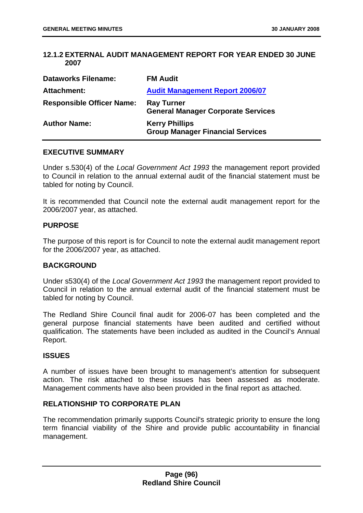## **12.1.2 EXTERNAL AUDIT MANAGEMENT REPORT FOR YEAR ENDED 30 JUNE 2007**

| <b>Dataworks Filename:</b>       | <b>FM Audit</b>                                                  |
|----------------------------------|------------------------------------------------------------------|
| Attachment:                      | <b>Audit Management Report 2006/07</b>                           |
| <b>Responsible Officer Name:</b> | <b>Ray Turner</b><br><b>General Manager Corporate Services</b>   |
| <b>Author Name:</b>              | <b>Kerry Phillips</b><br><b>Group Manager Financial Services</b> |

#### **EXECUTIVE SUMMARY**

Under s.530(4) of the *Local Government Act 1993* the management report provided to Council in relation to the annual external audit of the financial statement must be tabled for noting by Council.

It is recommended that Council note the external audit management report for the 2006/2007 year, as attached.

#### **PURPOSE**

The purpose of this report is for Council to note the external audit management report for the 2006/2007 year, as attached.

### **BACKGROUND**

Under s530(4) of the *Local Government Act 1993* the management report provided to Council in relation to the annual external audit of the financial statement must be tabled for noting by Council.

The Redland Shire Council final audit for 2006-07 has been completed and the general purpose financial statements have been audited and certified without qualification. The statements have been included as audited in the Council's Annual Report.

### **ISSUES**

A number of issues have been brought to management's attention for subsequent action. The risk attached to these issues has been assessed as moderate. Management comments have also been provided in the final report as attached.

### **RELATIONSHIP TO CORPORATE PLAN**

The recommendation primarily supports Council's strategic priority to ensure the long term financial viability of the Shire and provide public accountability in financial management.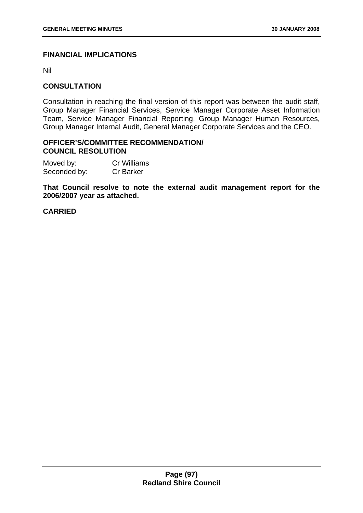# **FINANCIAL IMPLICATIONS**

Nil

## **CONSULTATION**

Consultation in reaching the final version of this report was between the audit staff, Group Manager Financial Services, Service Manager Corporate Asset Information Team, Service Manager Financial Reporting, Group Manager Human Resources, Group Manager Internal Audit, General Manager Corporate Services and the CEO.

#### **OFFICER'S/COMMITTEE RECOMMENDATION/ COUNCIL RESOLUTION**

Moved by: Cr Williams Seconded by: Cr Barker

**That Council resolve to note the external audit management report for the 2006/2007 year as attached.**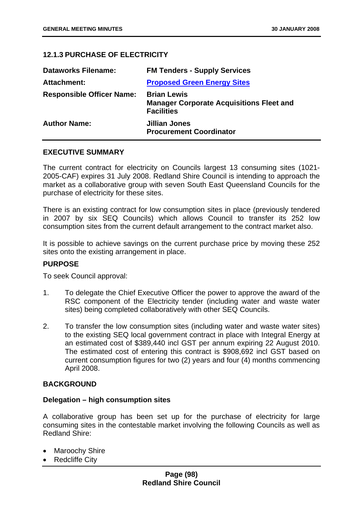# **12.1.3 PURCHASE OF ELECTRICITY**

| <b>Dataworks Filename:</b>       | <b>FM Tenders - Supply Services</b>                                                        |
|----------------------------------|--------------------------------------------------------------------------------------------|
| Attachment:                      | <b>Proposed Green Energy Sites</b>                                                         |
| <b>Responsible Officer Name:</b> | <b>Brian Lewis</b><br><b>Manager Corporate Acquisitions Fleet and</b><br><b>Facilities</b> |
| <b>Author Name:</b>              | <b>Jillian Jones</b><br><b>Procurement Coordinator</b>                                     |

### **EXECUTIVE SUMMARY**

The current contract for electricity on Councils largest 13 consuming sites (1021- 2005-CAF) expires 31 July 2008. Redland Shire Council is intending to approach the market as a collaborative group with seven South East Queensland Councils for the purchase of electricity for these sites.

There is an existing contract for low consumption sites in place (previously tendered in 2007 by six SEQ Councils) which allows Council to transfer its 252 low consumption sites from the current default arrangement to the contract market also.

It is possible to achieve savings on the current purchase price by moving these 252 sites onto the existing arrangement in place.

### **PURPOSE**

To seek Council approval:

- 1. To delegate the Chief Executive Officer the power to approve the award of the RSC component of the Electricity tender (including water and waste water sites) being completed collaboratively with other SEQ Councils.
- 2. To transfer the low consumption sites (including water and waste water sites) to the existing SEQ local government contract in place with Integral Energy at an estimated cost of \$389,440 incl GST per annum expiring 22 August 2010. The estimated cost of entering this contract is \$908,692 incl GST based on current consumption figures for two (2) years and four (4) months commencing April 2008.

### **BACKGROUND**

#### **Delegation – high consumption sites**

A collaborative group has been set up for the purchase of electricity for large consuming sites in the contestable market involving the following Councils as well as Redland Shire:

- Maroochy Shire
- **Redcliffe City**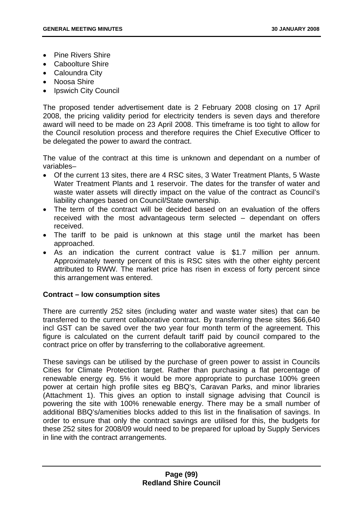- Pine Rivers Shire
- Caboolture Shire
- Caloundra City
- Noosa Shire
- Ipswich City Council

The proposed tender advertisement date is 2 February 2008 closing on 17 April 2008, the pricing validity period for electricity tenders is seven days and therefore award will need to be made on 23 April 2008. This timeframe is too tight to allow for the Council resolution process and therefore requires the Chief Executive Officer to be delegated the power to award the contract.

The value of the contract at this time is unknown and dependant on a number of variables–

- Of the current 13 sites, there are 4 RSC sites, 3 Water Treatment Plants, 5 Waste Water Treatment Plants and 1 reservoir. The dates for the transfer of water and waste water assets will directly impact on the value of the contract as Council's liability changes based on Council/State ownership.
- The term of the contract will be decided based on an evaluation of the offers received with the most advantageous term selected – dependant on offers received.
- The tariff to be paid is unknown at this stage until the market has been approached.
- As an indication the current contract value is \$1.7 million per annum. Approximately twenty percent of this is RSC sites with the other eighty percent attributed to RWW. The market price has risen in excess of forty percent since this arrangement was entered.

# **Contract – low consumption sites**

There are currently 252 sites (including water and waste water sites) that can be transferred to the current collaborative contract. By transferring these sites \$66,640 incl GST can be saved over the two year four month term of the agreement. This figure is calculated on the current default tariff paid by council compared to the contract price on offer by transferring to the collaborative agreement.

These savings can be utilised by the purchase of green power to assist in Councils Cities for Climate Protection target. Rather than purchasing a flat percentage of renewable energy eg. 5% it would be more appropriate to purchase 100% green power at certain high profile sites eg BBQ's, Caravan Parks, and minor libraries (Attachment 1). This gives an option to install signage advising that Council is powering the site with 100% renewable energy. There may be a small number of additional BBQ's/amenities blocks added to this list in the finalisation of savings. In order to ensure that only the contract savings are utilised for this, the budgets for these 252 sites for 2008/09 would need to be prepared for upload by Supply Services in line with the contract arrangements.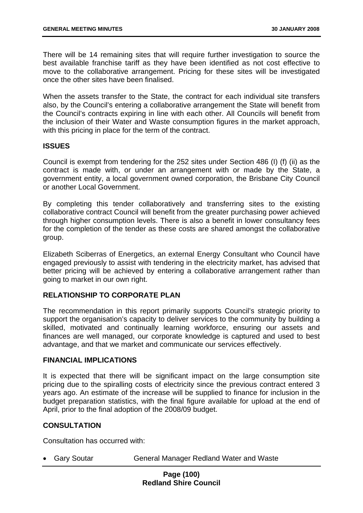There will be 14 remaining sites that will require further investigation to source the best available franchise tariff as they have been identified as not cost effective to move to the collaborative arrangement. Pricing for these sites will be investigated once the other sites have been finalised.

When the assets transfer to the State, the contract for each individual site transfers also, by the Council's entering a collaborative arrangement the State will benefit from the Council's contracts expiring in line with each other. All Councils will benefit from the inclusion of their Water and Waste consumption figures in the market approach, with this pricing in place for the term of the contract.

## **ISSUES**

Council is exempt from tendering for the 252 sites under Section 486 (I) (f) (ii) as the contract is made with, or under an arrangement with or made by the State, a government entity, a local government owned corporation, the Brisbane City Council or another Local Government.

By completing this tender collaboratively and transferring sites to the existing collaborative contract Council will benefit from the greater purchasing power achieved through higher consumption levels. There is also a benefit in lower consultancy fees for the completion of the tender as these costs are shared amongst the collaborative group.

Elizabeth Sciberras of Energetics, an external Energy Consultant who Council have engaged previously to assist with tendering in the electricity market, has advised that better pricing will be achieved by entering a collaborative arrangement rather than going to market in our own right.

# **RELATIONSHIP TO CORPORATE PLAN**

The recommendation in this report primarily supports Council's strategic priority to support the organisation's capacity to deliver services to the community by building a skilled, motivated and continually learning workforce, ensuring our assets and finances are well managed, our corporate knowledge is captured and used to best advantage, and that we market and communicate our services effectively.

### **FINANCIAL IMPLICATIONS**

It is expected that there will be significant impact on the large consumption site pricing due to the spiralling costs of electricity since the previous contract entered 3 years ago. An estimate of the increase will be supplied to finance for inclusion in the budget preparation statistics, with the final figure available for upload at the end of April, prior to the final adoption of the 2008/09 budget.

# **CONSULTATION**

Consultation has occurred with:

• Gary Soutar **General Manager Redland Water and Waste**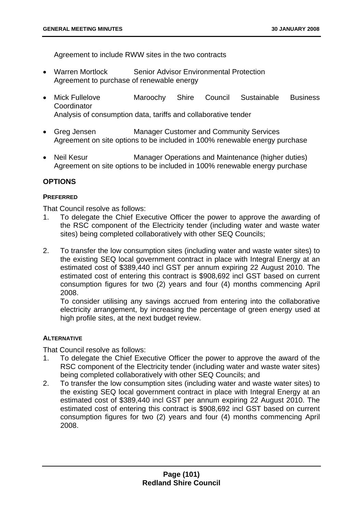Agreement to include RWW sites in the two contracts

- Warren Mortlock Senior Advisor Environmental Protection Agreement to purchase of renewable energy
- Mick Fullelove Maroochy Shire Council Sustainable Business **Coordinator** Analysis of consumption data, tariffs and collaborative tender
- Greg Jensen Manager Customer and Community Services Agreement on site options to be included in 100% renewable energy purchase
- Neil Kesur Manager Operations and Maintenance (higher duties) Agreement on site options to be included in 100% renewable energy purchase

## **OPTIONS**

### **PREFERRED**

That Council resolve as follows:

- 1. To delegate the Chief Executive Officer the power to approve the awarding of the RSC component of the Electricity tender (including water and waste water sites) being completed collaboratively with other SEQ Councils;
- 2. To transfer the low consumption sites (including water and waste water sites) to the existing SEQ local government contract in place with Integral Energy at an estimated cost of \$389,440 incl GST per annum expiring 22 August 2010. The estimated cost of entering this contract is \$908,692 incl GST based on current consumption figures for two (2) years and four (4) months commencing April 2008.

To consider utilising any savings accrued from entering into the collaborative electricity arrangement, by increasing the percentage of green energy used at high profile sites, at the next budget review.

### **ALTERNATIVE**

That Council resolve as follows:

- 1. To delegate the Chief Executive Officer the power to approve the award of the RSC component of the Electricity tender (including water and waste water sites) being completed collaboratively with other SEQ Councils; and
- 2. To transfer the low consumption sites (including water and waste water sites) to the existing SEQ local government contract in place with Integral Energy at an estimated cost of \$389,440 incl GST per annum expiring 22 August 2010. The estimated cost of entering this contract is \$908,692 incl GST based on current consumption figures for two (2) years and four (4) months commencing April 2008.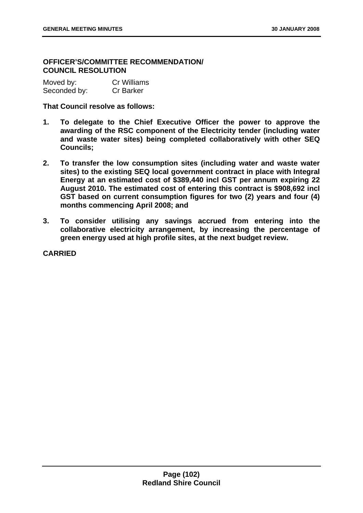# **OFFICER'S/COMMITTEE RECOMMENDATION/ COUNCIL RESOLUTION**

| Moved by:    | <b>Cr Williams</b> |
|--------------|--------------------|
| Seconded by: | <b>Cr Barker</b>   |

### **That Council resolve as follows:**

- **1. To delegate to the Chief Executive Officer the power to approve the awarding of the RSC component of the Electricity tender (including water and waste water sites) being completed collaboratively with other SEQ Councils;**
- **2. To transfer the low consumption sites (including water and waste water sites) to the existing SEQ local government contract in place with Integral Energy at an estimated cost of \$389,440 incl GST per annum expiring 22 August 2010. The estimated cost of entering this contract is \$908,692 incl GST based on current consumption figures for two (2) years and four (4) months commencing April 2008; and**
- **3. To consider utilising any savings accrued from entering into the collaborative electricity arrangement, by increasing the percentage of green energy used at high profile sites, at the next budget review.**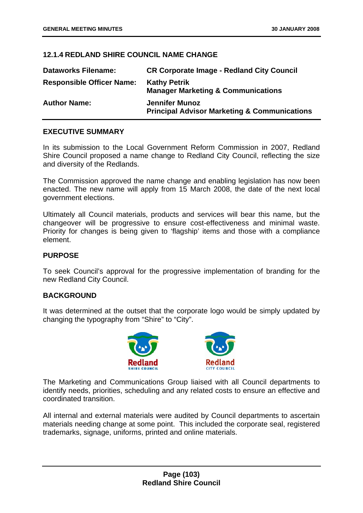## **12.1.4 REDLAND SHIRE COUNCIL NAME CHANGE**

| <b>Dataworks Filename:</b>       | <b>CR Corporate Image - Redland City Council</b>                                 |
|----------------------------------|----------------------------------------------------------------------------------|
| <b>Responsible Officer Name:</b> | <b>Kathy Petrik</b><br><b>Manager Marketing &amp; Communications</b>             |
| <b>Author Name:</b>              | <b>Jennifer Munoz</b><br><b>Principal Advisor Marketing &amp; Communications</b> |

## **EXECUTIVE SUMMARY**

In its submission to the Local Government Reform Commission in 2007, Redland Shire Council proposed a name change to Redland City Council, reflecting the size and diversity of the Redlands.

The Commission approved the name change and enabling legislation has now been enacted. The new name will apply from 15 March 2008, the date of the next local government elections.

Ultimately all Council materials, products and services will bear this name, but the changeover will be progressive to ensure cost-effectiveness and minimal waste. Priority for changes is being given to 'flagship' items and those with a compliance element.

## **PURPOSE**

To seek Council's approval for the progressive implementation of branding for the new Redland City Council.

# **BACKGROUND**

It was determined at the outset that the corporate logo would be simply updated by changing the typography from "Shire" to "City".



The Marketing and Communications Group liaised with all Council departments to identify needs, priorities, scheduling and any related costs to ensure an effective and coordinated transition.

All internal and external materials were audited by Council departments to ascertain materials needing change at some point. This included the corporate seal, registered trademarks, signage, uniforms, printed and online materials.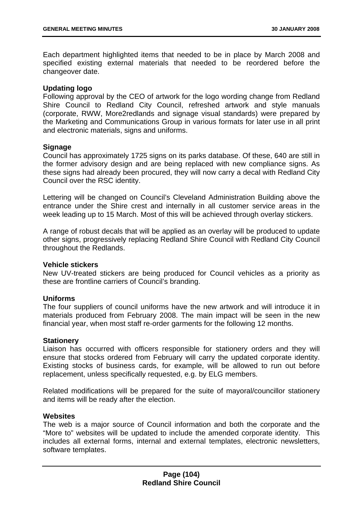Each department highlighted items that needed to be in place by March 2008 and specified existing external materials that needed to be reordered before the changeover date.

### **Updating logo**

Following approval by the CEO of artwork for the logo wording change from Redland Shire Council to Redland City Council, refreshed artwork and style manuals (corporate, RWW, More2redlands and signage visual standards) were prepared by the Marketing and Communications Group in various formats for later use in all print and electronic materials, signs and uniforms.

### **Signage**

Council has approximately 1725 signs on its parks database. Of these, 640 are still in the former advisory design and are being replaced with new compliance signs. As these signs had already been procured, they will now carry a decal with Redland City Council over the RSC identity.

Lettering will be changed on Council's Cleveland Administration Building above the entrance under the Shire crest and internally in all customer service areas in the week leading up to 15 March. Most of this will be achieved through overlay stickers.

A range of robust decals that will be applied as an overlay will be produced to update other signs, progressively replacing Redland Shire Council with Redland City Council throughout the Redlands.

### **Vehicle stickers**

New UV-treated stickers are being produced for Council vehicles as a priority as these are frontline carriers of Council's branding.

### **Uniforms**

The four suppliers of council uniforms have the new artwork and will introduce it in materials produced from February 2008. The main impact will be seen in the new financial year, when most staff re-order garments for the following 12 months.

#### **Stationery**

Liaison has occurred with officers responsible for stationery orders and they will ensure that stocks ordered from February will carry the updated corporate identity. Existing stocks of business cards, for example, will be allowed to run out before replacement, unless specifically requested, e.g. by ELG members.

Related modifications will be prepared for the suite of mayoral/councillor stationery and items will be ready after the election.

#### **Websites**

The web is a major source of Council information and both the corporate and the "More to" websites will be updated to include the amended corporate identity. This includes all external forms, internal and external templates, electronic newsletters, software templates.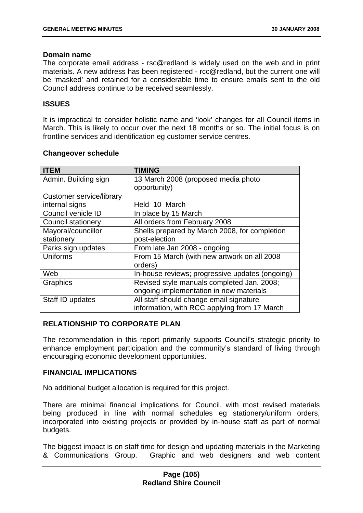## **Domain name**

The corporate email address - rsc@redland is widely used on the web and in print materials. A new address has been registered -  $rcc@$  redland, but the current one will be 'masked' and retained for a considerable time to ensure emails sent to the old Council address continue to be received seamlessly.

## **ISSUES**

It is impractical to consider holistic name and 'look' changes for all Council items in March. This is likely to occur over the next 18 months or so. The initial focus is on frontline services and identification eg customer service centres.

| <b>ITEM</b>                     | <b>TIMING</b>                                   |  |
|---------------------------------|-------------------------------------------------|--|
| Admin. Building sign            | 13 March 2008 (proposed media photo             |  |
|                                 | opportunity)                                    |  |
| <b>Customer service/library</b> |                                                 |  |
| internal signs                  | Held 10 March                                   |  |
| Council vehicle ID              | In place by 15 March                            |  |
| <b>Council stationery</b>       | All orders from February 2008                   |  |
| Mayoral/councillor              | Shells prepared by March 2008, for completion   |  |
| stationery                      | post-election                                   |  |
| Parks sign updates              | From late Jan 2008 - ongoing                    |  |
| <b>Uniforms</b>                 | From 15 March (with new artwork on all 2008     |  |
|                                 | orders)                                         |  |
| Web                             | In-house reviews; progressive updates (ongoing) |  |
| Graphics                        | Revised style manuals completed Jan. 2008;      |  |
|                                 | ongoing implementation in new materials         |  |
| Staff ID updates                | All staff should change email signature         |  |
|                                 | information, with RCC applying from 17 March    |  |

## **Changeover schedule**

# **RELATIONSHIP TO CORPORATE PLAN**

The recommendation in this report primarily supports Council's strategic priority to enhance employment participation and the community's standard of living through encouraging economic development opportunities.

# **FINANCIAL IMPLICATIONS**

No additional budget allocation is required for this project.

There are minimal financial implications for Council, with most revised materials being produced in line with normal schedules eg stationery/uniform orders, incorporated into existing projects or provided by in-house staff as part of normal budgets.

The biggest impact is on staff time for design and updating materials in the Marketing & Communications Group. Graphic and web designers and web content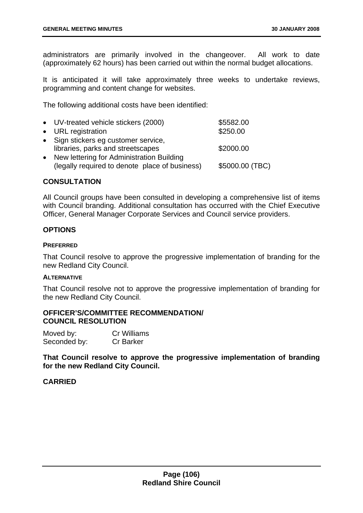administrators are primarily involved in the changeover. All work to date (approximately 62 hours) has been carried out within the normal budget allocations.

It is anticipated it will take approximately three weeks to undertake reviews, programming and content change for websites.

The following additional costs have been identified:

| • UV-treated vehicle stickers (2000)                                                          | \$5582.00       |
|-----------------------------------------------------------------------------------------------|-----------------|
| • URL registration                                                                            | \$250.00        |
| • Sign stickers eg customer service,<br>libraries, parks and streetscapes                     | \$2000.00       |
| • New lettering for Administration Building<br>(legally required to denote place of business) | \$5000.00 (TBC) |

## **CONSULTATION**

All Council groups have been consulted in developing a comprehensive list of items with Council branding. Additional consultation has occurred with the Chief Executive Officer, General Manager Corporate Services and Council service providers.

## **OPTIONS**

#### **PREFERRED**

That Council resolve to approve the progressive implementation of branding for the new Redland City Council.

### **ALTERNATIVE**

That Council resolve not to approve the progressive implementation of branding for the new Redland City Council.

#### **OFFICER'S/COMMITTEE RECOMMENDATION/ COUNCIL RESOLUTION**

| Moved by:    | Cr Williams      |
|--------------|------------------|
| Seconded by: | <b>Cr Barker</b> |

**That Council resolve to approve the progressive implementation of branding for the new Redland City Council.**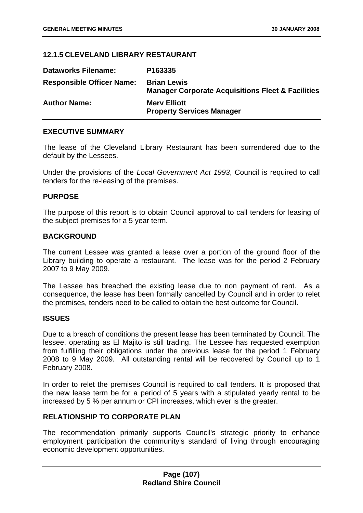## **12.1.5 CLEVELAND LIBRARY RESTAURANT**

| <b>Dataworks Filename:</b>       | P163335                                                                            |
|----------------------------------|------------------------------------------------------------------------------------|
| <b>Responsible Officer Name:</b> | <b>Brian Lewis</b><br><b>Manager Corporate Acquisitions Fleet &amp; Facilities</b> |
| <b>Author Name:</b>              | <b>Mery Elliott</b><br><b>Property Services Manager</b>                            |

### **EXECUTIVE SUMMARY**

The lease of the Cleveland Library Restaurant has been surrendered due to the default by the Lessees.

Under the provisions of the *Local Government Act 1993*, Council is required to call tenders for the re-leasing of the premises.

#### **PURPOSE**

The purpose of this report is to obtain Council approval to call tenders for leasing of the subject premises for a 5 year term.

#### **BACKGROUND**

The current Lessee was granted a lease over a portion of the ground floor of the Library building to operate a restaurant. The lease was for the period 2 February 2007 to 9 May 2009.

The Lessee has breached the existing lease due to non payment of rent. As a consequence, the lease has been formally cancelled by Council and in order to relet the premises, tenders need to be called to obtain the best outcome for Council.

#### **ISSUES**

Due to a breach of conditions the present lease has been terminated by Council. The lessee, operating as El Majito is still trading. The Lessee has requested exemption from fulfilling their obligations under the previous lease for the period 1 February 2008 to 9 May 2009. All outstanding rental will be recovered by Council up to 1 February 2008.

In order to relet the premises Council is required to call tenders. It is proposed that the new lease term be for a period of 5 years with a stipulated yearly rental to be increased by 5 % per annum or CPI increases, which ever is the greater.

# **RELATIONSHIP TO CORPORATE PLAN**

The recommendation primarily supports Council's strategic priority to enhance employment participation the community's standard of living through encouraging economic development opportunities.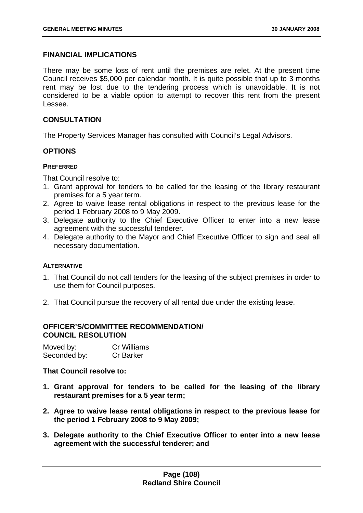# **FINANCIAL IMPLICATIONS**

There may be some loss of rent until the premises are relet. At the present time Council receives \$5,000 per calendar month. It is quite possible that up to 3 months rent may be lost due to the tendering process which is unavoidable. It is not considered to be a viable option to attempt to recover this rent from the present Lessee.

# **CONSULTATION**

The Property Services Manager has consulted with Council's Legal Advisors.

# **OPTIONS**

# **PREFERRED**

That Council resolve to:

- 1. Grant approval for tenders to be called for the leasing of the library restaurant premises for a 5 year term.
- 2. Agree to waive lease rental obligations in respect to the previous lease for the period 1 February 2008 to 9 May 2009.
- 3. Delegate authority to the Chief Executive Officer to enter into a new lease agreement with the successful tenderer.
- 4. Delegate authority to the Mayor and Chief Executive Officer to sign and seal all necessary documentation.

# **ALTERNATIVE**

- 1. That Council do not call tenders for the leasing of the subject premises in order to use them for Council purposes.
- 2. That Council pursue the recovery of all rental due under the existing lease.

# **OFFICER'S/COMMITTEE RECOMMENDATION/ COUNCIL RESOLUTION**

| Moved by:    | <b>Cr Williams</b> |
|--------------|--------------------|
| Seconded by: | <b>Cr Barker</b>   |

# **That Council resolve to:**

- **1. Grant approval for tenders to be called for the leasing of the library restaurant premises for a 5 year term;**
- **2. Agree to waive lease rental obligations in respect to the previous lease for the period 1 February 2008 to 9 May 2009;**
- **3. Delegate authority to the Chief Executive Officer to enter into a new lease agreement with the successful tenderer; and**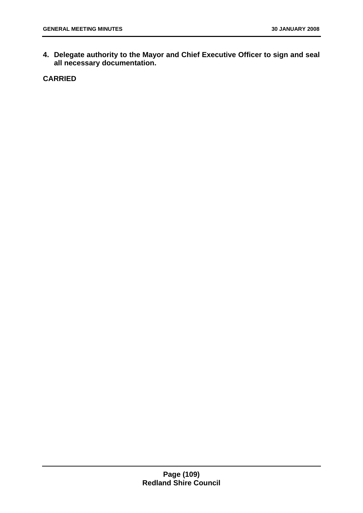**4. Delegate authority to the Mayor and Chief Executive Officer to sign and seal all necessary documentation.**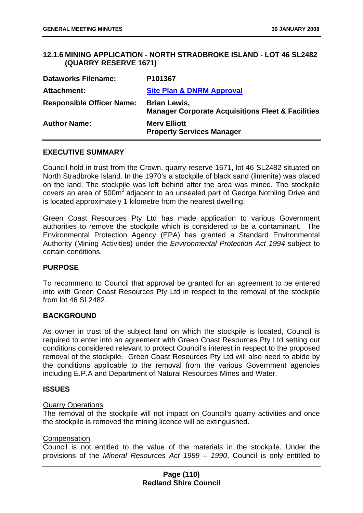# **12.1.6 MINING APPLICATION - NORTH STRADBROKE ISLAND - LOT 46 SL2482 (QUARRY RESERVE 1671)**

| <b>Dataworks Filename:</b>       | P <sub>101367</sub>                                                                 |
|----------------------------------|-------------------------------------------------------------------------------------|
| <b>Attachment:</b>               | <b>Site Plan &amp; DNRM Approval</b>                                                |
| <b>Responsible Officer Name:</b> | <b>Brian Lewis,</b><br><b>Manager Corporate Acquisitions Fleet &amp; Facilities</b> |
| <b>Author Name:</b>              | <b>Mery Elliott</b><br><b>Property Services Manager</b>                             |

#### **EXECUTIVE SUMMARY**

Council hold in trust from the Crown, quarry reserve 1671, lot 46 SL2482 situated on North Stradbroke Island. In the 1970's a stockpile of black sand (ilmenite) was placed on the land. The stockpile was left behind after the area was mined. The stockpile covers an area of 500m<sup>2</sup> adjacent to an unsealed part of George Nothling Drive and is located approximately 1 kilometre from the nearest dwelling.

Green Coast Resources Pty Ltd has made application to various Government authorities to remove the stockpile which is considered to be a contaminant. The Environmental Protection Agency (EPA) has granted a Standard Environmental Authority (Mining Activities) under the *Environmental Protection Act 1994* subject to certain conditions.

# **PURPOSE**

To recommend to Council that approval be granted for an agreement to be entered into with Green Coast Resources Pty Ltd in respect to the removal of the stockpile from lot 46 SL 2482

# **BACKGROUND**

As owner in trust of the subject land on which the stockpile is located, Council is required to enter into an agreement with Green Coast Resources Pty Ltd setting out conditions considered relevant to protect Council's interest in respect to the proposed removal of the stockpile. Green Coast Resources Pty Ltd will also need to abide by the conditions applicable to the removal from the various Government agencies including E.P.A and Department of Natural Resources Mines and Water.

# **ISSUES**

#### Quarry Operations

The removal of the stockpile will not impact on Council's quarry activities and once the stockpile is removed the mining licence will be extinguished.

#### Compensation

Council is not entitled to the value of the materials in the stockpile. Under the provisions of the *Mineral Resources Act 1989 – 1990*, Council is only entitled to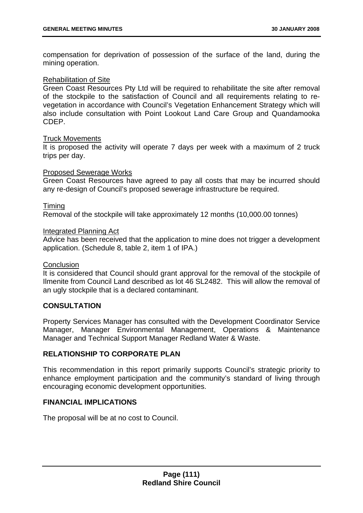compensation for deprivation of possession of the surface of the land, during the mining operation.

# Rehabilitation of Site

Green Coast Resources Pty Ltd will be required to rehabilitate the site after removal of the stockpile to the satisfaction of Council and all requirements relating to revegetation in accordance with Council's Vegetation Enhancement Strategy which will also include consultation with Point Lookout Land Care Group and Quandamooka CDEP.

# Truck Movements

It is proposed the activity will operate 7 days per week with a maximum of 2 truck trips per day.

#### Proposed Sewerage Works

Green Coast Resources have agreed to pay all costs that may be incurred should any re-design of Council's proposed sewerage infrastructure be required.

# Timing

Removal of the stockpile will take approximately 12 months (10,000.00 tonnes)

#### Integrated Planning Act

Advice has been received that the application to mine does not trigger a development application. (Schedule 8, table 2, item 1 of IPA.)

#### **Conclusion**

It is considered that Council should grant approval for the removal of the stockpile of Ilmenite from Council Land described as lot 46 SL2482. This will allow the removal of an ugly stockpile that is a declared contaminant.

# **CONSULTATION**

Property Services Manager has consulted with the Development Coordinator Service Manager, Manager Environmental Management, Operations & Maintenance Manager and Technical Support Manager Redland Water & Waste.

# **RELATIONSHIP TO CORPORATE PLAN**

This recommendation in this report primarily supports Council's strategic priority to enhance employment participation and the community's standard of living through encouraging economic development opportunities.

# **FINANCIAL IMPLICATIONS**

The proposal will be at no cost to Council.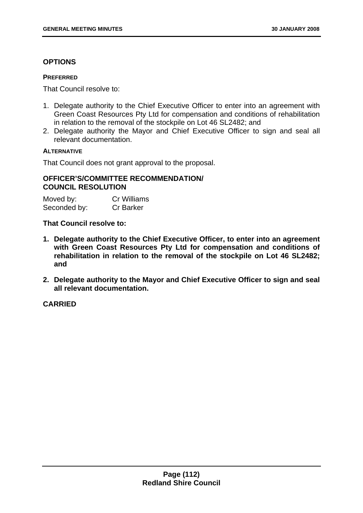# **OPTIONS**

#### **PREFERRED**

That Council resolve to:

- 1. Delegate authority to the Chief Executive Officer to enter into an agreement with Green Coast Resources Pty Ltd for compensation and conditions of rehabilitation in relation to the removal of the stockpile on Lot 46 SL2482; and
- 2. Delegate authority the Mayor and Chief Executive Officer to sign and seal all relevant documentation.

# **ALTERNATIVE**

That Council does not grant approval to the proposal.

# **OFFICER'S/COMMITTEE RECOMMENDATION/ COUNCIL RESOLUTION**

| Moved by:    | <b>Cr Williams</b> |
|--------------|--------------------|
| Seconded by: | <b>Cr Barker</b>   |

# **That Council resolve to:**

- **1. Delegate authority to the Chief Executive Officer, to enter into an agreement with Green Coast Resources Pty Ltd for compensation and conditions of rehabilitation in relation to the removal of the stockpile on Lot 46 SL2482; and**
- **2. Delegate authority to the Mayor and Chief Executive Officer to sign and seal all relevant documentation.**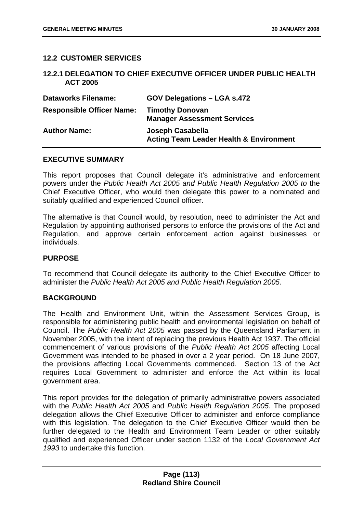# **12.2 CUSTOMER SERVICES**

# **12.2.1 DELEGATION TO CHIEF EXECUTIVE OFFICER UNDER PUBLIC HEALTH ACT 2005**

| <b>Dataworks Filename:</b>       | <b>GOV Delegations - LGA s.472</b>                                     |
|----------------------------------|------------------------------------------------------------------------|
| <b>Responsible Officer Name:</b> | <b>Timothy Donovan</b><br><b>Manager Assessment Services</b>           |
| <b>Author Name:</b>              | Joseph Casabella<br><b>Acting Team Leader Health &amp; Environment</b> |

# **EXECUTIVE SUMMARY**

This report proposes that Council delegate it's administrative and enforcement powers under the *Public Health Act 2005 and Public Health Regulation 2005 to* the Chief Executive Officer, who would then delegate this power to a nominated and suitably qualified and experienced Council officer.

The alternative is that Council would, by resolution, need to administer the Act and Regulation by appointing authorised persons to enforce the provisions of the Act and Regulation, and approve certain enforcement action against businesses or individuals.

# **PURPOSE**

To recommend that Council delegate its authority to the Chief Executive Officer to administer the *Public Health Act 2005 and Public Health Regulation 2005.*

# **BACKGROUND**

The Health and Environment Unit, within the Assessment Services Group, is responsible for administering public health and environmental legislation on behalf of Council. The *Public Health Act 2005* was passed by the Queensland Parliament in November 2005, with the intent of replacing the previous Health Act 1937. The official commencement of various provisions of the *Public Health Act 2005* affecting Local Government was intended to be phased in over a 2 year period. On 18 June 2007, the provisions affecting Local Governments commenced. Section 13 of the Act requires Local Government to administer and enforce the Act within its local government area.

This report provides for the delegation of primarily administrative powers associated with the *Public Health Act 2005* and *Public Health Regulation 2005*. The proposed delegation allows the Chief Executive Officer to administer and enforce compliance with this legislation. The delegation to the Chief Executive Officer would then be further delegated to the Health and Environment Team Leader or other suitably qualified and experienced Officer under section 1132 of the *Local Government Act 1993* to undertake this function.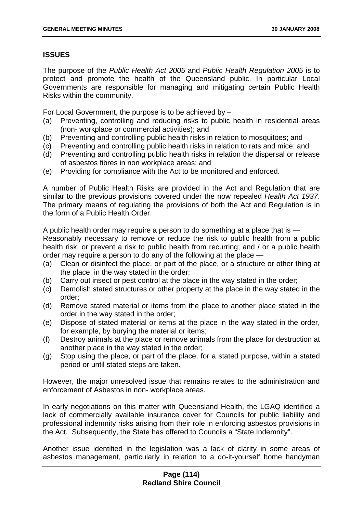# **ISSUES**

The purpose of the *Public Health Act 2005* and *Public Health Regulation 2005* is to protect and promote the health of the Queensland public. In particular Local Governments are responsible for managing and mitigating certain Public Health Risks within the community.

For Local Government, the purpose is to be achieved by –

- (a) Preventing, controlling and reducing risks to public health in residential areas (non- workplace or commercial activities); and
- (b) Preventing and controlling public health risks in relation to mosquitoes; and
- (c) Preventing and controlling public health risks in relation to rats and mice; and
- (d) Preventing and controlling public health risks in relation the dispersal or release of asbestos fibres in non workplace areas; and
- (e) Providing for compliance with the Act to be monitored and enforced.

A number of Public Health Risks are provided in the Act and Regulation that are similar to the previous provisions covered under the now repealed *Health Act 1937*. The primary means of regulating the provisions of both the Act and Regulation is in the form of a Public Health Order.

A public health order may require a person to do something at a place that is — Reasonably necessary to remove or reduce the risk to public health from a public health risk, or prevent a risk to public health from recurring; and / or a public health order may require a person to do any of the following at the place —

- (a) Clean or disinfect the place, or part of the place, or a structure or other thing at the place, in the way stated in the order;
- (b) Carry out insect or pest control at the place in the way stated in the order;
- (c) Demolish stated structures or other property at the place in the way stated in the order;
- (d) Remove stated material or items from the place to another place stated in the order in the way stated in the order;
- (e) Dispose of stated material or items at the place in the way stated in the order, for example, by burying the material or items;
- (f) Destroy animals at the place or remove animals from the place for destruction at another place in the way stated in the order;
- (g) Stop using the place, or part of the place, for a stated purpose, within a stated period or until stated steps are taken.

However, the major unresolved issue that remains relates to the administration and enforcement of Asbestos in non- workplace areas.

In early negotiations on this matter with Queensland Health, the LGAQ identified a lack of commercially available insurance cover for Councils for public liability and professional indemnity risks arising from their role in enforcing asbestos provisions in the Act. Subsequently, the State has offered to Councils a "State Indemnity".

Another issue identified in the legislation was a lack of clarity in some areas of asbestos management, particularly in relation to a do-it-yourself home handyman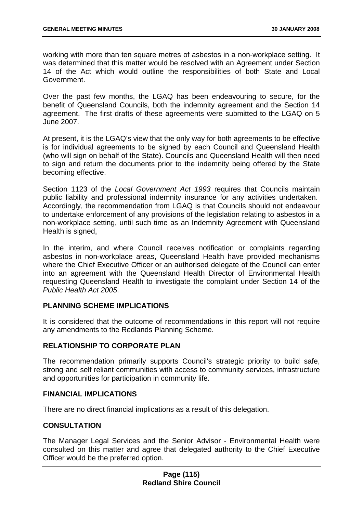working with more than ten square metres of asbestos in a non-workplace setting. It was determined that this matter would be resolved with an Agreement under Section 14 of the Act which would outline the responsibilities of both State and Local Government.

Over the past few months, the LGAQ has been endeavouring to secure, for the benefit of Queensland Councils, both the indemnity agreement and the Section 14 agreement. The first drafts of these agreements were submitted to the LGAQ on 5 June 2007.

At present, it is the LGAQ's view that the only way for both agreements to be effective is for individual agreements to be signed by each Council and Queensland Health (who will sign on behalf of the State). Councils and Queensland Health will then need to sign and return the documents prior to the indemnity being offered by the State becoming effective.

Section 1123 of the *Local Government Act 1993* requires that Councils maintain public liability and professional indemnity insurance for any activities undertaken. Accordingly, the recommendation from LGAQ is that Councils should not endeavour to undertake enforcement of any provisions of the legislation relating to asbestos in a non-workplace setting, until such time as an Indemnity Agreement with Queensland Health is signed.

In the interim, and where Council receives notification or complaints regarding asbestos in non-workplace areas, Queensland Health have provided mechanisms where the Chief Executive Officer or an authorised delegate of the Council can enter into an agreement with the Queensland Health Director of Environmental Health requesting Queensland Health to investigate the complaint under Section 14 of the *Public Health Act 2005*.

# **PLANNING SCHEME IMPLICATIONS**

It is considered that the outcome of recommendations in this report will not require any amendments to the Redlands Planning Scheme.

# **RELATIONSHIP TO CORPORATE PLAN**

The recommendation primarily supports Council's strategic priority to build safe, strong and self reliant communities with access to community services, infrastructure and opportunities for participation in community life.

# **FINANCIAL IMPLICATIONS**

There are no direct financial implications as a result of this delegation.

# **CONSULTATION**

The Manager Legal Services and the Senior Advisor - Environmental Health were consulted on this matter and agree that delegated authority to the Chief Executive Officer would be the preferred option.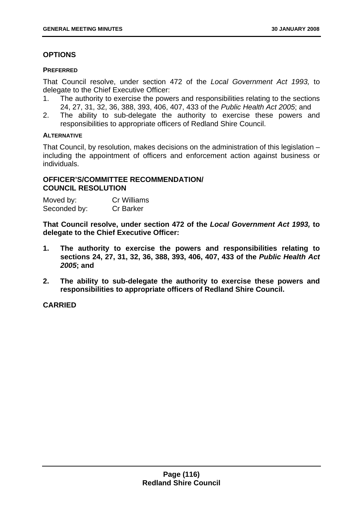# **OPTIONS**

# **PREFERRED**

That Council resolve, under section 472 of the *Local Government Act 1993,* to delegate to the Chief Executive Officer:

- 1. The authority to exercise the powers and responsibilities relating to the sections 24, 27, 31, 32, 36, 388, 393, 406, 407, 433 of the *Public Health Act 2005*; and
- 2. The ability to sub-delegate the authority to exercise these powers and responsibilities to appropriate officers of Redland Shire Council.

# **ALTERNATIVE**

That Council, by resolution, makes decisions on the administration of this legislation – including the appointment of officers and enforcement action against business or individuals.

# **OFFICER'S/COMMITTEE RECOMMENDATION/ COUNCIL RESOLUTION**

| Moved by:    | <b>Cr Williams</b> |
|--------------|--------------------|
| Seconded by: | <b>Cr Barker</b>   |

**That Council resolve, under section 472 of the** *Local Government Act 1993,* **to delegate to the Chief Executive Officer:** 

- **1. The authority to exercise the powers and responsibilities relating to sections 24, 27, 31, 32, 36, 388, 393, 406, 407, 433 of the** *Public Health Act 2005***; and**
- **2. The ability to sub-delegate the authority to exercise these powers and responsibilities to appropriate officers of Redland Shire Council.**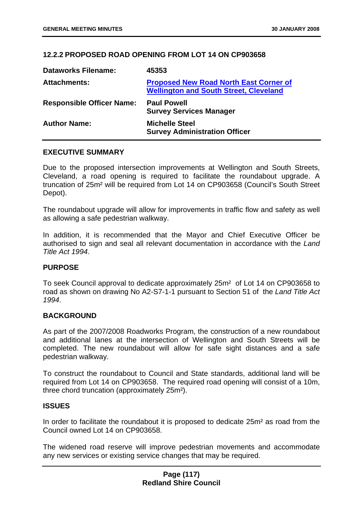# **12.2.2 PROPOSED ROAD OPENING FROM LOT 14 ON CP903658**

| <b>Dataworks Filename:</b>       | 45353                                                                                          |
|----------------------------------|------------------------------------------------------------------------------------------------|
| <b>Attachments:</b>              | <b>Proposed New Road North East Corner of</b><br><b>Wellington and South Street, Cleveland</b> |
| <b>Responsible Officer Name:</b> | <b>Paul Powell</b><br><b>Survey Services Manager</b>                                           |
| <b>Author Name:</b>              | <b>Michelle Steel</b><br><b>Survey Administration Officer</b>                                  |

#### **EXECUTIVE SUMMARY**

Due to the proposed intersection improvements at Wellington and South Streets, Cleveland, a road opening is required to facilitate the roundabout upgrade. A truncation of 25m² will be required from Lot 14 on CP903658 (Council's South Street Depot).

The roundabout upgrade will allow for improvements in traffic flow and safety as well as allowing a safe pedestrian walkway.

In addition, it is recommended that the Mayor and Chief Executive Officer be authorised to sign and seal all relevant documentation in accordance with the *Land Title Act 1994*.

# **PURPOSE**

To seek Council approval to dedicate approximately 25m² of Lot 14 on CP903658 to road as shown on drawing No A2-S7-1-1 pursuant to Section 51 of the *Land Title Act 1994*.

# **BACKGROUND**

As part of the 2007/2008 Roadworks Program, the construction of a new roundabout and additional lanes at the intersection of Wellington and South Streets will be completed. The new roundabout will allow for safe sight distances and a safe pedestrian walkway.

To construct the roundabout to Council and State standards, additional land will be required from Lot 14 on CP903658. The required road opening will consist of a 10m, three chord truncation (approximately 25m²).

#### **ISSUES**

In order to facilitate the roundabout it is proposed to dedicate 25m² as road from the Council owned Lot 14 on CP903658.

The widened road reserve will improve pedestrian movements and accommodate any new services or existing service changes that may be required.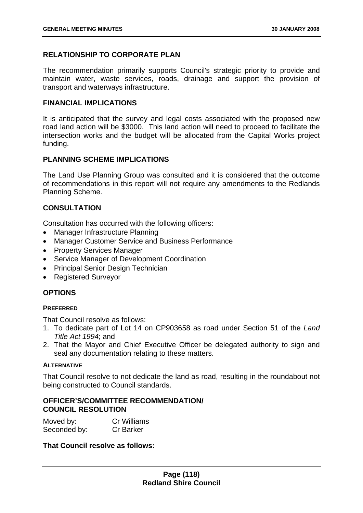# **RELATIONSHIP TO CORPORATE PLAN**

The recommendation primarily supports Council's strategic priority to provide and maintain water, waste services, roads, drainage and support the provision of transport and waterways infrastructure.

# **FINANCIAL IMPLICATIONS**

It is anticipated that the survey and legal costs associated with the proposed new road land action will be \$3000. This land action will need to proceed to facilitate the intersection works and the budget will be allocated from the Capital Works project funding.

# **PLANNING SCHEME IMPLICATIONS**

The Land Use Planning Group was consulted and it is considered that the outcome of recommendations in this report will not require any amendments to the Redlands Planning Scheme.

# **CONSULTATION**

Consultation has occurred with the following officers:

- Manager Infrastructure Planning
- Manager Customer Service and Business Performance
- Property Services Manager
- Service Manager of Development Coordination
- Principal Senior Design Technician
- Registered Surveyor

# **OPTIONS**

# **PREFERRED**

That Council resolve as follows:

- 1. To dedicate part of Lot 14 on CP903658 as road under Section 51 of the *Land Title Act 1994*; and
- 2. That the Mayor and Chief Executive Officer be delegated authority to sign and seal any documentation relating to these matters.

# **ALTERNATIVE**

That Council resolve to not dedicate the land as road, resulting in the roundabout not being constructed to Council standards.

# **OFFICER'S/COMMITTEE RECOMMENDATION/ COUNCIL RESOLUTION**

| Moved by:    | <b>Cr Williams</b> |
|--------------|--------------------|
| Seconded by: | <b>Cr Barker</b>   |

# **That Council resolve as follows:**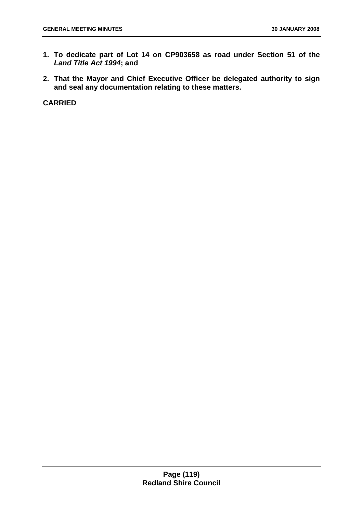- **1. To dedicate part of Lot 14 on CP903658 as road under Section 51 of the**  *Land Title Act 1994***; and**
- **2. That the Mayor and Chief Executive Officer be delegated authority to sign and seal any documentation relating to these matters.**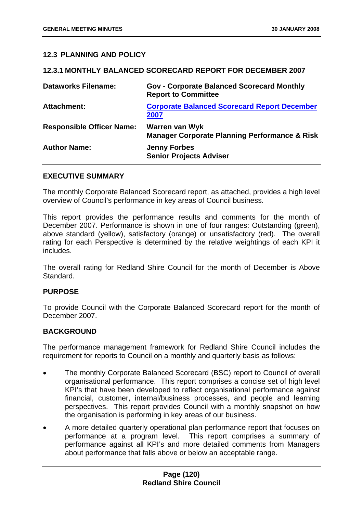# **12.3 PLANNING AND POLICY**

#### **12.3.1 MONTHLY BALANCED SCORECARD REPORT FOR DECEMBER 2007**

| <b>Dataworks Filename:</b>       | <b>Gov - Corporate Balanced Scorecard Monthly</b><br><b>Report to Committee</b>   |
|----------------------------------|-----------------------------------------------------------------------------------|
| <b>Attachment:</b>               | <b>Corporate Balanced Scorecard Report December</b><br>2007                       |
| <b>Responsible Officer Name:</b> | <b>Warren van Wyk</b><br><b>Manager Corporate Planning Performance &amp; Risk</b> |
| <b>Author Name:</b>              | <b>Jenny Forbes</b><br><b>Senior Projects Adviser</b>                             |

#### **EXECUTIVE SUMMARY**

The monthly Corporate Balanced Scorecard report, as attached, provides a high level overview of Council's performance in key areas of Council business.

This report provides the performance results and comments for the month of December 2007. Performance is shown in one of four ranges: Outstanding (green), above standard (yellow), satisfactory (orange) or unsatisfactory (red). The overall rating for each Perspective is determined by the relative weightings of each KPI it includes.

The overall rating for Redland Shire Council for the month of December is Above Standard.

# **PURPOSE**

To provide Council with the Corporate Balanced Scorecard report for the month of December 2007.

# **BACKGROUND**

The performance management framework for Redland Shire Council includes the requirement for reports to Council on a monthly and quarterly basis as follows:

- The monthly Corporate Balanced Scorecard (BSC) report to Council of overall organisational performance. This report comprises a concise set of high level KPI's that have been developed to reflect organisational performance against financial, customer, internal/business processes, and people and learning perspectives. This report provides Council with a monthly snapshot on how the organisation is performing in key areas of our business.
- A more detailed quarterly operational plan performance report that focuses on performance at a program level. This report comprises a summary of performance against all KPI's and more detailed comments from Managers about performance that falls above or below an acceptable range.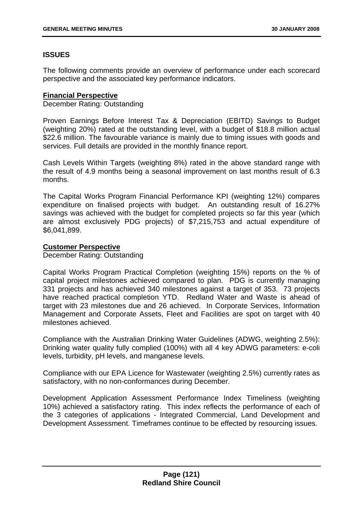# **ISSUES**

The following comments provide an overview of performance under each scorecard perspective and the associated key performance indicators.

#### **Financial Perspective**

December Rating: Outstanding

Proven Earnings Before Interest Tax & Depreciation (EBITD) Savings to Budget (weighting 20%) rated at the outstanding level, with a budget of \$18.8 million actual \$22.6 million. The favourable variance is mainly due to timing issues with goods and services. Full details are provided in the monthly finance report.

Cash Levels Within Targets (weighting 8%) rated in the above standard range with the result of 4.9 months being a seasonal improvement on last months result of 6.3 months.

The Capital Works Program Financial Performance KPI (weighting 12%) compares expenditure on finalised projects with budget. An outstanding result of 16.27% savings was achieved with the budget for completed projects so far this year (which are almost exclusively PDG projects) of \$7,215,753 and actual expenditure of \$6,041,899.

#### **Customer Perspective**

December Rating: Outstanding

Capital Works Program Practical Completion (weighting 15%) reports on the % of capital project milestones achieved compared to plan. PDG is currently managing 331 projects and has achieved 340 milestones against a target of 353. 73 projects have reached practical completion YTD. Redland Water and Waste is ahead of target with 23 milestones due and 26 achieved. In Corporate Services, Information Management and Corporate Assets, Fleet and Facilities are spot on target with 40 milestones achieved.

Compliance with the Australian Drinking Water Guidelines (ADWG, weighting 2.5%): Drinking water quality fully complied (100%) with all 4 key ADWG parameters: e-coli levels, turbidity, pH levels, and manganese levels.

Compliance with our EPA Licence for Wastewater (weighting 2.5%) currently rates as satisfactory, with no non-conformances during December.

Development Application Assessment Performance Index Timeliness (weighting 10%) achieved a satisfactory rating. This index reflects the performance of each of the 3 categories of applications - Integrated Commercial, Land Development and Development Assessment. Timeframes continue to be effected by resourcing issues.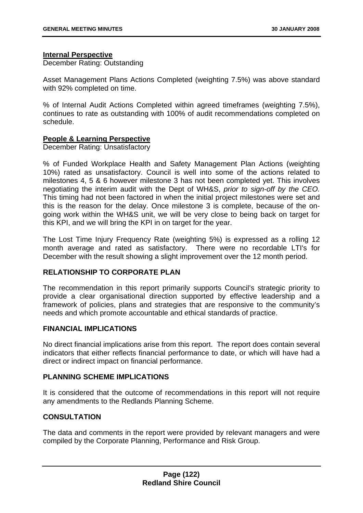# **Internal Perspective**

December Rating: Outstanding

Asset Management Plans Actions Completed (weighting 7.5%) was above standard with 92% completed on time.

% of Internal Audit Actions Completed within agreed timeframes (weighting 7.5%), continues to rate as outstanding with 100% of audit recommendations completed on schedule.

# **People & Learning Perspective**

December Rating: Unsatisfactory

% of Funded Workplace Health and Safety Management Plan Actions (weighting 10%) rated as unsatisfactory. Council is well into some of the actions related to milestones 4, 5 & 6 however milestone 3 has not been completed yet. This involves negotiating the interim audit with the Dept of WH&S, *prior to sign-off by the CEO.* This timing had not been factored in when the initial project milestones were set and this is the reason for the delay. Once milestone 3 is complete, because of the ongoing work within the WH&S unit, we will be very close to being back on target for this KPI, and we will bring the KPI in on target for the year.

The Lost Time Injury Frequency Rate (weighting 5%) is expressed as a rolling 12 month average and rated as satisfactory. There were no recordable LTI's for December with the result showing a slight improvement over the 12 month period.

# **RELATIONSHIP TO CORPORATE PLAN**

The recommendation in this report primarily supports Council's strategic priority to provide a clear organisational direction supported by effective leadership and a framework of policies, plans and strategies that are responsive to the community's needs and which promote accountable and ethical standards of practice.

# **FINANCIAL IMPLICATIONS**

No direct financial implications arise from this report. The report does contain several indicators that either reflects financial performance to date, or which will have had a direct or indirect impact on financial performance.

# **PLANNING SCHEME IMPLICATIONS**

It is considered that the outcome of recommendations in this report will not require any amendments to the Redlands Planning Scheme.

# **CONSULTATION**

The data and comments in the report were provided by relevant managers and were compiled by the Corporate Planning, Performance and Risk Group.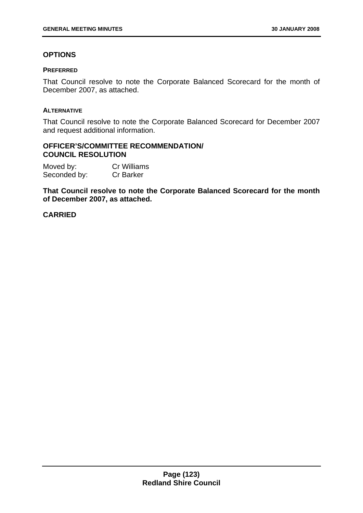# **OPTIONS**

#### **PREFERRED**

That Council resolve to note the Corporate Balanced Scorecard for the month of December 2007, as attached.

# **ALTERNATIVE**

That Council resolve to note the Corporate Balanced Scorecard for December 2007 and request additional information.

# **OFFICER'S/COMMITTEE RECOMMENDATION/ COUNCIL RESOLUTION**

Moved by: Cr Williams Seconded by: Cr Barker

**That Council resolve to note the Corporate Balanced Scorecard for the month of December 2007, as attached.**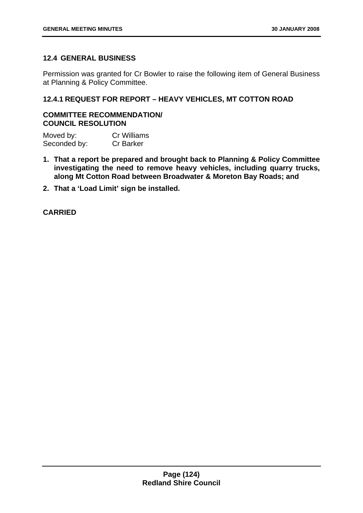# **12.4 GENERAL BUSINESS**

Permission was granted for Cr Bowler to raise the following item of General Business at Planning & Policy Committee.

# **12.4.1 REQUEST FOR REPORT – HEAVY VEHICLES, MT COTTON ROAD**

# **COMMITTEE RECOMMENDATION/ COUNCIL RESOLUTION**

Moved by: Cr Williams Seconded by: Cr Barker

- **1. That a report be prepared and brought back to Planning & Policy Committee investigating the need to remove heavy vehicles, including quarry trucks, along Mt Cotton Road between Broadwater & Moreton Bay Roads; and**
- **2. That a 'Load Limit' sign be installed.**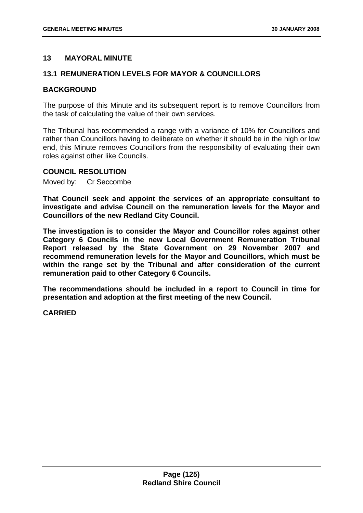# **13 MAYORAL MINUTE**

# **13.1 REMUNERATION LEVELS FOR MAYOR & COUNCILLORS**

# **BACKGROUND**

The purpose of this Minute and its subsequent report is to remove Councillors from the task of calculating the value of their own services.

The Tribunal has recommended a range with a variance of 10% for Councillors and rather than Councillors having to deliberate on whether it should be in the high or low end, this Minute removes Councillors from the responsibility of evaluating their own roles against other like Councils.

# **COUNCIL RESOLUTION**

Moved by: Cr Seccombe

**That Council seek and appoint the services of an appropriate consultant to investigate and advise Council on the remuneration levels for the Mayor and Councillors of the new Redland City Council.** 

**The investigation is to consider the Mayor and Councillor roles against other Category 6 Councils in the new Local Government Remuneration Tribunal Report released by the State Government on 29 November 2007 and recommend remuneration levels for the Mayor and Councillors, which must be within the range set by the Tribunal and after consideration of the current remuneration paid to other Category 6 Councils.** 

**The recommendations should be included in a report to Council in time for presentation and adoption at the first meeting of the new Council.**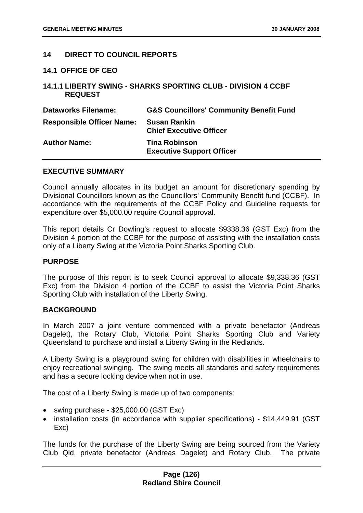# **14 DIRECT TO COUNCIL REPORTS**

**14.1 OFFICE OF CEO** 

# **14.1.1 LIBERTY SWING - SHARKS SPORTING CLUB - DIVISION 4 CCBF REQUEST**

| <b>Dataworks Filename:</b>       | <b>G&amp;S Councillors' Community Benefit Fund</b>       |
|----------------------------------|----------------------------------------------------------|
| <b>Responsible Officer Name:</b> | <b>Susan Rankin</b><br><b>Chief Executive Officer</b>    |
| <b>Author Name:</b>              | <b>Tina Robinson</b><br><b>Executive Support Officer</b> |

#### **EXECUTIVE SUMMARY**

Council annually allocates in its budget an amount for discretionary spending by Divisional Councillors known as the Councillors' Community Benefit fund (CCBF). In accordance with the requirements of the CCBF Policy and Guideline requests for expenditure over \$5,000.00 require Council approval.

This report details Cr Dowling's request to allocate \$9338.36 (GST Exc) from the Division 4 portion of the CCBF for the purpose of assisting with the installation costs only of a Liberty Swing at the Victoria Point Sharks Sporting Club.

# **PURPOSE**

The purpose of this report is to seek Council approval to allocate \$9,338.36 (GST Exc) from the Division 4 portion of the CCBF to assist the Victoria Point Sharks Sporting Club with installation of the Liberty Swing.

# **BACKGROUND**

In March 2007 a joint venture commenced with a private benefactor (Andreas Dagelet), the Rotary Club, Victoria Point Sharks Sporting Club and Variety Queensland to purchase and install a Liberty Swing in the Redlands.

A Liberty Swing is a playground swing for children with disabilities in wheelchairs to enjoy recreational swinging. The swing meets all standards and safety requirements and has a secure locking device when not in use.

The cost of a Liberty Swing is made up of two components:

- swing purchase \$25,000.00 (GST Exc)
- installation costs (in accordance with supplier specifications) \$14,449.91 (GST Exc)

The funds for the purchase of the Liberty Swing are being sourced from the Variety Club Qld, private benefactor (Andreas Dagelet) and Rotary Club. The private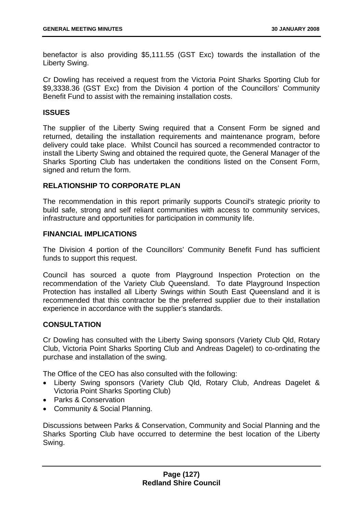benefactor is also providing \$5,111.55 (GST Exc) towards the installation of the Liberty Swing.

Cr Dowling has received a request from the Victoria Point Sharks Sporting Club for \$9,3338.36 (GST Exc) from the Division 4 portion of the Councillors' Community Benefit Fund to assist with the remaining installation costs.

# **ISSUES**

The supplier of the Liberty Swing required that a Consent Form be signed and returned, detailing the installation requirements and maintenance program, before delivery could take place. Whilst Council has sourced a recommended contractor to install the Liberty Swing and obtained the required quote, the General Manager of the Sharks Sporting Club has undertaken the conditions listed on the Consent Form, signed and return the form.

# **RELATIONSHIP TO CORPORATE PLAN**

The recommendation in this report primarily supports Council's strategic priority to build safe, strong and self reliant communities with access to community services, infrastructure and opportunities for participation in community life.

# **FINANCIAL IMPLICATIONS**

The Division 4 portion of the Councillors' Community Benefit Fund has sufficient funds to support this request.

Council has sourced a quote from Playground Inspection Protection on the recommendation of the Variety Club Queensland. To date Playground Inspection Protection has installed all Liberty Swings within South East Queensland and it is recommended that this contractor be the preferred supplier due to their installation experience in accordance with the supplier's standards.

# **CONSULTATION**

Cr Dowling has consulted with the Liberty Swing sponsors (Variety Club Qld, Rotary Club, Victoria Point Sharks Sporting Club and Andreas Dagelet) to co-ordinating the purchase and installation of the swing.

The Office of the CEO has also consulted with the following:

- Liberty Swing sponsors (Variety Club Qld, Rotary Club, Andreas Dagelet & Victoria Point Sharks Sporting Club)
- Parks & Conservation
- Community & Social Planning.

Discussions between Parks & Conservation, Community and Social Planning and the Sharks Sporting Club have occurred to determine the best location of the Liberty Swing.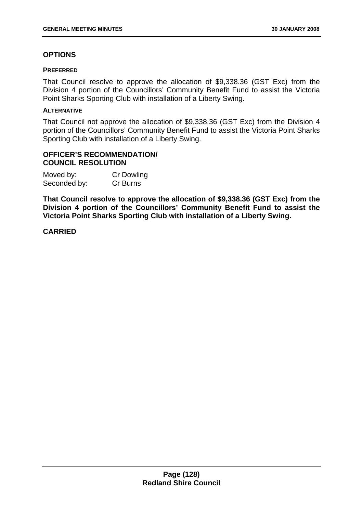# **OPTIONS**

#### **PREFERRED**

That Council resolve to approve the allocation of \$9,338.36 (GST Exc) from the Division 4 portion of the Councillors' Community Benefit Fund to assist the Victoria Point Sharks Sporting Club with installation of a Liberty Swing.

# **ALTERNATIVE**

That Council not approve the allocation of \$9,338.36 (GST Exc) from the Division 4 portion of the Councillors' Community Benefit Fund to assist the Victoria Point Sharks Sporting Club with installation of a Liberty Swing.

# **OFFICER'S RECOMMENDATION/ COUNCIL RESOLUTION**

| Moved by:    | <b>Cr Dowling</b> |
|--------------|-------------------|
| Seconded by: | Cr Burns          |

**That Council resolve to approve the allocation of \$9,338.36 (GST Exc) from the Division 4 portion of the Councillors' Community Benefit Fund to assist the Victoria Point Sharks Sporting Club with installation of a Liberty Swing.**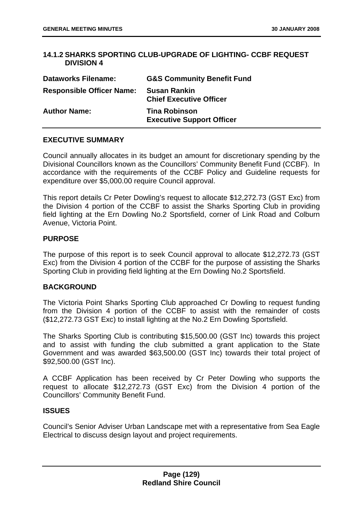# **14.1.2 SHARKS SPORTING CLUB-UPGRADE OF LIGHTING- CCBF REQUEST DIVISION 4**

| <b>Dataworks Filename:</b>       | <b>G&amp;S Community Benefit Fund</b>                    |
|----------------------------------|----------------------------------------------------------|
| <b>Responsible Officer Name:</b> | <b>Susan Rankin</b><br><b>Chief Executive Officer</b>    |
| <b>Author Name:</b>              | <b>Tina Robinson</b><br><b>Executive Support Officer</b> |

# **EXECUTIVE SUMMARY**

Council annually allocates in its budget an amount for discretionary spending by the Divisional Councillors known as the Councillors' Community Benefit Fund (CCBF). In accordance with the requirements of the CCBF Policy and Guideline requests for expenditure over \$5,000.00 require Council approval.

This report details Cr Peter Dowling's request to allocate \$12,272.73 (GST Exc) from the Division 4 portion of the CCBF to assist the Sharks Sporting Club in providing field lighting at the Ern Dowling No.2 Sportsfield, corner of Link Road and Colburn Avenue, Victoria Point.

# **PURPOSE**

The purpose of this report is to seek Council approval to allocate \$12,272.73 (GST Exc) from the Division 4 portion of the CCBF for the purpose of assisting the Sharks Sporting Club in providing field lighting at the Ern Dowling No.2 Sportsfield.

# **BACKGROUND**

The Victoria Point Sharks Sporting Club approached Cr Dowling to request funding from the Division 4 portion of the CCBF to assist with the remainder of costs (\$12,272.73 GST Exc) to install lighting at the No.2 Ern Dowling Sportsfield.

The Sharks Sporting Club is contributing \$15,500.00 (GST Inc) towards this project and to assist with funding the club submitted a grant application to the State Government and was awarded \$63,500.00 (GST Inc) towards their total project of \$92,500.00 (GST Inc).

A CCBF Application has been received by Cr Peter Dowling who supports the request to allocate \$12,272.73 (GST Exc) from the Division 4 portion of the Councillors' Community Benefit Fund.

# **ISSUES**

Council's Senior Adviser Urban Landscape met with a representative from Sea Eagle Electrical to discuss design layout and project requirements.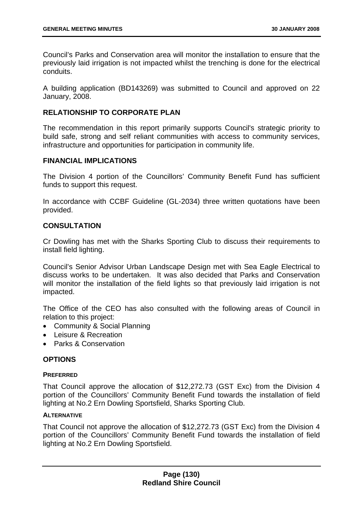Council's Parks and Conservation area will monitor the installation to ensure that the previously laid irrigation is not impacted whilst the trenching is done for the electrical conduits.

A building application (BD143269) was submitted to Council and approved on 22 January, 2008.

# **RELATIONSHIP TO CORPORATE PLAN**

The recommendation in this report primarily supports Council's strategic priority to build safe, strong and self reliant communities with access to community services, infrastructure and opportunities for participation in community life.

# **FINANCIAL IMPLICATIONS**

The Division 4 portion of the Councillors' Community Benefit Fund has sufficient funds to support this request.

In accordance with CCBF Guideline (GL-2034) three written quotations have been provided.

# **CONSULTATION**

Cr Dowling has met with the Sharks Sporting Club to discuss their requirements to install field lighting.

Council's Senior Advisor Urban Landscape Design met with Sea Eagle Electrical to discuss works to be undertaken. It was also decided that Parks and Conservation will monitor the installation of the field lights so that previously laid irrigation is not impacted.

The Office of the CEO has also consulted with the following areas of Council in relation to this project:

- Community & Social Planning
- Leisure & Recreation
- Parks & Conservation

# **OPTIONS**

# **PREFERRED**

That Council approve the allocation of \$12,272.73 (GST Exc) from the Division 4 portion of the Councillors' Community Benefit Fund towards the installation of field lighting at No.2 Ern Dowling Sportsfield, Sharks Sporting Club.

# **ALTERNATIVE**

That Council not approve the allocation of \$12,272.73 (GST Exc) from the Division 4 portion of the Councillors' Community Benefit Fund towards the installation of field lighting at No.2 Ern Dowling Sportsfield.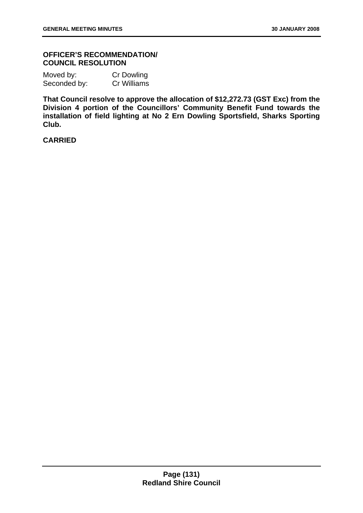# **OFFICER'S RECOMMENDATION/ COUNCIL RESOLUTION**

| Moved by:    | <b>Cr Dowling</b> |
|--------------|-------------------|
| Seconded by: | Cr Williams       |

**That Council resolve to approve the allocation of \$12,272.73 (GST Exc) from the Division 4 portion of the Councillors' Community Benefit Fund towards the installation of field lighting at No 2 Ern Dowling Sportsfield, Sharks Sporting Club.**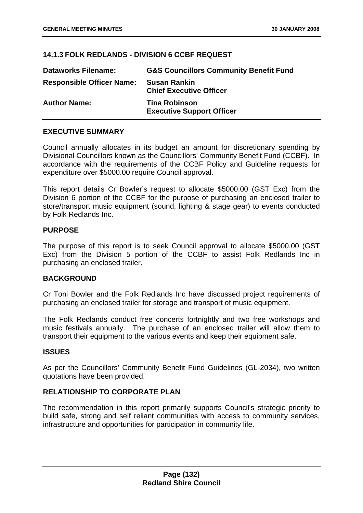# **14.1.3 FOLK REDLANDS - DIVISION 6 CCBF REQUEST**

| <b>Dataworks Filename:</b>       | <b>G&amp;S Councillors Community Benefit Fund</b>        |
|----------------------------------|----------------------------------------------------------|
| <b>Responsible Officer Name:</b> | <b>Susan Rankin</b><br><b>Chief Executive Officer</b>    |
| <b>Author Name:</b>              | <b>Tina Robinson</b><br><b>Executive Support Officer</b> |

# **EXECUTIVE SUMMARY**

Council annually allocates in its budget an amount for discretionary spending by Divisional Councillors known as the Councillors' Community Benefit Fund (CCBF). In accordance with the requirements of the CCBF Policy and Guideline requests for expenditure over \$5000.00 require Council approval.

This report details Cr Bowler's request to allocate \$5000.00 (GST Exc) from the Division 6 portion of the CCBF for the purpose of purchasing an enclosed trailer to store/transport music equipment (sound, lighting & stage gear) to events conducted by Folk Redlands Inc.

# **PURPOSE**

The purpose of this report is to seek Council approval to allocate \$5000.00 (GST Exc) from the Division 5 portion of the CCBF to assist Folk Redlands Inc in purchasing an enclosed trailer.

# **BACKGROUND**

Cr Toni Bowler and the Folk Redlands Inc have discussed project requirements of purchasing an enclosed trailer for storage and transport of music equipment.

The Folk Redlands conduct free concerts fortnightly and two free workshops and music festivals annually. The purchase of an enclosed trailer will allow them to transport their equipment to the various events and keep their equipment safe.

# **ISSUES**

As per the Councillors' Community Benefit Fund Guidelines (GL-2034), two written quotations have been provided.

# **RELATIONSHIP TO CORPORATE PLAN**

The recommendation in this report primarily supports Council's strategic priority to build safe, strong and self reliant communities with access to community services, infrastructure and opportunities for participation in community life.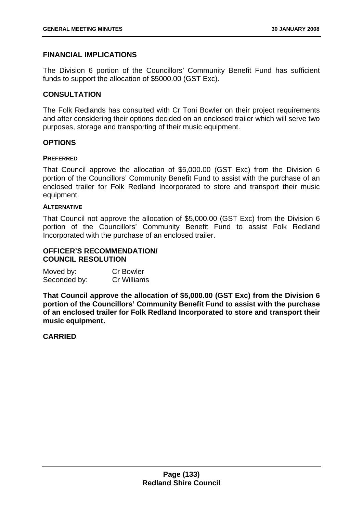# **FINANCIAL IMPLICATIONS**

The Division 6 portion of the Councillors' Community Benefit Fund has sufficient funds to support the allocation of \$5000.00 (GST Exc).

# **CONSULTATION**

The Folk Redlands has consulted with Cr Toni Bowler on their project requirements and after considering their options decided on an enclosed trailer which will serve two purposes, storage and transporting of their music equipment.

# **OPTIONS**

#### **PREFERRED**

That Council approve the allocation of \$5,000.00 (GST Exc) from the Division 6 portion of the Councillors' Community Benefit Fund to assist with the purchase of an enclosed trailer for Folk Redland Incorporated to store and transport their music equipment.

#### **ALTERNATIVE**

That Council not approve the allocation of \$5,000.00 (GST Exc) from the Division 6 portion of the Councillors' Community Benefit Fund to assist Folk Redland Incorporated with the purchase of an enclosed trailer.

# **OFFICER'S RECOMMENDATION/ COUNCIL RESOLUTION**

| Moved by:    | <b>Cr Bowler</b> |
|--------------|------------------|
| Seconded by: | Cr Williams      |

**That Council approve the allocation of \$5,000.00 (GST Exc) from the Division 6 portion of the Councillors' Community Benefit Fund to assist with the purchase of an enclosed trailer for Folk Redland Incorporated to store and transport their music equipment.**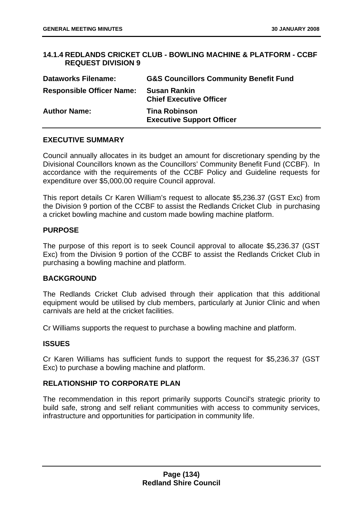# **14.1.4 REDLANDS CRICKET CLUB - BOWLING MACHINE & PLATFORM - CCBF REQUEST DIVISION 9**

| <b>Dataworks Filename:</b>       | <b>G&amp;S Councillors Community Benefit Fund</b>        |
|----------------------------------|----------------------------------------------------------|
| <b>Responsible Officer Name:</b> | <b>Susan Rankin</b><br><b>Chief Executive Officer</b>    |
| <b>Author Name:</b>              | <b>Tina Robinson</b><br><b>Executive Support Officer</b> |

# **EXECUTIVE SUMMARY**

Council annually allocates in its budget an amount for discretionary spending by the Divisional Councillors known as the Councillors' Community Benefit Fund (CCBF). In accordance with the requirements of the CCBF Policy and Guideline requests for expenditure over \$5,000.00 require Council approval.

This report details Cr Karen William's request to allocate \$5,236.37 (GST Exc) from the Division 9 portion of the CCBF to assist the Redlands Cricket Club in purchasing a cricket bowling machine and custom made bowling machine platform.

# **PURPOSE**

The purpose of this report is to seek Council approval to allocate \$5,236.37 (GST Exc) from the Division 9 portion of the CCBF to assist the Redlands Cricket Club in purchasing a bowling machine and platform.

# **BACKGROUND**

The Redlands Cricket Club advised through their application that this additional equipment would be utilised by club members, particularly at Junior Clinic and when carnivals are held at the cricket facilities.

Cr Williams supports the request to purchase a bowling machine and platform.

# **ISSUES**

Cr Karen Williams has sufficient funds to support the request for \$5,236.37 (GST Exc) to purchase a bowling machine and platform.

# **RELATIONSHIP TO CORPORATE PLAN**

The recommendation in this report primarily supports Council's strategic priority to build safe, strong and self reliant communities with access to community services, infrastructure and opportunities for participation in community life.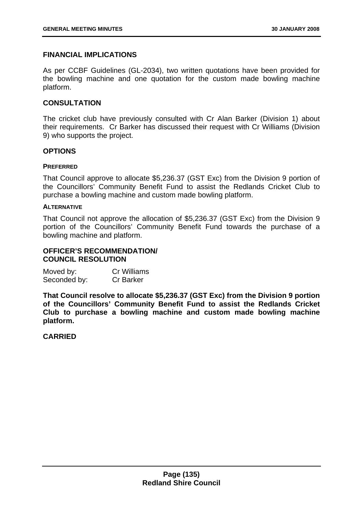# **FINANCIAL IMPLICATIONS**

As per CCBF Guidelines (GL-2034), two written quotations have been provided for the bowling machine and one quotation for the custom made bowling machine platform.

# **CONSULTATION**

The cricket club have previously consulted with Cr Alan Barker (Division 1) about their requirements. Cr Barker has discussed their request with Cr Williams (Division 9) who supports the project.

# **OPTIONS**

#### **PREFERRED**

That Council approve to allocate \$5,236.37 (GST Exc) from the Division 9 portion of the Councillors' Community Benefit Fund to assist the Redlands Cricket Club to purchase a bowling machine and custom made bowling platform.

#### **ALTERNATIVE**

That Council not approve the allocation of \$5,236.37 (GST Exc) from the Division 9 portion of the Councillors' Community Benefit Fund towards the purchase of a bowling machine and platform.

# **OFFICER'S RECOMMENDATION/ COUNCIL RESOLUTION**

| Moved by:    | <b>Cr Williams</b> |
|--------------|--------------------|
| Seconded by: | <b>Cr Barker</b>   |

**That Council resolve to allocate \$5,236.37 (GST Exc) from the Division 9 portion of the Councillors' Community Benefit Fund to assist the Redlands Cricket Club to purchase a bowling machine and custom made bowling machine platform.**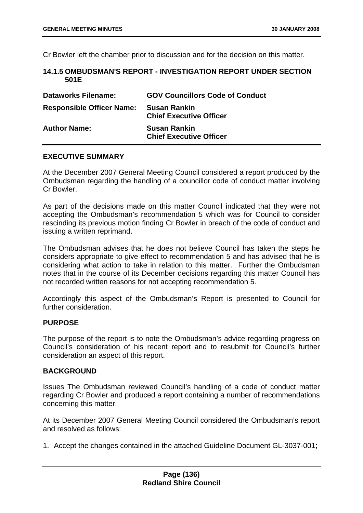Cr Bowler left the chamber prior to discussion and for the decision on this matter.

# **14.1.5 OMBUDSMAN'S REPORT - INVESTIGATION REPORT UNDER SECTION 501E**

| <b>Dataworks Filename:</b>       | <b>GOV Councillors Code of Conduct</b>                |
|----------------------------------|-------------------------------------------------------|
| <b>Responsible Officer Name:</b> | <b>Susan Rankin</b><br><b>Chief Executive Officer</b> |
| <b>Author Name:</b>              | <b>Susan Rankin</b><br><b>Chief Executive Officer</b> |

# **EXECUTIVE SUMMARY**

At the December 2007 General Meeting Council considered a report produced by the Ombudsman regarding the handling of a councillor code of conduct matter involving Cr Bowler.

As part of the decisions made on this matter Council indicated that they were not accepting the Ombudsman's recommendation 5 which was for Council to consider rescinding its previous motion finding Cr Bowler in breach of the code of conduct and issuing a written reprimand.

The Ombudsman advises that he does not believe Council has taken the steps he considers appropriate to give effect to recommendation 5 and has advised that he is considering what action to take in relation to this matter. Further the Ombudsman notes that in the course of its December decisions regarding this matter Council has not recorded written reasons for not accepting recommendation 5.

Accordingly this aspect of the Ombudsman's Report is presented to Council for further consideration.

# **PURPOSE**

The purpose of the report is to note the Ombudsman's advice regarding progress on Council's consideration of his recent report and to resubmit for Council's further consideration an aspect of this report.

# **BACKGROUND**

Issues The Ombudsman reviewed Council's handling of a code of conduct matter regarding Cr Bowler and produced a report containing a number of recommendations concerning this matter.

At its December 2007 General Meeting Council considered the Ombudsman's report and resolved as follows:

1. Accept the changes contained in the attached Guideline Document GL-3037-001;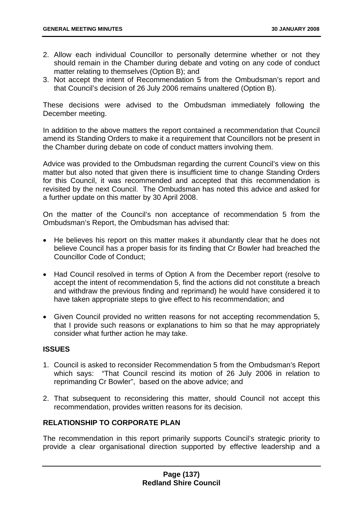- 2. Allow each individual Councillor to personally determine whether or not they should remain in the Chamber during debate and voting on any code of conduct matter relating to themselves (Option B); and
- 3. Not accept the intent of Recommendation 5 from the Ombudsman's report and that Council's decision of 26 July 2006 remains unaltered (Option B).

These decisions were advised to the Ombudsman immediately following the December meeting.

In addition to the above matters the report contained a recommendation that Council amend its Standing Orders to make it a requirement that Councillors not be present in the Chamber during debate on code of conduct matters involving them.

Advice was provided to the Ombudsman regarding the current Council's view on this matter but also noted that given there is insufficient time to change Standing Orders for this Council, it was recommended and accepted that this recommendation is revisited by the next Council. The Ombudsman has noted this advice and asked for a further update on this matter by 30 April 2008.

On the matter of the Council's non acceptance of recommendation 5 from the Ombudsman's Report, the Ombudsman has advised that:

- He believes his report on this matter makes it abundantly clear that he does not believe Council has a proper basis for its finding that Cr Bowler had breached the Councillor Code of Conduct;
- Had Council resolved in terms of Option A from the December report (resolve to accept the intent of recommendation 5, find the actions did not constitute a breach and withdraw the previous finding and reprimand) he would have considered it to have taken appropriate steps to give effect to his recommendation; and
- Given Council provided no written reasons for not accepting recommendation 5, that I provide such reasons or explanations to him so that he may appropriately consider what further action he may take.

# **ISSUES**

- 1. Council is asked to reconsider Recommendation 5 from the Ombudsman's Report which says: "That Council rescind its motion of 26 July 2006 in relation to reprimanding Cr Bowler", based on the above advice; and
- 2. That subsequent to reconsidering this matter, should Council not accept this recommendation, provides written reasons for its decision.

# **RELATIONSHIP TO CORPORATE PLAN**

The recommendation in this report primarily supports Council's strategic priority to provide a clear organisational direction supported by effective leadership and a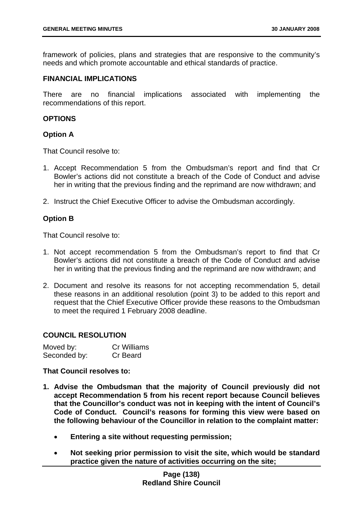framework of policies, plans and strategies that are responsive to the community's needs and which promote accountable and ethical standards of practice.

#### **FINANCIAL IMPLICATIONS**

There are no financial implications associated with implementing the recommendations of this report.

# **OPTIONS**

#### **Option A**

That Council resolve to:

- 1. Accept Recommendation 5 from the Ombudsman's report and find that Cr Bowler's actions did not constitute a breach of the Code of Conduct and advise her in writing that the previous finding and the reprimand are now withdrawn; and
- 2. Instruct the Chief Executive Officer to advise the Ombudsman accordingly.

# **Option B**

That Council resolve to:

- 1. Not accept recommendation 5 from the Ombudsman's report to find that Cr Bowler's actions did not constitute a breach of the Code of Conduct and advise her in writing that the previous finding and the reprimand are now withdrawn; and
- 2. Document and resolve its reasons for not accepting recommendation 5, detail these reasons in an additional resolution (point 3) to be added to this report and request that the Chief Executive Officer provide these reasons to the Ombudsman to meet the required 1 February 2008 deadline.

# **COUNCIL RESOLUTION**

| Moved by:    | <b>Cr Williams</b> |
|--------------|--------------------|
| Seconded by: | Cr Beard           |

#### **That Council resolves to:**

- **1. Advise the Ombudsman that the majority of Council previously did not accept Recommendation 5 from his recent report because Council believes that the Councillor's conduct was not in keeping with the intent of Council's Code of Conduct. Council's reasons for forming this view were based on the following behaviour of the Councillor in relation to the complaint matter:** 
	- **Entering a site without requesting permission;**
	- **Not seeking prior permission to visit the site, which would be standard practice given the nature of activities occurring on the site;**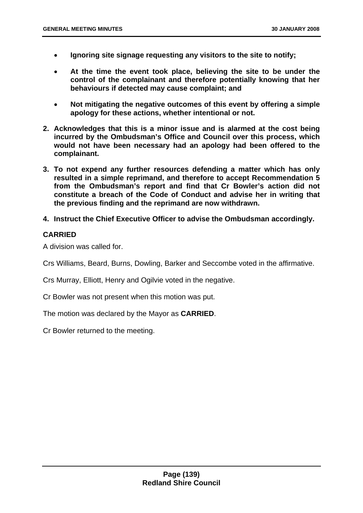- **Ignoring site signage requesting any visitors to the site to notify;**
- **At the time the event took place, believing the site to be under the control of the complainant and therefore potentially knowing that her behaviours if detected may cause complaint; and**
- **Not mitigating the negative outcomes of this event by offering a simple apology for these actions, whether intentional or not.**
- **2. Acknowledges that this is a minor issue and is alarmed at the cost being incurred by the Ombudsman's Office and Council over this process, which would not have been necessary had an apology had been offered to the complainant.**
- **3. To not expend any further resources defending a matter which has only resulted in a simple reprimand, and therefore to accept Recommendation 5 from the Ombudsman's report and find that Cr Bowler's action did not constitute a breach of the Code of Conduct and advise her in writing that the previous finding and the reprimand are now withdrawn.**
- **4. Instruct the Chief Executive Officer to advise the Ombudsman accordingly.**

# **CARRIED**

A division was called for.

Crs Williams, Beard, Burns, Dowling, Barker and Seccombe voted in the affirmative.

Crs Murray, Elliott, Henry and Ogilvie voted in the negative.

Cr Bowler was not present when this motion was put.

The motion was declared by the Mayor as **CARRIED**.

Cr Bowler returned to the meeting.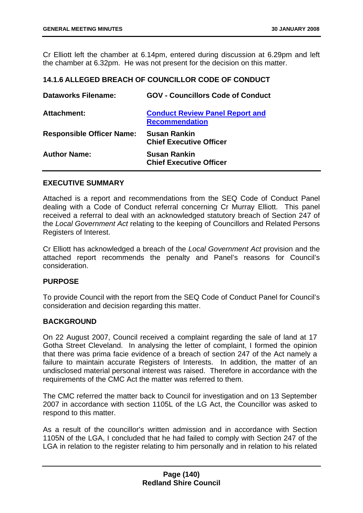Cr Elliott left the chamber at 6.14pm, entered during discussion at 6.29pm and left the chamber at 6.32pm. He was not present for the decision on this matter.

#### **14.1.6 ALLEGED BREACH OF COUNCILLOR CODE OF CONDUCT**

| Dataworks Filename:              | <b>GOV - Councillors Code of Conduct</b>                        |
|----------------------------------|-----------------------------------------------------------------|
| <b>Attachment:</b>               | <b>Conduct Review Panel Report and</b><br><b>Recommendation</b> |
| <b>Responsible Officer Name:</b> | <b>Susan Rankin</b><br><b>Chief Executive Officer</b>           |
| <b>Author Name:</b>              | <b>Susan Rankin</b><br><b>Chief Executive Officer</b>           |

#### **EXECUTIVE SUMMARY**

Attached is a report and recommendations from the SEQ Code of Conduct Panel dealing with a Code of Conduct referral concerning Cr Murray Elliott. This panel received a referral to deal with an acknowledged statutory breach of Section 247 of the *Local Government Act* relating to the keeping of Councillors and Related Persons Registers of Interest.

Cr Elliott has acknowledged a breach of the *Local Government Act* provision and the attached report recommends the penalty and Panel's reasons for Council's consideration.

# **PURPOSE**

To provide Council with the report from the SEQ Code of Conduct Panel for Council's consideration and decision regarding this matter.

# **BACKGROUND**

On 22 August 2007, Council received a complaint regarding the sale of land at 17 Gotha Street Cleveland. In analysing the letter of complaint, I formed the opinion that there was prima facie evidence of a breach of section 247 of the Act namely a failure to maintain accurate Registers of Interests. In addition, the matter of an undisclosed material personal interest was raised. Therefore in accordance with the requirements of the CMC Act the matter was referred to them.

The CMC referred the matter back to Council for investigation and on 13 September 2007 in accordance with section 1105L of the LG Act, the Councillor was asked to respond to this matter.

As a result of the councillor's written admission and in accordance with Section 1105N of the LGA, I concluded that he had failed to comply with Section 247 of the LGA in relation to the register relating to him personally and in relation to his related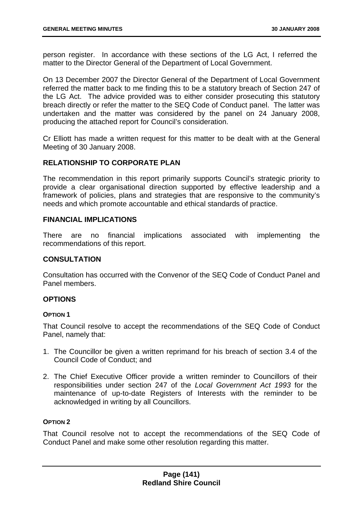person register. In accordance with these sections of the LG Act, I referred the matter to the Director General of the Department of Local Government.

On 13 December 2007 the Director General of the Department of Local Government referred the matter back to me finding this to be a statutory breach of Section 247 of the LG Act. The advice provided was to either consider prosecuting this statutory breach directly or refer the matter to the SEQ Code of Conduct panel. The latter was undertaken and the matter was considered by the panel on 24 January 2008, producing the attached report for Council's consideration.

Cr Elliott has made a written request for this matter to be dealt with at the General Meeting of 30 January 2008.

# **RELATIONSHIP TO CORPORATE PLAN**

The recommendation in this report primarily supports Council's strategic priority to provide a clear organisational direction supported by effective leadership and a framework of policies, plans and strategies that are responsive to the community's needs and which promote accountable and ethical standards of practice.

# **FINANCIAL IMPLICATIONS**

There are no financial implications associated with implementing the recommendations of this report.

# **CONSULTATION**

Consultation has occurred with the Convenor of the SEQ Code of Conduct Panel and Panel members.

# **OPTIONS**

# **OPTION 1**

That Council resolve to accept the recommendations of the SEQ Code of Conduct Panel, namely that:

- 1. The Councillor be given a written reprimand for his breach of section 3.4 of the Council Code of Conduct; and
- 2. The Chief Executive Officer provide a written reminder to Councillors of their responsibilities under section 247 of the *Local Government Act 1993* for the maintenance of up-to-date Registers of Interests with the reminder to be acknowledged in writing by all Councillors.

# **OPTION 2**

That Council resolve not to accept the recommendations of the SEQ Code of Conduct Panel and make some other resolution regarding this matter.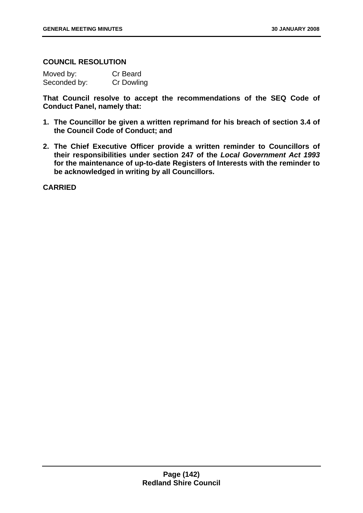# **COUNCIL RESOLUTION**

| Moved by:    | <b>Cr Beard</b> |
|--------------|-----------------|
| Seconded by: | Cr Dowling      |

**That Council resolve to accept the recommendations of the SEQ Code of Conduct Panel, namely that:** 

- **1. The Councillor be given a written reprimand for his breach of section 3.4 of the Council Code of Conduct; and**
- **2. The Chief Executive Officer provide a written reminder to Councillors of their responsibilities under section 247 of the** *Local Government Act 1993* **for the maintenance of up-to-date Registers of Interests with the reminder to be acknowledged in writing by all Councillors.**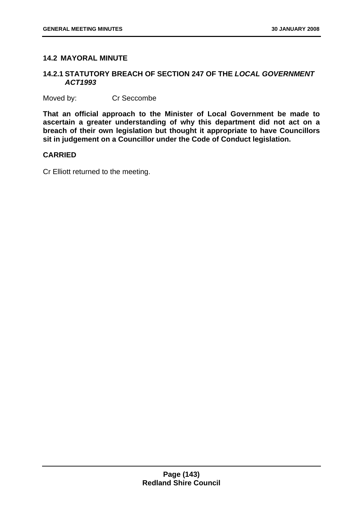# **14.2 MAYORAL MINUTE**

# **14.2.1 STATUTORY BREACH OF SECTION 247 OF THE** *LOCAL GOVERNMENT ACT1993*

Moved by: Cr Seccombe

**That an official approach to the Minister of Local Government be made to ascertain a greater understanding of why this department did not act on a breach of their own legislation but thought it appropriate to have Councillors sit in judgement on a Councillor under the Code of Conduct legislation.** 

# **CARRIED**

Cr Elliott returned to the meeting.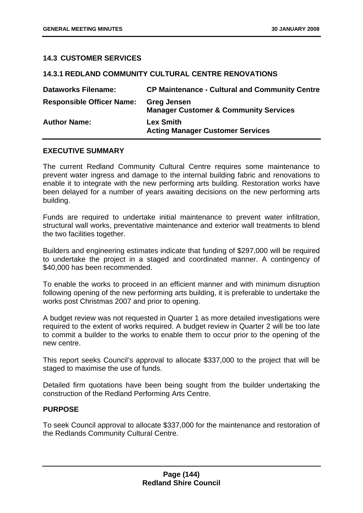### **14.3 CUSTOMER SERVICES**

## **14.3.1 REDLAND COMMUNITY CULTURAL CENTRE RENOVATIONS**

| <b>Dataworks Filename:</b>       | <b>CP Maintenance - Cultural and Community Centre</b>                  |
|----------------------------------|------------------------------------------------------------------------|
| <b>Responsible Officer Name:</b> | <b>Greg Jensen</b><br><b>Manager Customer &amp; Community Services</b> |
| <b>Author Name:</b>              | <b>Lex Smith</b><br><b>Acting Manager Customer Services</b>            |

### **EXECUTIVE SUMMARY**

The current Redland Community Cultural Centre requires some maintenance to prevent water ingress and damage to the internal building fabric and renovations to enable it to integrate with the new performing arts building. Restoration works have been delayed for a number of years awaiting decisions on the new performing arts building.

Funds are required to undertake initial maintenance to prevent water infiltration, structural wall works, preventative maintenance and exterior wall treatments to blend the two facilities together.

Builders and engineering estimates indicate that funding of \$297,000 will be required to undertake the project in a staged and coordinated manner. A contingency of \$40,000 has been recommended.

To enable the works to proceed in an efficient manner and with minimum disruption following opening of the new performing arts building, it is preferable to undertake the works post Christmas 2007 and prior to opening.

A budget review was not requested in Quarter 1 as more detailed investigations were required to the extent of works required. A budget review in Quarter 2 will be too late to commit a builder to the works to enable them to occur prior to the opening of the new centre.

This report seeks Council's approval to allocate \$337,000 to the project that will be staged to maximise the use of funds.

Detailed firm quotations have been being sought from the builder undertaking the construction of the Redland Performing Arts Centre.

### **PURPOSE**

To seek Council approval to allocate \$337,000 for the maintenance and restoration of the Redlands Community Cultural Centre.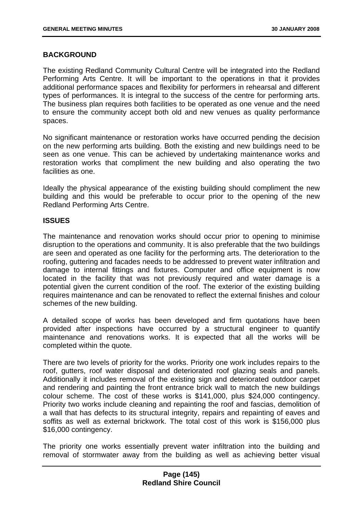## **BACKGROUND**

The existing Redland Community Cultural Centre will be integrated into the Redland Performing Arts Centre. It will be important to the operations in that it provides additional performance spaces and flexibility for performers in rehearsal and different types of performances. It is integral to the success of the centre for performing arts. The business plan requires both facilities to be operated as one venue and the need to ensure the community accept both old and new venues as quality performance spaces.

No significant maintenance or restoration works have occurred pending the decision on the new performing arts building. Both the existing and new buildings need to be seen as one venue. This can be achieved by undertaking maintenance works and restoration works that compliment the new building and also operating the two facilities as one.

Ideally the physical appearance of the existing building should compliment the new building and this would be preferable to occur prior to the opening of the new Redland Performing Arts Centre.

### **ISSUES**

The maintenance and renovation works should occur prior to opening to minimise disruption to the operations and community. It is also preferable that the two buildings are seen and operated as one facility for the performing arts. The deterioration to the roofing, guttering and facades needs to be addressed to prevent water infiltration and damage to internal fittings and fixtures. Computer and office equipment is now located in the facility that was not previously required and water damage is a potential given the current condition of the roof. The exterior of the existing building requires maintenance and can be renovated to reflect the external finishes and colour schemes of the new building.

A detailed scope of works has been developed and firm quotations have been provided after inspections have occurred by a structural engineer to quantify maintenance and renovations works. It is expected that all the works will be completed within the quote.

There are two levels of priority for the works. Priority one work includes repairs to the roof, gutters, roof water disposal and deteriorated roof glazing seals and panels. Additionally it includes removal of the existing sign and deteriorated outdoor carpet and rendering and painting the front entrance brick wall to match the new buildings colour scheme. The cost of these works is \$141,000, plus \$24,000 contingency. Priority two works include cleaning and repainting the roof and fascias, demolition of a wall that has defects to its structural integrity, repairs and repainting of eaves and soffits as well as external brickwork. The total cost of this work is \$156,000 plus \$16,000 contingency.

The priority one works essentially prevent water infiltration into the building and removal of stormwater away from the building as well as achieving better visual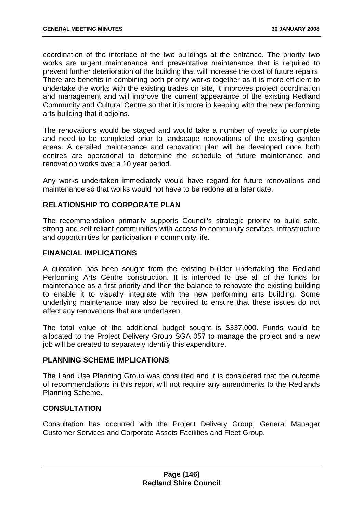coordination of the interface of the two buildings at the entrance. The priority two works are urgent maintenance and preventative maintenance that is required to prevent further deterioration of the building that will increase the cost of future repairs. There are benefits in combining both priority works together as it is more efficient to undertake the works with the existing trades on site, it improves project coordination and management and will improve the current appearance of the existing Redland Community and Cultural Centre so that it is more in keeping with the new performing arts building that it adjoins.

The renovations would be staged and would take a number of weeks to complete and need to be completed prior to landscape renovations of the existing garden areas. A detailed maintenance and renovation plan will be developed once both centres are operational to determine the schedule of future maintenance and renovation works over a 10 year period.

Any works undertaken immediately would have regard for future renovations and maintenance so that works would not have to be redone at a later date.

## **RELATIONSHIP TO CORPORATE PLAN**

The recommendation primarily supports Council's strategic priority to build safe, strong and self reliant communities with access to community services, infrastructure and opportunities for participation in community life.

### **FINANCIAL IMPLICATIONS**

A quotation has been sought from the existing builder undertaking the Redland Performing Arts Centre construction. It is intended to use all of the funds for maintenance as a first priority and then the balance to renovate the existing building to enable it to visually integrate with the new performing arts building. Some underlying maintenance may also be required to ensure that these issues do not affect any renovations that are undertaken.

The total value of the additional budget sought is \$337,000. Funds would be allocated to the Project Delivery Group SGA 057 to manage the project and a new job will be created to separately identify this expenditure.

## **PLANNING SCHEME IMPLICATIONS**

The Land Use Planning Group was consulted and it is considered that the outcome of recommendations in this report will not require any amendments to the Redlands Planning Scheme.

## **CONSULTATION**

Consultation has occurred with the Project Delivery Group, General Manager Customer Services and Corporate Assets Facilities and Fleet Group.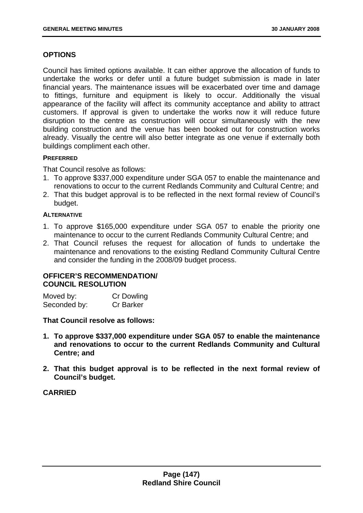## **OPTIONS**

Council has limited options available. It can either approve the allocation of funds to undertake the works or defer until a future budget submission is made in later financial years. The maintenance issues will be exacerbated over time and damage to fittings, furniture and equipment is likely to occur. Additionally the visual appearance of the facility will affect its community acceptance and ability to attract customers. If approval is given to undertake the works now it will reduce future disruption to the centre as construction will occur simultaneously with the new building construction and the venue has been booked out for construction works already. Visually the centre will also better integrate as one venue if externally both buildings compliment each other.

## **PREFERRED**

That Council resolve as follows:

- 1. To approve \$337,000 expenditure under SGA 057 to enable the maintenance and renovations to occur to the current Redlands Community and Cultural Centre; and
- 2. That this budget approval is to be reflected in the next formal review of Council's budget.

### **ALTERNATIVE**

- 1. To approve \$165,000 expenditure under SGA 057 to enable the priority one maintenance to occur to the current Redlands Community Cultural Centre; and
- 2. That Council refuses the request for allocation of funds to undertake the maintenance and renovations to the existing Redland Community Cultural Centre and consider the funding in the 2008/09 budget process.

# **OFFICER'S RECOMMENDATION/ COUNCIL RESOLUTION**

| Moved by:    | <b>Cr Dowling</b> |
|--------------|-------------------|
| Seconded by: | <b>Cr Barker</b>  |

## **That Council resolve as follows:**

- **1. To approve \$337,000 expenditure under SGA 057 to enable the maintenance and renovations to occur to the current Redlands Community and Cultural Centre; and**
- **2. That this budget approval is to be reflected in the next formal review of Council's budget.**

## **CARRIED**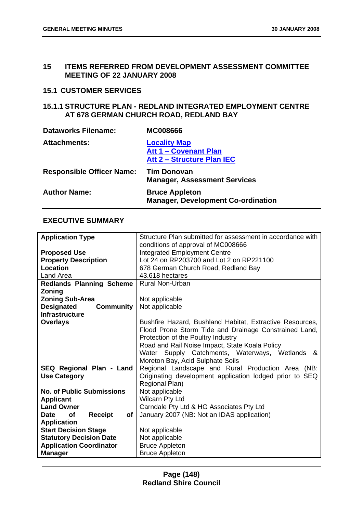### **15 ITEMS REFERRED FROM DEVELOPMENT ASSESSMENT COMMITTEE MEETING OF 22 JANUARY 2008**

# **15.1 CUSTOMER SERVICES**

## **15.1.1 STRUCTURE PLAN - REDLAND INTEGRATED EMPLOYMENT CENTRE AT 678 GERMAN CHURCH ROAD, REDLAND BAY**

| <b>Dataworks Filename:</b>       | <b>MC008666</b>                                                            |
|----------------------------------|----------------------------------------------------------------------------|
| <b>Attachments:</b>              | <b>Locality Map</b><br>Att 1 - Covenant Plan<br>Att 2 - Structure Plan IEC |
| <b>Responsible Officer Name:</b> | <b>Tim Donovan</b><br><b>Manager, Assessment Services</b>                  |
| <b>Author Name:</b>              | <b>Bruce Appleton</b><br><b>Manager, Development Co-ordination</b>         |

### **EXECUTIVE SUMMARY**

| <b>Application Type</b>                          | Structure Plan submitted for assessment in accordance with |
|--------------------------------------------------|------------------------------------------------------------|
|                                                  | conditions of approval of MC008666                         |
| <b>Proposed Use</b>                              | <b>Integrated Employment Centre</b>                        |
| <b>Property Description</b>                      | Lot 24 on RP203700 and Lot 2 on RP221100                   |
| Location                                         | 678 German Church Road, Redland Bay                        |
| Land Area                                        | 43.618 hectares                                            |
| <b>Redlands Planning Scheme</b>                  | <b>Rural Non-Urban</b>                                     |
| Zoning                                           |                                                            |
| <b>Zoning Sub-Area</b>                           | Not applicable                                             |
| <b>Designated</b><br><b>Community</b>            | Not applicable                                             |
| <b>Infrastructure</b>                            |                                                            |
| <b>Overlays</b>                                  | Bushfire Hazard, Bushland Habitat, Extractive Resources,   |
|                                                  | Flood Prone Storm Tide and Drainage Constrained Land,      |
|                                                  | Protection of the Poultry Industry                         |
|                                                  | Road and Rail Noise Impact, State Koala Policy             |
|                                                  | Water Supply Catchments, Waterways, Wetlands<br>&          |
|                                                  | Moreton Bay, Acid Sulphate Soils                           |
| SEQ Regional Plan - Land                         | Regional Landscape and Rural Production Area (NB:          |
| <b>Use Category</b>                              | Originating development application lodged prior to SEQ    |
|                                                  | Regional Plan)                                             |
| <b>No. of Public Submissions</b>                 | Not applicable                                             |
| <b>Applicant</b>                                 | <b>Wilcarn Pty Ltd</b>                                     |
| <b>Land Owner</b>                                | Carndale Pty Ltd & HG Associates Pty Ltd                   |
| <b>of</b><br><b>Receipt</b><br>of<br><b>Date</b> | January 2007 (NB: Not an IDAS application)                 |
| <b>Application</b>                               |                                                            |
| <b>Start Decision Stage</b>                      | Not applicable                                             |
| <b>Statutory Decision Date</b>                   | Not applicable                                             |
| <b>Application Coordinator</b>                   | <b>Bruce Appleton</b>                                      |
| <b>Manager</b>                                   | <b>Bruce Appleton</b>                                      |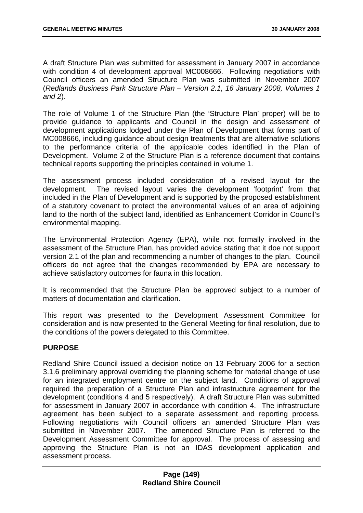A draft Structure Plan was submitted for assessment in January 2007 in accordance with condition 4 of development approval MC008666. Following negotiations with Council officers an amended Structure Plan was submitted in November 2007 (*Redlands Business Park Structure Plan – Version 2.1, 16 January 2008, Volumes 1 and 2*).

The role of Volume 1 of the Structure Plan (the 'Structure Plan' proper) will be to provide guidance to applicants and Council in the design and assessment of development applications lodged under the Plan of Development that forms part of MC008666, including guidance about design treatments that are alternative solutions to the performance criteria of the applicable codes identified in the Plan of Development. Volume 2 of the Structure Plan is a reference document that contains technical reports supporting the principles contained in volume 1.

The assessment process included consideration of a revised layout for the development. The revised layout varies the development 'footprint' from that included in the Plan of Development and is supported by the proposed establishment of a statutory covenant to protect the environmental values of an area of adjoining land to the north of the subject land, identified as Enhancement Corridor in Council's environmental mapping.

The Environmental Protection Agency (EPA), while not formally involved in the assessment of the Structure Plan, has provided advice stating that it doe not support version 2.1 of the plan and recommending a number of changes to the plan. Council officers do not agree that the changes recommended by EPA are necessary to achieve satisfactory outcomes for fauna in this location.

It is recommended that the Structure Plan be approved subject to a number of matters of documentation and clarification.

This report was presented to the Development Assessment Committee for consideration and is now presented to the General Meeting for final resolution, due to the conditions of the powers delegated to this Committee.

## **PURPOSE**

Redland Shire Council issued a decision notice on 13 February 2006 for a section 3.1.6 preliminary approval overriding the planning scheme for material change of use for an integrated employment centre on the subject land. Conditions of approval required the preparation of a Structure Plan and infrastructure agreement for the development (conditions 4 and 5 respectively). A draft Structure Plan was submitted for assessment in January 2007 in accordance with condition 4. The infrastructure agreement has been subject to a separate assessment and reporting process. Following negotiations with Council officers an amended Structure Plan was submitted in November 2007. The amended Structure Plan is referred to the Development Assessment Committee for approval. The process of assessing and approving the Structure Plan is not an IDAS development application and assessment process.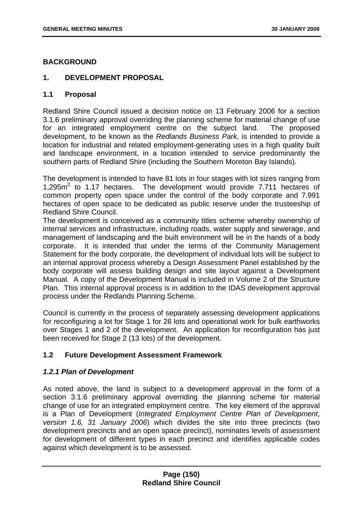## **BACKGROUND**

### **1. DEVELOPMENT PROPOSAL**

### **1.1 Proposal**

Redland Shire Council issued a decision notice on 13 February 2006 for a section 3.1.6 preliminary approval overriding the planning scheme for material change of use for an integrated employment centre on the subject land. The proposed development, to be known as the *Redlands Business Park*, is intended to provide a location for industrial and related employment-generating uses in a high quality built and landscape environment, in a location intended to service predominantly the southern parts of Redland Shire (including the Southern Moreton Bay Islands).

The development is intended to have 81 lots in four stages with lot sizes ranging from 1,295m<sup>2</sup> to 1.17 hectares. The development would provide 7.711 hectares of common property open space under the control of the body corporate and 7.991 hectares of open space to be dedicated as public reserve under the trusteeship of Redland Shire Council.

The development is conceived as a community titles scheme whereby ownership of internal services and infrastructure, including roads, water supply and sewerage, and management of landscaping and the built environment will be in the hands of a body corporate. It is intended that under the terms of the Community Management Statement for the body corporate, the development of individual lots will be subject to an internal approval process whereby a Design Assessment Panel established by the body corporate will assess building design and site layout against a Development Manual. A copy of the Development Manual is included in Volume 2 of the Structure Plan. This internal approval process is in addition to the IDAS development approval process under the Redlands Planning Scheme.

Council is currently in the process of separately assessing development applications for reconfiguring a lot for Stage 1 for 26 lots and operational work for bulk earthworks over Stages 1 and 2 of the development. An application for reconfiguration has just been received for Stage 2 (13 lots) of the development.

## **1.2 Future Development Assessment Framework**

### *1.2.1 Plan of Development*

As noted above, the land is subject to a development approval in the form of a section 3.1.6 preliminary approval overriding the planning scheme for material change of use for an integrated employment centre. The key element of the approval is a Plan of Development (*Integrated Employment Centre Plan of Development*, *version 1.6, 31 January 2006*) which divides the site into three precincts (two development precincts and an open space precinct), nominates levels of assessment for development of different types in each precinct and identifies applicable codes against which development is to be assessed.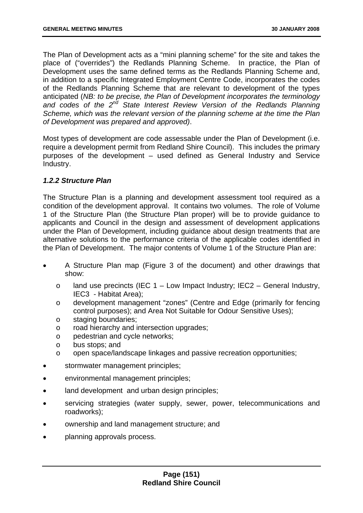The Plan of Development acts as a "mini planning scheme" for the site and takes the place of ("overrides") the Redlands Planning Scheme. In practice, the Plan of Development uses the same defined terms as the Redlands Planning Scheme and, in addition to a specific Integrated Employment Centre Code, incorporates the codes of the Redlands Planning Scheme that are relevant to development of the types anticipated (*NB: to be precise, the Plan of Development incorporates the terminology and codes of the 2nd State Interest Review Version of the Redlands Planning Scheme, which was the relevant version of the planning scheme at the time the Plan of Development was prepared and approved)*.

Most types of development are code assessable under the Plan of Development (i.e. require a development permit from Redland Shire Council). This includes the primary purposes of the development – used defined as General Industry and Service Industry.

### *1.2.2 Structure Plan*

The Structure Plan is a planning and development assessment tool required as a condition of the development approval. It contains two volumes. The role of Volume 1 of the Structure Plan (the Structure Plan proper) will be to provide guidance to applicants and Council in the design and assessment of development applications under the Plan of Development, including guidance about design treatments that are alternative solutions to the performance criteria of the applicable codes identified in the Plan of Development. The major contents of Volume 1 of the Structure Plan are:

- A Structure Plan map (Figure 3 of the document) and other drawings that show:
	- $\circ$  land use precincts (IEC 1 Low Impact Industry; IEC2 General Industry, IEC3 - Habitat Area);
	- o development management "zones" (Centre and Edge (primarily for fencing control purposes); and Area Not Suitable for Odour Sensitive Uses);
	- o staging boundaries;
	- o road hierarchy and intersection upgrades;
	- o pedestrian and cycle networks;
	- o bus stops; and
	- o open space/landscape linkages and passive recreation opportunities;
- stormwater management principles;
- environmental management principles;
- land development and urban design principles;
- servicing strategies (water supply, sewer, power, telecommunications and roadworks);
- ownership and land management structure; and
- planning approvals process.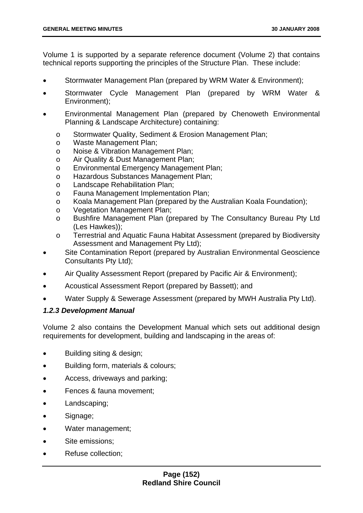Volume 1 is supported by a separate reference document (Volume 2) that contains technical reports supporting the principles of the Structure Plan. These include:

- Stormwater Management Plan (prepared by WRM Water & Environment);
- Stormwater Cycle Management Plan (prepared by WRM Water & Environment);
- Environmental Management Plan (prepared by Chenoweth Environmental Planning & Landscape Architecture) containing:
	- o Stormwater Quality, Sediment & Erosion Management Plan;
	- o Waste Management Plan;
	- o Noise & Vibration Management Plan;
	- o Air Quality & Dust Management Plan;
	- o Environmental Emergency Management Plan;
	- o Hazardous Substances Management Plan;
	- o Landscape Rehabilitation Plan;
	- o Fauna Management Implementation Plan;
	- o Koala Management Plan (prepared by the Australian Koala Foundation);
	- o Vegetation Management Plan;
	- o Bushfire Management Plan (prepared by The Consultancy Bureau Pty Ltd (Les Hawkes));
	- o Terrestrial and Aquatic Fauna Habitat Assessment (prepared by Biodiversity Assessment and Management Pty Ltd);
- Site Contamination Report (prepared by Australian Environmental Geoscience Consultants Pty Ltd);
- Air Quality Assessment Report (prepared by Pacific Air & Environment);
- Acoustical Assessment Report (prepared by Bassett); and
- Water Supply & Sewerage Assessment (prepared by MWH Australia Pty Ltd).

## *1.2.3 Development Manual*

Volume 2 also contains the Development Manual which sets out additional design requirements for development, building and landscaping in the areas of:

- Building siting & design;
- Building form, materials & colours;
- Access, driveways and parking;
- Fences & fauna movement;
- Landscaping;
- Signage;
- Water management;
- Site emissions;
- Refuse collection;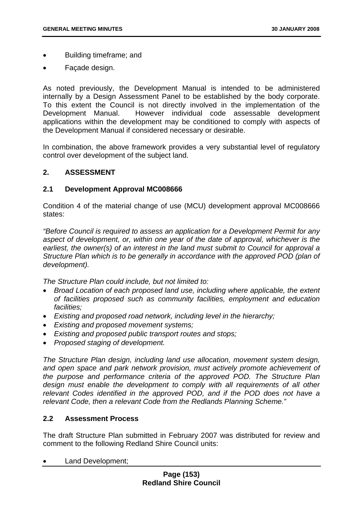- Building timeframe; and
- Façade design.

As noted previously, the Development Manual is intended to be administered internally by a Design Assessment Panel to be established by the body corporate. To this extent the Council is not directly involved in the implementation of the Development Manual. However individual code assessable development applications within the development may be conditioned to comply with aspects of the Development Manual if considered necessary or desirable.

In combination, the above framework provides a very substantial level of regulatory control over development of the subject land.

### **2. ASSESSMENT**

### **2.1 Development Approval MC008666**

Condition 4 of the material change of use (MCU) development approval MC008666 states:

*"Before Council is required to assess an application for a Development Permit for any aspect of development, or, within one year of the date of approval, whichever is the earliest, the owner(s) of an interest in the land must submit to Council for approval a Structure Plan which is to be generally in accordance with the approved POD (plan of development).* 

*The Structure Plan could include, but not limited to:* 

- *Broad Location of each proposed land use, including where applicable, the extent of facilities proposed such as community facilities, employment and education facilities;*
- *Existing and proposed road network, including level in the hierarchy;*
- *Existing and proposed movement systems;*
- *Existing and proposed public transport routes and stops;*
- *Proposed staging of development.*

*The Structure Plan design, including land use allocation, movement system design, and open space and park network provision, must actively promote achievement of the purpose and performance criteria of the approved POD. The Structure Plan design must enable the development to comply with all requirements of all other relevant Codes identified in the approved POD, and if the POD does not have a relevant Code, then a relevant Code from the Redlands Planning Scheme."* 

### **2.2 Assessment Process**

The draft Structure Plan submitted in February 2007 was distributed for review and comment to the following Redland Shire Council units:

• Land Development;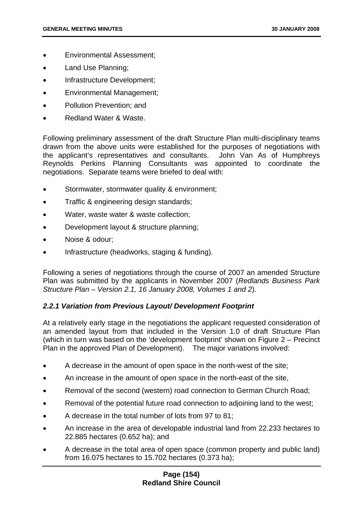- Environmental Assessment;
- Land Use Planning;
- Infrastructure Development;
- Environmental Management;
- Pollution Prevention; and
- Redland Water & Waste.

Following preliminary assessment of the draft Structure Plan multi-disciplinary teams drawn from the above units were established for the purposes of negotiations with the applicant's representatives and consultants. John Van As of Humphreys Reynolds Perkins Planning Consultants was appointed to coordinate the negotiations. Separate teams were briefed to deal with:

- Stormwater, stormwater quality & environment;
- Traffic & engineering design standards;
- Water, waste water & waste collection;
- Development layout & structure planning;
- Noise & odour;
- Infrastructure (headworks, staging & funding).

Following a series of negotiations through the course of 2007 an amended Structure Plan was submitted by the applicants in November 2007 (*Redlands Business Park Structure Plan – Version 2.1, 16 January 2008, Volumes 1 and 2*).

## *2.2.1 Variation from Previous Layout/ Development Footprint*

At a relatively early stage in the negotiations the applicant requested consideration of an amended layout from that included in the Version 1.0 of draft Structure Plan (which in turn was based on the 'development footprint' shown on Figure 2 – Precinct Plan in the approved Plan of Development). The major variations involved:

- A decrease in the amount of open space in the north-west of the site;
- An increase in the amount of open space in the north-east of the site,
- Removal of the second (western) road connection to German Church Road;
- Removal of the potential future road connection to adjoining land to the west;
- A decrease in the total number of lots from 97 to 81;
- An increase in the area of developable industrial land from 22.233 hectares to 22.885 hectares (0.652 ha); and
- A decrease in the total area of open space (common property and public land) from 16.075 hectares to 15.702 hectares (0.373 ha);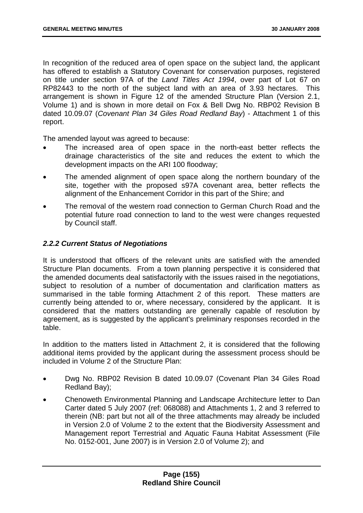In recognition of the reduced area of open space on the subject land, the applicant has offered to establish a Statutory Covenant for conservation purposes, registered on title under section 97A of the *Land Titles Act 1994*, over part of Lot 67 on RP82443 to the north of the subject land with an area of 3.93 hectares. This arrangement is shown in Figure 12 of the amended Structure Plan (Version 2.1, Volume 1) and is shown in more detail on Fox & Bell Dwg No. RBP02 Revision B dated 10.09.07 (*Covenant Plan 34 Giles Road Redland Bay*) - Attachment 1 of this report.

The amended layout was agreed to because:

- The increased area of open space in the north-east better reflects the drainage characteristics of the site and reduces the extent to which the development impacts on the ARI 100 floodway;
- The amended alignment of open space along the northern boundary of the site, together with the proposed s97A covenant area, better reflects the alignment of the Enhancement Corridor in this part of the Shire; and
- The removal of the western road connection to German Church Road and the potential future road connection to land to the west were changes requested by Council staff.

### *2.2.2 Current Status of Negotiations*

It is understood that officers of the relevant units are satisfied with the amended Structure Plan documents. From a town planning perspective it is considered that the amended documents deal satisfactorily with the issues raised in the negotiations, subject to resolution of a number of documentation and clarification matters as summarised in the table forming Attachment 2 of this report. These matters are currently being attended to or, where necessary, considered by the applicant. It is considered that the matters outstanding are generally capable of resolution by agreement, as is suggested by the applicant's preliminary responses recorded in the table.

In addition to the matters listed in Attachment 2, it is considered that the following additional items provided by the applicant during the assessment process should be included in Volume 2 of the Structure Plan:

- Dwg No. RBP02 Revision B dated 10.09.07 (Covenant Plan 34 Giles Road Redland Bay);
- Chenoweth Environmental Planning and Landscape Architecture letter to Dan Carter dated 5 July 2007 (ref: 068088) and Attachments 1, 2 and 3 referred to therein (NB: part but not all of the three attachments may already be included in Version 2.0 of Volume 2 to the extent that the Biodiversity Assessment and Management report Terrestrial and Aquatic Fauna Habitat Assessment (File No. 0152-001, June 2007) is in Version 2.0 of Volume 2); and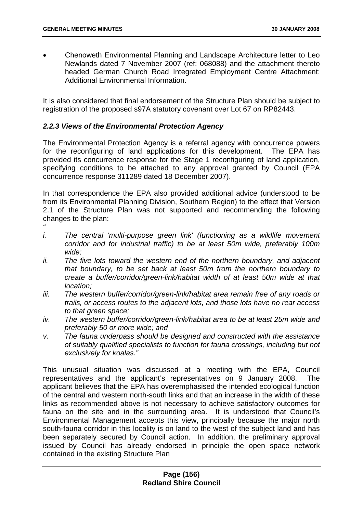• Chenoweth Environmental Planning and Landscape Architecture letter to Leo Newlands dated 7 November 2007 (ref: 068088) and the attachment thereto headed German Church Road Integrated Employment Centre Attachment: Additional Environmental Information.

It is also considered that final endorsement of the Structure Plan should be subject to registration of the proposed s97A statutory covenant over Lot 67 on RP82443.

## *2.2.3 Views of the Environmental Protection Agency*

The Environmental Protection Agency is a referral agency with concurrence powers for the reconfiguring of land applications for this development. The EPA has provided its concurrence response for the Stage 1 reconfiguring of land application, specifying conditions to be attached to any approval granted by Council (EPA concurrence response 311289 dated 18 December 2007).

In that correspondence the EPA also provided additional advice (understood to be from its Environmental Planning Division, Southern Region) to the effect that Version 2.1 of the Structure Plan was not supported and recommending the following changes to the plan:

- *"*
- *i.* The central 'multi-purpose green link' (functioning as a wildlife movement *corridor and for industrial traffic) to be at least 50m wide, preferably 100m wide;*
- *ii. The five lots toward the western end of the northern boundary, and adjacent that boundary, to be set back at least 50m from the northern boundary to create a buffer/corridor/green-link/habitat width of at least 50m wide at that location;*
- *iii. The western buffer/corridor/green-link/habitat area remain free of any roads or trails, or access routes to the adjacent lots, and those lots have no rear access to that green space;*
- *iv. The western buffer/corridor/green-link/habitat area to be at least 25m wide and preferably 50 or more wide; and*
- *v. The fauna underpass should be designed and constructed with the assistance of suitably qualified specialists to function for fauna crossings, including but not exclusively for koalas."*

This unusual situation was discussed at a meeting with the EPA, Council representatives and the applicant's representatives on 9 January 2008. The applicant believes that the EPA has overemphasised the intended ecological function of the central and western north-south links and that an increase in the width of these links as recommended above is not necessary to achieve satisfactory outcomes for fauna on the site and in the surrounding area. It is understood that Council's Environmental Management accepts this view, principally because the major north south-fauna corridor in this locality is on land to the west of the subject land and has been separately secured by Council action. In addition, the preliminary approval issued by Council has already endorsed in principle the open space network contained in the existing Structure Plan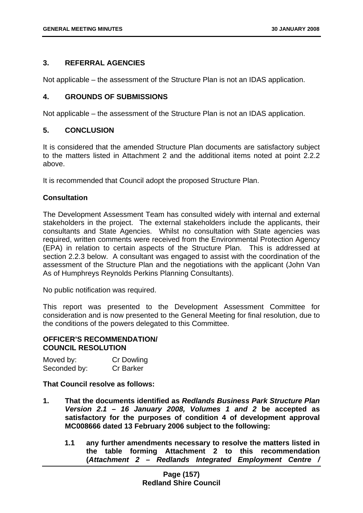## **3. REFERRAL AGENCIES**

Not applicable – the assessment of the Structure Plan is not an IDAS application.

### **4. GROUNDS OF SUBMISSIONS**

Not applicable – the assessment of the Structure Plan is not an IDAS application.

## **5. CONCLUSION**

It is considered that the amended Structure Plan documents are satisfactory subject to the matters listed in Attachment 2 and the additional items noted at point 2.2.2 above.

It is recommended that Council adopt the proposed Structure Plan.

# **Consultation**

The Development Assessment Team has consulted widely with internal and external stakeholders in the project. The external stakeholders include the applicants, their consultants and State Agencies. Whilst no consultation with State agencies was required, written comments were received from the Environmental Protection Agency (EPA) in relation to certain aspects of the Structure Plan. This is addressed at section 2.2.3 below. A consultant was engaged to assist with the coordination of the assessment of the Structure Plan and the negotiations with the applicant (John Van As of Humphreys Reynolds Perkins Planning Consultants).

No public notification was required.

This report was presented to the Development Assessment Committee for consideration and is now presented to the General Meeting for final resolution, due to the conditions of the powers delegated to this Committee.

### **OFFICER'S RECOMMENDATION/ COUNCIL RESOLUTION**

| Moved by:    | Cr Dowling       |
|--------------|------------------|
| Seconded by: | <b>Cr Barker</b> |

## **That Council resolve as follows:**

- **1. That the documents identified as** *Redlands Business Park Structure Plan Version 2.1 – 16 January 2008, Volumes 1 and 2* **be accepted as satisfactory for the purposes of condition 4 of development approval MC008666 dated 13 February 2006 subject to the following:** 
	- **1.1 any further amendments necessary to resolve the matters listed in the table forming Attachment 2 to this recommendation (***Attachment 2 – Redlands Integrated Employment Centre /*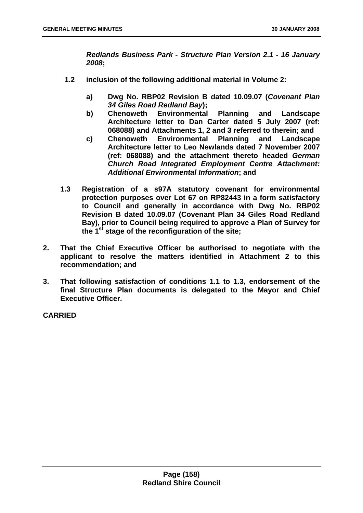*Redlands Business Park - Structure Plan Version 2.1 - 16 January 2008***;** 

- **1.2 inclusion of the following additional material in Volume 2:** 
	- **a) Dwg No. RBP02 Revision B dated 10.09.07 (***Covenant Plan 34 Giles Road Redland Bay***);**
	- **b) Chenoweth Environmental Planning and Landscape Architecture letter to Dan Carter dated 5 July 2007 (ref: 068088) and Attachments 1, 2 and 3 referred to therein; and**
	- **c) Chenoweth Environmental Planning and Landscape Architecture letter to Leo Newlands dated 7 November 2007 (ref: 068088) and the attachment thereto headed** *German Church Road Integrated Employment Centre Attachment: Additional Environmental Information***; and**
- **1.3 Registration of a s97A statutory covenant for environmental protection purposes over Lot 67 on RP82443 in a form satisfactory to Council and generally in accordance with Dwg No. RBP02 Revision B dated 10.09.07 (Covenant Plan 34 Giles Road Redland Bay), prior to Council being required to approve a Plan of Survey for the 1st stage of the reconfiguration of the site;**
- **2. That the Chief Executive Officer be authorised to negotiate with the applicant to resolve the matters identified in Attachment 2 to this recommendation; and**
- **3. That following satisfaction of conditions 1.1 to 1.3, endorsement of the final Structure Plan documents is delegated to the Mayor and Chief Executive Officer.**

**CARRIED**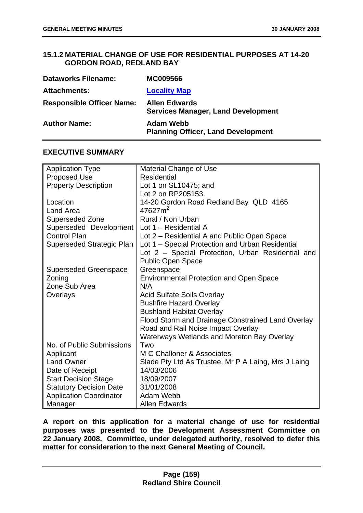# **15.1.2 MATERIAL CHANGE OF USE FOR RESIDENTIAL PURPOSES AT 14-20 GORDON ROAD, REDLAND BAY**

| <b>Dataworks Filename:</b>       | <b>MC009566</b>                                                   |
|----------------------------------|-------------------------------------------------------------------|
| <b>Attachments:</b>              | <b>Locality Map</b>                                               |
| <b>Responsible Officer Name:</b> | <b>Allen Edwards</b><br><b>Services Manager, Land Development</b> |
| <b>Author Name:</b>              | <b>Adam Webb</b><br><b>Planning Officer, Land Development</b>     |

## **EXECUTIVE SUMMARY**

| <b>Application Type</b>        | <b>Material Change of Use</b>                       |
|--------------------------------|-----------------------------------------------------|
| <b>Proposed Use</b>            | <b>Residential</b>                                  |
| <b>Property Description</b>    | Lot 1 on SL10475; and                               |
|                                | Lot 2 on RP205153.                                  |
| Location                       | 14-20 Gordon Road Redland Bay QLD 4165              |
| Land Area                      | $47627m^2$                                          |
| Superseded Zone                | Rural / Non Urban                                   |
| Superseded Development         | Lot 1 – Residential A                               |
| <b>Control Plan</b>            | Lot 2 – Residential A and Public Open Space         |
| Superseded Strategic Plan      | Lot 1 – Special Protection and Urban Residential    |
|                                | Lot 2 - Special Protection, Urban Residential and   |
|                                | <b>Public Open Space</b>                            |
| <b>Superseded Greenspace</b>   | Greenspace                                          |
| Zoning                         | <b>Environmental Protection and Open Space</b>      |
| Zone Sub Area                  | N/A                                                 |
| Overlays                       | <b>Acid Sulfate Soils Overlay</b>                   |
|                                | <b>Bushfire Hazard Overlay</b>                      |
|                                | <b>Bushland Habitat Overlay</b>                     |
|                                | Flood Storm and Drainage Constrained Land Overlay   |
|                                | Road and Rail Noise Impact Overlay                  |
|                                | <b>Waterways Wetlands and Moreton Bay Overlay</b>   |
| No. of Public Submissions      | Two                                                 |
| Applicant                      | M C Challoner & Associates                          |
| <b>Land Owner</b>              | Slade Pty Ltd As Trustee, Mr P A Laing, Mrs J Laing |
| Date of Receipt                | 14/03/2006                                          |
| <b>Start Decision Stage</b>    | 18/09/2007                                          |
| <b>Statutory Decision Date</b> | 31/01/2008                                          |
| <b>Application Coordinator</b> | Adam Webb                                           |
| Manager                        | <b>Allen Edwards</b>                                |

**A report on this application for a material change of use for residential purposes was presented to the Development Assessment Committee on 22 January 2008. Committee, under delegated authority, resolved to defer this matter for consideration to the next General Meeting of Council.**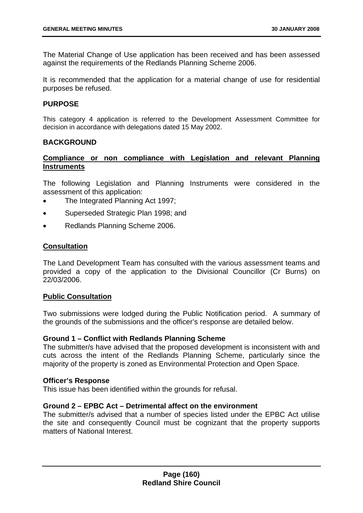The Material Change of Use application has been received and has been assessed against the requirements of the Redlands Planning Scheme 2006.

It is recommended that the application for a material change of use for residential purposes be refused.

### **PURPOSE**

This category 4 application is referred to the Development Assessment Committee for decision in accordance with delegations dated 15 May 2002.

### **BACKGROUND**

### **Compliance or non compliance with Legislation and relevant Planning Instruments**

The following Legislation and Planning Instruments were considered in the assessment of this application:

- The Integrated Planning Act 1997;
- Superseded Strategic Plan 1998; and
- Redlands Planning Scheme 2006.

### **Consultation**

The Land Development Team has consulted with the various assessment teams and provided a copy of the application to the Divisional Councillor (Cr Burns) on 22/03/2006.

### **Public Consultation**

Two submissions were lodged during the Public Notification period. A summary of the grounds of the submissions and the officer's response are detailed below.

### **Ground 1 – Conflict with Redlands Planning Scheme**

The submitter/s have advised that the proposed development is inconsistent with and cuts across the intent of the Redlands Planning Scheme, particularly since the majority of the property is zoned as Environmental Protection and Open Space.

#### **Officer's Response**

This issue has been identified within the grounds for refusal.

### **Ground 2 – EPBC Act – Detrimental affect on the environment**

The submitter/s advised that a number of species listed under the EPBC Act utilise the site and consequently Council must be cognizant that the property supports matters of National Interest.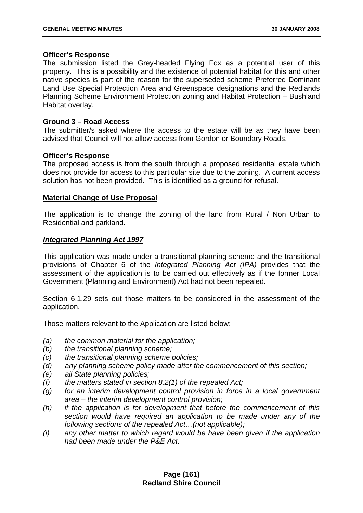### **Officer's Response**

The submission listed the Grey-headed Flying Fox as a potential user of this property. This is a possibility and the existence of potential habitat for this and other native species is part of the reason for the superseded scheme Preferred Dominant Land Use Special Protection Area and Greenspace designations and the Redlands Planning Scheme Environment Protection zoning and Habitat Protection – Bushland Habitat overlay.

### **Ground 3 – Road Access**

The submitter/s asked where the access to the estate will be as they have been advised that Council will not allow access from Gordon or Boundary Roads.

### **Officer's Response**

The proposed access is from the south through a proposed residential estate which does not provide for access to this particular site due to the zoning. A current access solution has not been provided. This is identified as a ground for refusal.

### **Material Change of Use Proposal**

The application is to change the zoning of the land from Rural / Non Urban to Residential and parkland.

### *Integrated Planning Act 1997*

This application was made under a transitional planning scheme and the transitional provisions of Chapter 6 of the *Integrated Planning Act (IPA)* provides that the assessment of the application is to be carried out effectively as if the former Local Government (Planning and Environment) Act had not been repealed.

Section 6.1.29 sets out those matters to be considered in the assessment of the application.

Those matters relevant to the Application are listed below:

- *(a) the common material for the application;*
- *(b) the transitional planning scheme;*
- *(c) the transitional planning scheme policies;*
- *(d) any planning scheme policy made after the commencement of this section;*
- *(e) all State planning policies;*
- *(f) the matters stated in section 8.2(1) of the repealed Act;*
- *(g) for an interim development control provision in force in a local government area – the interim development control provision;*
- *(h) if the application is for development that before the commencement of this section would have required an application to be made under any of the following sections of the repealed Act…(not applicable);*
- *(i) any other matter to which regard would be have been given if the application had been made under the P&E Act.*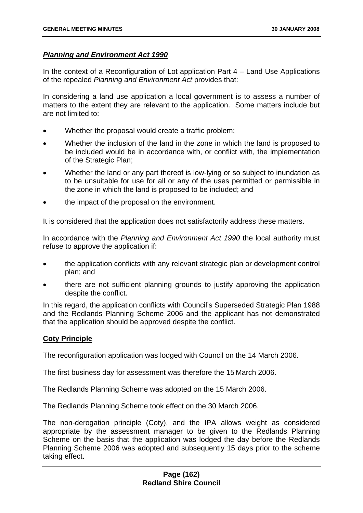### *Planning and Environment Act 1990*

In the context of a Reconfiguration of Lot application Part 4 – Land Use Applications of the repealed *Planning and Environment Act* provides that:

In considering a land use application a local government is to assess a number of matters to the extent they are relevant to the application. Some matters include but are not limited to:

- Whether the proposal would create a traffic problem;
- Whether the inclusion of the land in the zone in which the land is proposed to be included would be in accordance with, or conflict with, the implementation of the Strategic Plan;
- Whether the land or any part thereof is low-lying or so subject to inundation as to be unsuitable for use for all or any of the uses permitted or permissible in the zone in which the land is proposed to be included; and
- the impact of the proposal on the environment.

It is considered that the application does not satisfactorily address these matters.

In accordance with the *Planning and Environment Act 1990* the local authority must refuse to approve the application if:

- the application conflicts with any relevant strategic plan or development control plan; and
- there are not sufficient planning grounds to justify approving the application despite the conflict.

In this regard, the application conflicts with Council's Superseded Strategic Plan 1988 and the Redlands Planning Scheme 2006 and the applicant has not demonstrated that the application should be approved despite the conflict.

## **Coty Principle**

The reconfiguration application was lodged with Council on the 14 March 2006.

The first business day for assessment was therefore the 15 March 2006.

The Redlands Planning Scheme was adopted on the 15 March 2006.

The Redlands Planning Scheme took effect on the 30 March 2006.

The non-derogation principle (Coty), and the IPA allows weight as considered appropriate by the assessment manager to be given to the Redlands Planning Scheme on the basis that the application was lodged the day before the Redlands Planning Scheme 2006 was adopted and subsequently 15 days prior to the scheme taking effect.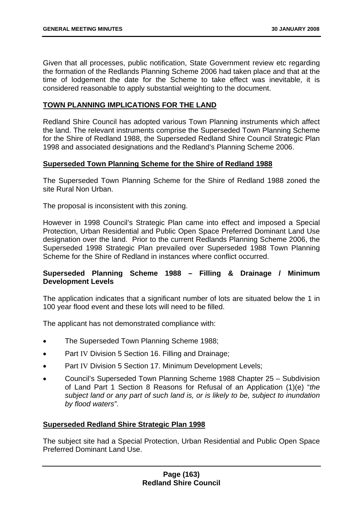Given that all processes, public notification, State Government review etc regarding the formation of the Redlands Planning Scheme 2006 had taken place and that at the time of lodgement the date for the Scheme to take effect was inevitable, it is considered reasonable to apply substantial weighting to the document.

### **TOWN PLANNING IMPLICATIONS FOR THE LAND**

Redland Shire Council has adopted various Town Planning instruments which affect the land. The relevant instruments comprise the Superseded Town Planning Scheme for the Shire of Redland 1988, the Superseded Redland Shire Council Strategic Plan 1998 and associated designations and the Redland's Planning Scheme 2006.

### **Superseded Town Planning Scheme for the Shire of Redland 1988**

The Superseded Town Planning Scheme for the Shire of Redland 1988 zoned the site Rural Non Urban.

The proposal is inconsistent with this zoning.

However in 1998 Council's Strategic Plan came into effect and imposed a Special Protection, Urban Residential and Public Open Space Preferred Dominant Land Use designation over the land. Prior to the current Redlands Planning Scheme 2006, the Superseded 1998 Strategic Plan prevailed over Superseded 1988 Town Planning Scheme for the Shire of Redland in instances where conflict occurred.

## **Superseded Planning Scheme 1988 – Filling & Drainage / Minimum Development Levels**

The application indicates that a significant number of lots are situated below the 1 in 100 year flood event and these lots will need to be filled.

The applicant has not demonstrated compliance with:

- The Superseded Town Planning Scheme 1988;
- Part IV Division 5 Section 16. Filling and Drainage;
- Part IV Division 5 Section 17. Minimum Development Levels;
- Council's Superseded Town Planning Scheme 1988 Chapter 25 Subdivision of Land Part 1 Section 8 Reasons for Refusal of an Application (1)(e) "*the subject land or any part of such land is, or is likely to be, subject to inundation by flood waters"*.

### **Superseded Redland Shire Strategic Plan 1998**

The subject site had a Special Protection, Urban Residential and Public Open Space Preferred Dominant Land Use.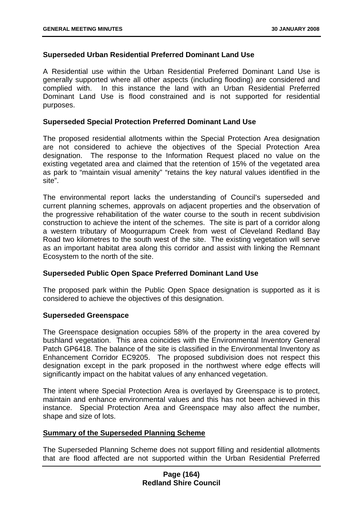## **Superseded Urban Residential Preferred Dominant Land Use**

A Residential use within the Urban Residential Preferred Dominant Land Use is generally supported where all other aspects (including flooding) are considered and complied with. In this instance the land with an Urban Residential Preferred Dominant Land Use is flood constrained and is not supported for residential purposes.

### **Superseded Special Protection Preferred Dominant Land Use**

The proposed residential allotments within the Special Protection Area designation are not considered to achieve the objectives of the Special Protection Area designation. The response to the Information Request placed no value on the existing vegetated area and claimed that the retention of 15% of the vegetated area as park to "maintain visual amenity" "retains the key natural values identified in the site".

The environmental report lacks the understanding of Council's superseded and current planning schemes, approvals on adjacent properties and the observation of the progressive rehabilitation of the water course to the south in recent subdivision construction to achieve the intent of the schemes. The site is part of a corridor along a western tributary of Moogurrapum Creek from west of Cleveland Redland Bay Road two kilometres to the south west of the site. The existing vegetation will serve as an important habitat area along this corridor and assist with linking the Remnant Ecosystem to the north of the site.

### **Superseded Public Open Space Preferred Dominant Land Use**

The proposed park within the Public Open Space designation is supported as it is considered to achieve the objectives of this designation.

### **Superseded Greenspace**

The Greenspace designation occupies 58% of the property in the area covered by bushland vegetation. This area coincides with the Environmental Inventory General Patch GP6418. The balance of the site is classified in the Environmental Inventory as Enhancement Corridor EC9205. The proposed subdivision does not respect this designation except in the park proposed in the northwest where edge effects will significantly impact on the habitat values of any enhanced vegetation.

The intent where Special Protection Area is overlayed by Greenspace is to protect, maintain and enhance environmental values and this has not been achieved in this instance. Special Protection Area and Greenspace may also affect the number, shape and size of lots.

### **Summary of the Superseded Planning Scheme**

The Superseded Planning Scheme does not support filling and residential allotments that are flood affected are not supported within the Urban Residential Preferred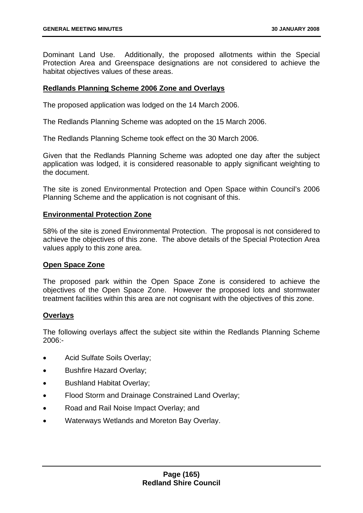Dominant Land Use. Additionally, the proposed allotments within the Special Protection Area and Greenspace designations are not considered to achieve the habitat objectives values of these areas.

### **Redlands Planning Scheme 2006 Zone and Overlays**

The proposed application was lodged on the 14 March 2006.

The Redlands Planning Scheme was adopted on the 15 March 2006.

The Redlands Planning Scheme took effect on the 30 March 2006.

Given that the Redlands Planning Scheme was adopted one day after the subject application was lodged, it is considered reasonable to apply significant weighting to the document.

The site is zoned Environmental Protection and Open Space within Council's 2006 Planning Scheme and the application is not cognisant of this.

### **Environmental Protection Zone**

58% of the site is zoned Environmental Protection. The proposal is not considered to achieve the objectives of this zone. The above details of the Special Protection Area values apply to this zone area.

### **Open Space Zone**

The proposed park within the Open Space Zone is considered to achieve the objectives of the Open Space Zone. However the proposed lots and stormwater treatment facilities within this area are not cognisant with the objectives of this zone.

## **Overlays**

The following overlays affect the subject site within the Redlands Planning Scheme 2006:-

- Acid Sulfate Soils Overlay;
- Bushfire Hazard Overlay;
- Bushland Habitat Overlay;
- Flood Storm and Drainage Constrained Land Overlay;
- Road and Rail Noise Impact Overlay; and
- Waterways Wetlands and Moreton Bay Overlay.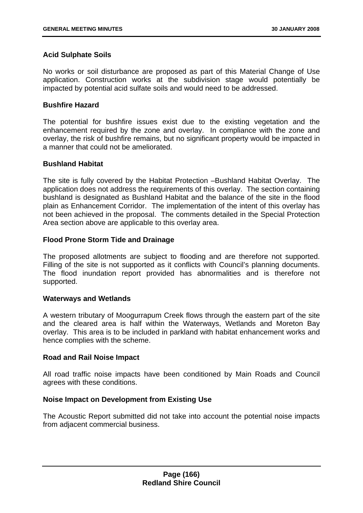## **Acid Sulphate Soils**

No works or soil disturbance are proposed as part of this Material Change of Use application. Construction works at the subdivision stage would potentially be impacted by potential acid sulfate soils and would need to be addressed.

### **Bushfire Hazard**

The potential for bushfire issues exist due to the existing vegetation and the enhancement required by the zone and overlay. In compliance with the zone and overlay, the risk of bushfire remains, but no significant property would be impacted in a manner that could not be ameliorated.

### **Bushland Habitat**

The site is fully covered by the Habitat Protection –Bushland Habitat Overlay. The application does not address the requirements of this overlay. The section containing bushland is designated as Bushland Habitat and the balance of the site in the flood plain as Enhancement Corridor. The implementation of the intent of this overlay has not been achieved in the proposal. The comments detailed in the Special Protection Area section above are applicable to this overlay area.

### **Flood Prone Storm Tide and Drainage**

The proposed allotments are subject to flooding and are therefore not supported. Filling of the site is not supported as it conflicts with Council's planning documents. The flood inundation report provided has abnormalities and is therefore not supported.

### **Waterways and Wetlands**

A western tributary of Moogurrapum Creek flows through the eastern part of the site and the cleared area is half within the Waterways, Wetlands and Moreton Bay overlay. This area is to be included in parkland with habitat enhancement works and hence complies with the scheme.

### **Road and Rail Noise Impact**

All road traffic noise impacts have been conditioned by Main Roads and Council agrees with these conditions.

## **Noise Impact on Development from Existing Use**

The Acoustic Report submitted did not take into account the potential noise impacts from adjacent commercial business.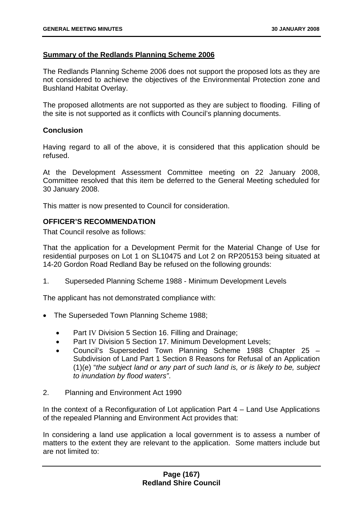## **Summary of the Redlands Planning Scheme 2006**

The Redlands Planning Scheme 2006 does not support the proposed lots as they are not considered to achieve the objectives of the Environmental Protection zone and Bushland Habitat Overlay.

The proposed allotments are not supported as they are subject to flooding. Filling of the site is not supported as it conflicts with Council's planning documents.

## **Conclusion**

Having regard to all of the above, it is considered that this application should be refused.

At the Development Assessment Committee meeting on 22 January 2008, Committee resolved that this item be deferred to the General Meeting scheduled for 30 January 2008.

This matter is now presented to Council for consideration.

### **OFFICER'S RECOMMENDATION**

That Council resolve as follows:

That the application for a Development Permit for the Material Change of Use for residential purposes on Lot 1 on SL10475 and Lot 2 on RP205153 being situated at 14-20 Gordon Road Redland Bay be refused on the following grounds:

1. Superseded Planning Scheme 1988 - Minimum Development Levels

The applicant has not demonstrated compliance with:

- The Superseded Town Planning Scheme 1988;
	- Part IV Division 5 Section 16. Filling and Drainage;
	- Part IV Division 5 Section 17. Minimum Development Levels:
	- Council's Superseded Town Planning Scheme 1988 Chapter 25 Subdivision of Land Part 1 Section 8 Reasons for Refusal of an Application (1)(e) "*the subject land or any part of such land is, or is likely to be, subject to inundation by flood waters"*.
- 2. Planning and Environment Act 1990

In the context of a Reconfiguration of Lot application Part  $4 -$  Land Use Applications of the repealed Planning and Environment Act provides that:

In considering a land use application a local government is to assess a number of matters to the extent they are relevant to the application. Some matters include but are not limited to: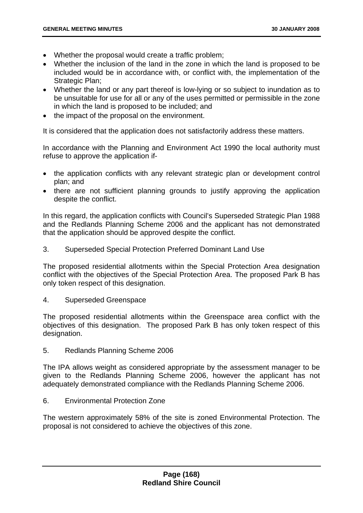- Whether the proposal would create a traffic problem;
- Whether the inclusion of the land in the zone in which the land is proposed to be included would be in accordance with, or conflict with, the implementation of the Strategic Plan:
- Whether the land or any part thereof is low-lying or so subject to inundation as to be unsuitable for use for all or any of the uses permitted or permissible in the zone in which the land is proposed to be included; and
- the impact of the proposal on the environment.

It is considered that the application does not satisfactorily address these matters.

In accordance with the Planning and Environment Act 1990 the local authority must refuse to approve the application if-

- the application conflicts with any relevant strategic plan or development control plan; and
- there are not sufficient planning grounds to justify approving the application despite the conflict.

In this regard, the application conflicts with Council's Superseded Strategic Plan 1988 and the Redlands Planning Scheme 2006 and the applicant has not demonstrated that the application should be approved despite the conflict.

3. Superseded Special Protection Preferred Dominant Land Use

The proposed residential allotments within the Special Protection Area designation conflict with the objectives of the Special Protection Area. The proposed Park B has only token respect of this designation.

4. Superseded Greenspace

The proposed residential allotments within the Greenspace area conflict with the objectives of this designation. The proposed Park B has only token respect of this designation.

5. Redlands Planning Scheme 2006

The IPA allows weight as considered appropriate by the assessment manager to be given to the Redlands Planning Scheme 2006, however the applicant has not adequately demonstrated compliance with the Redlands Planning Scheme 2006.

6. Environmental Protection Zone

The western approximately 58% of the site is zoned Environmental Protection. The proposal is not considered to achieve the objectives of this zone.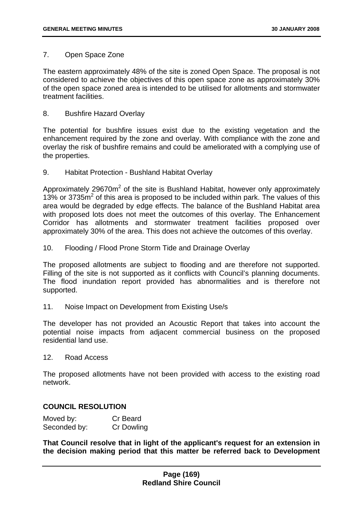### 7. Open Space Zone

The eastern approximately 48% of the site is zoned Open Space. The proposal is not considered to achieve the objectives of this open space zone as approximately 30% of the open space zoned area is intended to be utilised for allotments and stormwater treatment facilities.

### 8. Bushfire Hazard Overlay

The potential for bushfire issues exist due to the existing vegetation and the enhancement required by the zone and overlay. With compliance with the zone and overlay the risk of bushfire remains and could be ameliorated with a complying use of the properties.

9. Habitat Protection - Bushland Habitat Overlay

Approximately 29670m<sup>2</sup> of the site is Bushland Habitat, however only approximately  $13\%$  or 3735 $\mathrm{m}^2$  of this area is proposed to be included within park. The values of this area would be degraded by edge effects. The balance of the Bushland Habitat area with proposed lots does not meet the outcomes of this overlay. The Enhancement Corridor has allotments and stormwater treatment facilities proposed over approximately 30% of the area. This does not achieve the outcomes of this overlay.

10. Flooding / Flood Prone Storm Tide and Drainage Overlay

The proposed allotments are subject to flooding and are therefore not supported. Filling of the site is not supported as it conflicts with Council's planning documents. The flood inundation report provided has abnormalities and is therefore not supported.

11. Noise Impact on Development from Existing Use/s

The developer has not provided an Acoustic Report that takes into account the potential noise impacts from adjacent commercial business on the proposed residential land use.

12. Road Access

The proposed allotments have not been provided with access to the existing road network.

# **COUNCIL RESOLUTION**

| Moved by:    | Cr Beard          |
|--------------|-------------------|
| Seconded by: | <b>Cr Dowling</b> |

**That Council resolve that in light of the applicant's request for an extension in the decision making period that this matter be referred back to Development**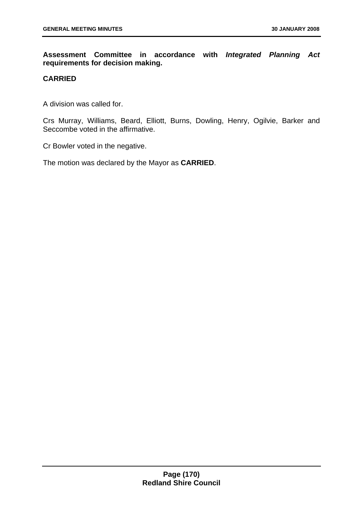**Assessment Committee in accordance with** *Integrated Planning Act* **requirements for decision making.** 

# **CARRIED**

A division was called for.

Crs Murray, Williams, Beard, Elliott, Burns, Dowling, Henry, Ogilvie, Barker and Seccombe voted in the affirmative.

Cr Bowler voted in the negative.

The motion was declared by the Mayor as **CARRIED**.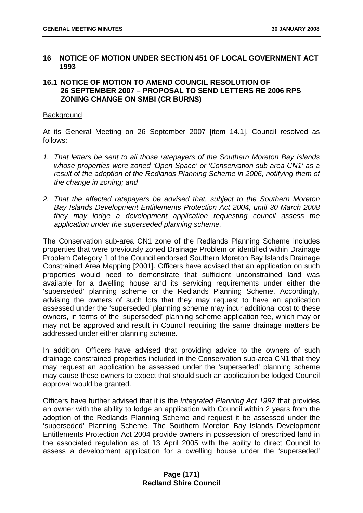## **16 NOTICE OF MOTION UNDER SECTION 451 OF LOCAL GOVERNMENT ACT 1993**

## **16.1 NOTICE OF MOTION TO AMEND COUNCIL RESOLUTION OF 26 SEPTEMBER 2007 – PROPOSAL TO SEND LETTERS RE 2006 RPS ZONING CHANGE ON SMBI (CR BURNS)**

#### **Background**

At its General Meeting on 26 September 2007 [item 14.1], Council resolved as follows:

- *1. That letters be sent to all those ratepayers of the Southern Moreton Bay Islands whose properties were zoned 'Open Space' or 'Conservation sub area CN1' as a result of the adoption of the Redlands Planning Scheme in 2006, notifying them of the change in zoning; and*
- *2. That the affected ratepayers be advised that, subject to the Southern Moreton Bay Islands Development Entitlements Protection Act 2004, until 30 March 2008 they may lodge a development application requesting council assess the application under the superseded planning scheme.*

The Conservation sub-area CN1 zone of the Redlands Planning Scheme includes properties that were previously zoned Drainage Problem or identified within Drainage Problem Category 1 of the Council endorsed Southern Moreton Bay Islands Drainage Constrained Area Mapping [2001]. Officers have advised that an application on such properties would need to demonstrate that sufficient unconstrained land was available for a dwelling house and its servicing requirements under either the 'superseded' planning scheme or the Redlands Planning Scheme. Accordingly, advising the owners of such lots that they may request to have an application assessed under the 'superseded' planning scheme may incur additional cost to these owners, in terms of the 'superseded' planning scheme application fee, which may or may not be approved and result in Council requiring the same drainage matters be addressed under either planning scheme.

In addition, Officers have advised that providing advice to the owners of such drainage constrained properties included in the Conservation sub-area CN1 that they may request an application be assessed under the 'superseded' planning scheme may cause these owners to expect that should such an application be lodged Council approval would be granted.

Officers have further advised that it is the *Integrated Planning Act 1997* that provides an owner with the ability to lodge an application with Council within 2 years from the adoption of the Redlands Planning Scheme and request it be assessed under the 'superseded' Planning Scheme. The Southern Moreton Bay Islands Development Entitlements Protection Act 2004 provide owners in possession of prescribed land in the associated regulation as of 13 April 2005 with the ability to direct Council to assess a development application for a dwelling house under the 'superseded'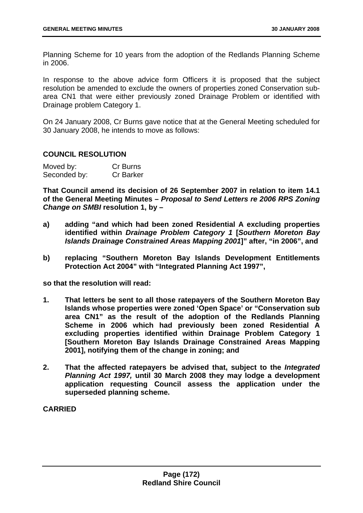Planning Scheme for 10 years from the adoption of the Redlands Planning Scheme in 2006.

In response to the above advice form Officers it is proposed that the subject resolution be amended to exclude the owners of properties zoned Conservation subarea CN1 that were either previously zoned Drainage Problem or identified with Drainage problem Category 1.

On 24 January 2008, Cr Burns gave notice that at the General Meeting scheduled for 30 January 2008, he intends to move as follows:

### **COUNCIL RESOLUTION**

| Moved by:    | Cr Burns         |
|--------------|------------------|
| Seconded by: | <b>Cr Barker</b> |

**That Council amend its decision of 26 September 2007 in relation to item 14.1 of the General Meeting Minutes –** *Proposal to Send Letters re 2006 RPS Zoning Change on SMBI* **resolution 1, by –** 

- **a) adding "and which had been zoned Residential A excluding properties identified within** *Drainage Problem Category 1* **[***Southern Moreton Bay Islands Drainage Constrained Areas Mapping 2001***]" after, "in 2006", and**
- **b) replacing "Southern Moreton Bay Islands Development Entitlements Protection Act 2004" with "Integrated Planning Act 1997",**

**so that the resolution will read:** 

- **1. That letters be sent to all those ratepayers of the Southern Moreton Bay Islands whose properties were zoned 'Open Space' or "Conservation sub area CN1" as the result of the adoption of the Redlands Planning Scheme in 2006 which had previously been zoned Residential A excluding properties identified within Drainage Problem Category 1 [Southern Moreton Bay Islands Drainage Constrained Areas Mapping 2001], notifying them of the change in zoning; and**
- **2. That the affected ratepayers be advised that, subject to the** *Integrated Planning Act 1997,* **until 30 March 2008 they may lodge a development application requesting Council assess the application under the superseded planning scheme.**

**CARRIED**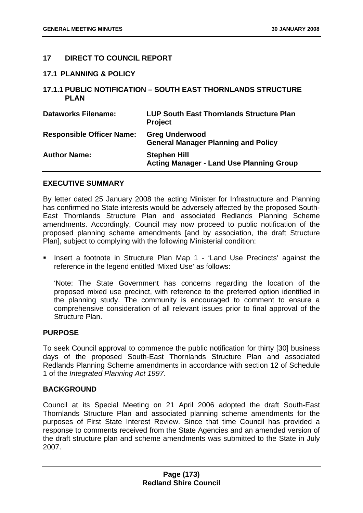## **17 DIRECT TO COUNCIL REPORT**

### **17.1 PLANNING & POLICY**

### **17.1.1 PUBLIC NOTIFICATION – SOUTH EAST THORNLANDS STRUCTURE PLAN**

| <b>Dataworks Filename:</b>       | <b>LUP South East Thornlands Structure Plan</b><br><b>Project</b>      |
|----------------------------------|------------------------------------------------------------------------|
| <b>Responsible Officer Name:</b> | <b>Greg Underwood</b><br><b>General Manager Planning and Policy</b>    |
| <b>Author Name:</b>              | <b>Stephen Hill</b><br><b>Acting Manager - Land Use Planning Group</b> |

### **EXECUTIVE SUMMARY**

By letter dated 25 January 2008 the acting Minister for Infrastructure and Planning has confirmed no State interests would be adversely affected by the proposed South-East Thornlands Structure Plan and associated Redlands Planning Scheme amendments. Accordingly, Council may now proceed to public notification of the proposed planning scheme amendments [and by association, the draft Structure Plan], subject to complying with the following Ministerial condition:

 Insert a footnote in Structure Plan Map 1 - 'Land Use Precincts' against the reference in the legend entitled 'Mixed Use' as follows:

'Note: The State Government has concerns regarding the location of the proposed mixed use precinct, with reference to the preferred option identified in the planning study. The community is encouraged to comment to ensure a comprehensive consideration of all relevant issues prior to final approval of the Structure Plan.

### **PURPOSE**

To seek Council approval to commence the public notification for thirty [30] business days of the proposed South-East Thornlands Structure Plan and associated Redlands Planning Scheme amendments in accordance with section 12 of Schedule 1 of the *Integrated Planning Act 1997*.

### **BACKGROUND**

Council at its Special Meeting on 21 April 2006 adopted the draft South-East Thornlands Structure Plan and associated planning scheme amendments for the purposes of First State Interest Review. Since that time Council has provided a response to comments received from the State Agencies and an amended version of the draft structure plan and scheme amendments was submitted to the State in July 2007.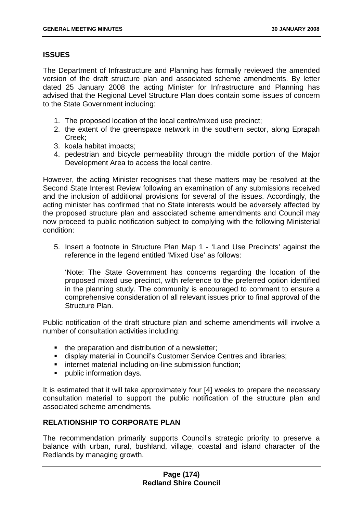## **ISSUES**

The Department of Infrastructure and Planning has formally reviewed the amended version of the draft structure plan and associated scheme amendments. By letter dated 25 January 2008 the acting Minister for Infrastructure and Planning has advised that the Regional Level Structure Plan does contain some issues of concern to the State Government including:

- 1. The proposed location of the local centre/mixed use precinct;
- 2. the extent of the greenspace network in the southern sector, along Eprapah Creek;
- 3. koala habitat impacts;
- 4. pedestrian and bicycle permeability through the middle portion of the Major Development Area to access the local centre.

However, the acting Minister recognises that these matters may be resolved at the Second State Interest Review following an examination of any submissions received and the inclusion of additional provisions for several of the issues. Accordingly, the acting minister has confirmed that no State interests would be adversely affected by the proposed structure plan and associated scheme amendments and Council may now proceed to public notification subject to complying with the following Ministerial condition:

5. Insert a footnote in Structure Plan Map 1 - 'Land Use Precincts' against the reference in the legend entitled 'Mixed Use' as follows:

'Note: The State Government has concerns regarding the location of the proposed mixed use precinct, with reference to the preferred option identified in the planning study. The community is encouraged to comment to ensure a comprehensive consideration of all relevant issues prior to final approval of the Structure Plan.

Public notification of the draft structure plan and scheme amendments will involve a number of consultation activities including:

- the preparation and distribution of a newsletter;
- display material in Council's Customer Service Centres and libraries;
- **i** internet material including on-line submission function;
- **•** public information days.

It is estimated that it will take approximately four [4] weeks to prepare the necessary consultation material to support the public notification of the structure plan and associated scheme amendments.

## **RELATIONSHIP TO CORPORATE PLAN**

The recommendation primarily supports Council's strategic priority to preserve a balance with urban, rural, bushland, village, coastal and island character of the Redlands by managing growth.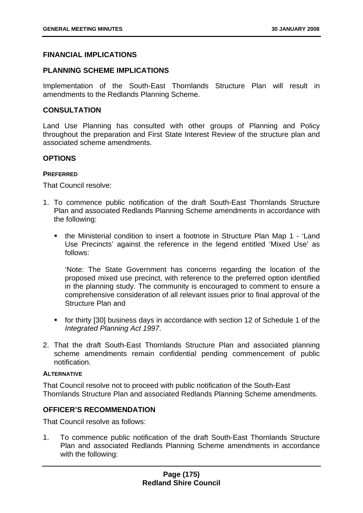## **FINANCIAL IMPLICATIONS**

### **PLANNING SCHEME IMPLICATIONS**

Implementation of the South-East Thornlands Structure Plan will result in amendments to the Redlands Planning Scheme.

### **CONSULTATION**

Land Use Planning has consulted with other groups of Planning and Policy throughout the preparation and First State Interest Review of the structure plan and associated scheme amendments.

#### **OPTIONS**

#### **PREFERRED**

That Council resolve:

- 1. To commence public notification of the draft South-East Thornlands Structure Plan and associated Redlands Planning Scheme amendments in accordance with the following:
	- the Ministerial condition to insert a footnote in Structure Plan Map 1 'Land Use Precincts' against the reference in the legend entitled 'Mixed Use' as follows:

'Note: The State Government has concerns regarding the location of the proposed mixed use precinct, with reference to the preferred option identified in the planning study. The community is encouraged to comment to ensure a comprehensive consideration of all relevant issues prior to final approval of the Structure Plan and

- for thirty [30] business days in accordance with section 12 of Schedule 1 of the *Integrated Planning Act 1997*.
- 2. That the draft South-East Thornlands Structure Plan and associated planning scheme amendments remain confidential pending commencement of public notification.

#### **ALTERNATIVE**

That Council resolve not to proceed with public notification of the South-East Thornlands Structure Plan and associated Redlands Planning Scheme amendments.

### **OFFICER'S RECOMMENDATION**

That Council resolve as follows:

1. To commence public notification of the draft South-East Thornlands Structure Plan and associated Redlands Planning Scheme amendments in accordance with the following: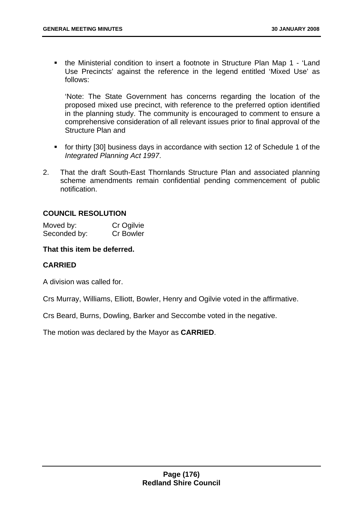the Ministerial condition to insert a footnote in Structure Plan Map 1 - 'Land Use Precincts' against the reference in the legend entitled 'Mixed Use' as follows:

'Note: The State Government has concerns regarding the location of the proposed mixed use precinct, with reference to the preferred option identified in the planning study. The community is encouraged to comment to ensure a comprehensive consideration of all relevant issues prior to final approval of the Structure Plan and

- for thirty [30] business days in accordance with section 12 of Schedule 1 of the *Integrated Planning Act 1997*.
- 2. That the draft South-East Thornlands Structure Plan and associated planning scheme amendments remain confidential pending commencement of public notification.

### **COUNCIL RESOLUTION**

| Moved by:    | Cr Ogilvie       |
|--------------|------------------|
| Seconded by: | <b>Cr Bowler</b> |

### **That this item be deferred.**

### **CARRIED**

A division was called for.

Crs Murray, Williams, Elliott, Bowler, Henry and Ogilvie voted in the affirmative.

Crs Beard, Burns, Dowling, Barker and Seccombe voted in the negative.

The motion was declared by the Mayor as **CARRIED**.